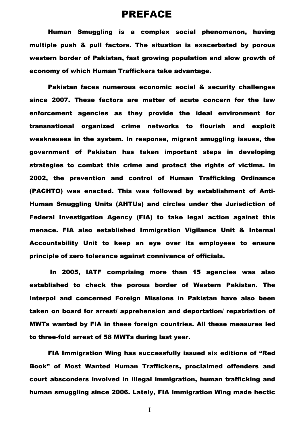## PREFACE

Human Smuggling is a complex social phenomenon, having multiple push & pull factors. The situation is exacerbated by porous western border of Pakistan, fast growing population and slow growth of economy of which Human Traffickers take advantage.

Pakistan faces numerous economic social & security challenges since 2007. These factors are matter of acute concern for the law enforcement agencies as they provide the ideal environment for transnational organized crime networks to flourish and exploit weaknesses in the system. In response, migrant smuggling issues, the government of Pakistan has taken important steps in developing strategies to combat this crime and protect the rights of victims. In 2002, the prevention and control of Human Trafficking Ordinance (PACHTO) was enacted. This was followed by establishment of Anti-Human Smuggling Units (AHTUs) and circles under the Jurisdiction of Federal Investigation Agency (FIA) to take legal action against this menace. FIA also established Immigration Vigilance Unit & Internal Accountability Unit to keep an eye over its employees to ensure principle of zero tolerance against connivance of officials.

In 2005, IATF comprising more than 15 agencies was also established to check the porous border of Western Pakistan. The Interpol and concerned Foreign Missions in Pakistan have also been taken on board for arrest/ apprehension and deportation/ repatriation of MWTs wanted by FIA in these foreign countries. All these measures led to three-fold arrest of 58 MWTs during last year.

FIA Immigration Wing has successfully issued six editions of "Red Book" of Most Wanted Human Traffickers, proclaimed offenders and court absconders involved in illegal immigration, human trafficking and human smuggling since 2006. Lately, FIA Immigration Wing made hectic

I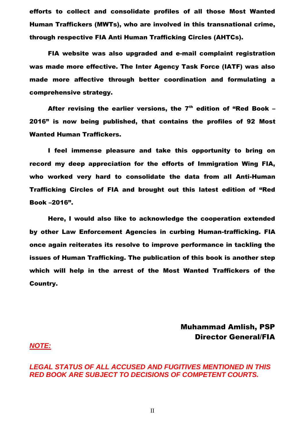efforts to collect and consolidate profiles of all those Most Wanted Human Traffickers (MWTs), who are involved in this transnational crime, through respective FIA Anti Human Trafficking Circles (AHTCs).

FIA website was also upgraded and e-mail complaint registration was made more effective. The Inter Agency Task Force (IATF) was also made more affective through better coordination and formulating a comprehensive strategy.

After revising the earlier versions, the  $7<sup>th</sup>$  edition of "Red Book -2016" is now being published, that contains the profiles of 92 Most Wanted Human Traffickers.

I feel immense pleasure and take this opportunity to bring on record my deep appreciation for the efforts of Immigration Wing FIA, who worked very hard to consolidate the data from all Anti-Human Trafficking Circles of FIA and brought out this latest edition of "Red Book –2016".

Here, I would also like to acknowledge the cooperation extended by other Law Enforcement Agencies in curbing Human-trafficking. FIA once again reiterates its resolve to improve performance in tackling the issues of Human Trafficking. The publication of this book is another step which will help in the arrest of the Most Wanted Traffickers of the Country.

> Muhammad Amlish, PSP Director General/FIA

#### *NOTE:*

*LEGAL STATUS OF ALL ACCUSED AND FUGITIVES MENTIONED IN THIS RED BOOK ARE SUBJECT TO DECISIONS OF COMPETENT COURTS.*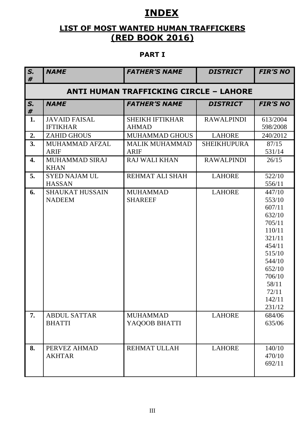# **INDEX**

# **LIST OF MOST WANTED HUMAN TRAFFICKERS (RED BOOK 2016)**

## **PART I**

| S.<br># | <b>NAME</b>                             | <b>FATHER'S NAME</b>                          | <b>DISTRICT</b>    | <b>FIR'S NO</b>                                                                                                                                            |
|---------|-----------------------------------------|-----------------------------------------------|--------------------|------------------------------------------------------------------------------------------------------------------------------------------------------------|
|         |                                         | <b>ANTI HUMAN TRAFFICKING CIRCLE - LAHORE</b> |                    |                                                                                                                                                            |
| S.<br># | <b>NAME</b>                             | <b>FATHER'S NAME</b>                          | <b>DISTRICT</b>    | <b>FIR'S NO</b>                                                                                                                                            |
| 1.      | <b>JAVAID FAISAL</b><br><b>IFTIKHAR</b> | <b>SHEIKH IFTIKHAR</b><br><b>AHMAD</b>        | <b>RAWALPINDI</b>  | 613/2004<br>598/2008                                                                                                                                       |
| 2.      | <b>ZAHID GHOUS</b>                      | <b>MUHAMMAD GHOUS</b>                         | <b>LAHORE</b>      | 240/2012                                                                                                                                                   |
| 3.      | <b>MUHAMMAD AFZAL</b><br><b>ARIF</b>    | <b>MALIK MUHAMMAD</b><br><b>ARIF</b>          | <b>SHEIKHUPURA</b> | 87/15<br>531/14                                                                                                                                            |
| 4.      | MUHAMMAD SIRAJ<br><b>KHAN</b>           | <b>RAJ WALI KHAN</b>                          | <b>RAWALPINDI</b>  | 26/15                                                                                                                                                      |
| 5.      | <b>SYED NAJAM UL</b><br><b>HASSAN</b>   | REHMAT ALI SHAH                               | <b>LAHORE</b>      | 522/10<br>556/11                                                                                                                                           |
| 6.      | <b>SHAUKAT HUSSAIN</b><br><b>NADEEM</b> | <b>MUHAMMAD</b><br><b>SHAREEF</b>             | <b>LAHORE</b>      | 447/10<br>553/10<br>607/11<br>632/10<br>705/11<br>110/11<br>321/11<br>454/11<br>515/10<br>544/10<br>652/10<br>706/10<br>58/11<br>72/11<br>142/11<br>231/12 |
| 7.      | <b>ABDUL SATTAR</b><br><b>BHATTI</b>    | <b>MUHAMMAD</b><br>YAQOOB BHATTI              | <b>LAHORE</b>      | 684/06<br>635/06                                                                                                                                           |
| 8.      | PERVEZ AHMAD<br><b>AKHTAR</b>           | REHMAT ULLAH                                  | <b>LAHORE</b>      | 140/10<br>470/10<br>692/11                                                                                                                                 |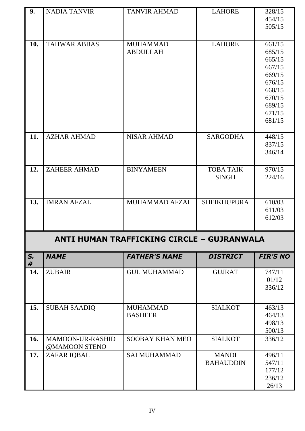| <b>LAHORE</b><br>328/15                              |
|------------------------------------------------------|
| 454/15                                               |
| 505/15                                               |
|                                                      |
| 661/15<br><b>LAHORE</b>                              |
| 685/15                                               |
| 665/15                                               |
| 667/15                                               |
| 669/15                                               |
| 676/15                                               |
| 668/15                                               |
| 670/15<br>689/15                                     |
| 671/15                                               |
| 681/15                                               |
|                                                      |
| <b>SARGODHA</b><br>448/15                            |
| 837/15                                               |
| 346/14                                               |
|                                                      |
| <b>TOBA TAIK</b><br>970/15<br><b>SINGH</b><br>224/16 |
|                                                      |
|                                                      |
| <b>SHEIKHUPURA</b><br>610/03                         |
| 611/03                                               |
| 612/03                                               |
|                                                      |
| ANTI HUMAN TRAFFICKING CIRCLE - GUJRANWALA           |
| <b>FIR'S NO</b><br><b>DISTRICT</b>                   |
| 747/11<br><b>GUJRAT</b>                              |
| 01/12                                                |
| 336/12                                               |
|                                                      |
| <b>SIALKOT</b><br>463/13                             |
| 464/13                                               |
| 498/13                                               |
| 500/13                                               |
| <b>SIALKOT</b><br>336/12                             |
|                                                      |
| <b>MANDI</b><br>496/11                               |
| <b>BAHAUDDIN</b><br>547/11<br>177/12                 |
| 236/12                                               |
| 26/13                                                |
|                                                      |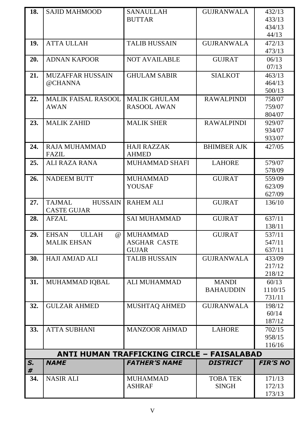| 18. | <b>SAJID MAHMOOD</b>                     | <b>SANAULLAH</b>                           | <b>GUJRANWALA</b>  | 432/13           |
|-----|------------------------------------------|--------------------------------------------|--------------------|------------------|
|     |                                          | <b>BUTTAR</b>                              |                    | 433/13           |
|     |                                          |                                            |                    | 434/13           |
|     |                                          |                                            |                    | 44/13            |
| 19. | <b>ATTA ULLAH</b>                        | <b>TALIB HUSSAIN</b>                       | <b>GUJRANWALA</b>  | 472/13           |
|     |                                          |                                            |                    | 473/13           |
| 20. | <b>ADNAN KAPOOR</b>                      | <b>NOT AVAILABLE</b>                       | <b>GUJRAT</b>      | 06/13            |
|     |                                          |                                            |                    | 07/13            |
| 21. | MUZAFFAR HUSSAIN                         | <b>GHULAM SABIR</b>                        | <b>SIALKOT</b>     | 463/13           |
|     | @CHANNA                                  |                                            |                    | 464/13           |
|     |                                          |                                            |                    | 500/13           |
| 22. | <b>MALIK FAISAL RASOOL</b>               | <b>MALIK GHULAM</b>                        | <b>RAWALPINDI</b>  | 758/07           |
|     | <b>AWAN</b>                              | <b>RASOOL AWAN</b>                         |                    | 759/07           |
|     |                                          |                                            |                    | 804/07           |
| 23. | <b>MALIK ZAHID</b>                       | <b>MALIK SHER</b>                          | <b>RAWALPINDI</b>  | 929/07           |
|     |                                          |                                            |                    | 934/07           |
|     |                                          |                                            |                    | 933/07           |
| 24. | <b>RAJA MUHAMMAD</b>                     | <b>HAJI RAZZAK</b>                         | <b>BHIMBER AJK</b> | 427/05           |
|     | <b>FAZIL</b>                             | <b>AHMED</b>                               |                    |                  |
| 25. | <b>ALI RAZA RANA</b>                     | <b>MUHAMMAD SHAFI</b>                      | <b>LAHORE</b>      | 579/07           |
|     |                                          |                                            |                    | 578/09           |
| 26. | <b>NADEEM BUTT</b>                       | <b>MUHAMMAD</b><br><b>YOUSAF</b>           | <b>GUJRAT</b>      | 559/09<br>623/09 |
|     |                                          |                                            |                    | 627/09           |
| 27. | <b>TAJMAL</b><br><b>HUSSAIN</b>          | <b>RAHEM ALI</b>                           | <b>GUJRAT</b>      | 136/10           |
|     | <b>CASTE GUJAR</b>                       |                                            |                    |                  |
| 28. | <b>AFZAL</b>                             | <b>SAI MUHAMMAD</b>                        | <b>GUJRAT</b>      | 637/11           |
|     |                                          |                                            |                    | 138/11           |
| 29. | <b>EHSAN</b><br><b>ULLAH</b><br>$\omega$ | <b>MUHAMMAD</b>                            | <b>GUJRAT</b>      | 537/11           |
|     | <b>MALIK EHSAN</b>                       | <b>ASGHAR CASTE</b>                        |                    | 547/11           |
|     |                                          | <b>GUJAR</b>                               |                    | 637/11           |
| 30. | <b>HAJI AMJAD ALI</b>                    | <b>TALIB HUSSAIN</b>                       | <b>GUJRANWALA</b>  | 433/09           |
|     |                                          |                                            |                    | 217/12           |
|     |                                          |                                            |                    | 218/12           |
| 31. | MUHAMMAD IQBAL                           | <b>ALI MUHAMMAD</b>                        | <b>MANDI</b>       | 60/13            |
|     |                                          |                                            | <b>BAHAUDDIN</b>   | 1110/15          |
|     |                                          |                                            |                    | 731/11           |
| 32. | <b>GULZAR AHMED</b>                      | <b>MUSHTAQ AHMED</b>                       | <b>GUJRANWALA</b>  | 198/12           |
|     |                                          |                                            |                    | 60/14            |
|     |                                          |                                            |                    | 187/12           |
| 33. | <b>ATTA SUBHANI</b>                      | <b>MANZOOR AHMAD</b>                       | <b>LAHORE</b>      | 702/15           |
|     |                                          |                                            |                    | 958/15           |
|     |                                          |                                            |                    | 116/16           |
|     |                                          | ANTI HUMAN TRAFFICKING CIRCLE - FAISALABAD |                    |                  |
| S.  | <b>NAME</b>                              | <b>FATHER'S NAME</b>                       | <b>DISTRICT</b>    | <b>FIR'S NO</b>  |
| #   |                                          |                                            |                    |                  |
| 34. | <b>NASIR ALI</b>                         | <b>MUHAMMAD</b>                            | <b>TOBA TEK</b>    | 171/13           |
|     |                                          | <b>ASHRAF</b>                              | <b>SINGH</b>       | 172/13           |
|     |                                          |                                            |                    | 173/13           |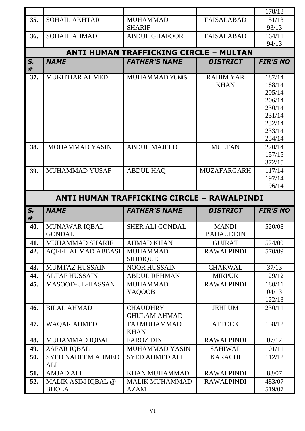|                                            |                           |                                        |                    | 178/13          |  |  |
|--------------------------------------------|---------------------------|----------------------------------------|--------------------|-----------------|--|--|
| 35.                                        | <b>SOHAIL AKHTAR</b>      | <b>MUHAMMAD</b>                        | <b>FAISALABAD</b>  | 151/13          |  |  |
|                                            |                           | <b>SHARIF</b>                          |                    | 93/13           |  |  |
|                                            |                           |                                        |                    |                 |  |  |
| 36.                                        | <b>SOHAIL AHMAD</b>       | <b>ABDUL GHAFOOR</b>                   | <b>FAISALABAD</b>  | 164/11          |  |  |
|                                            |                           |                                        |                    | 94/13           |  |  |
|                                            |                           | ANTI HUMAN TRAFFICKING CIRCLE - MULTAN |                    |                 |  |  |
| S.<br>#                                    | <b>NAME</b>               | <b>FATHER'S NAME</b>                   | <b>DISTRICT</b>    | <b>FIR'S NO</b> |  |  |
| 37.                                        | MUKHTIAR AHMED            | <b>MUHAMMAD YUNIS</b>                  | <b>RAHIM YAR</b>   | 187/14          |  |  |
|                                            |                           |                                        | <b>KHAN</b>        | 188/14          |  |  |
|                                            |                           |                                        |                    | 205/14          |  |  |
|                                            |                           |                                        |                    | 206/14          |  |  |
|                                            |                           |                                        |                    | 230/14          |  |  |
|                                            |                           |                                        |                    | 231/14          |  |  |
|                                            |                           |                                        |                    | 232/14          |  |  |
|                                            |                           |                                        |                    | 233/14          |  |  |
|                                            |                           |                                        |                    | 234/14          |  |  |
| 38.                                        | <b>MOHAMMAD YASIN</b>     | <b>ABDUL MAJEED</b>                    | <b>MULTAN</b>      | 220/14          |  |  |
|                                            |                           |                                        |                    | 157/15          |  |  |
|                                            |                           |                                        |                    | 372/15          |  |  |
| 39.                                        | MUHAMMAD YUSAF            | <b>ABDUL HAQ</b>                       | <b>MUZAFARGARH</b> | 117/14          |  |  |
|                                            |                           |                                        |                    | 197/14          |  |  |
|                                            |                           |                                        |                    | 196/14          |  |  |
| ANTI HUMAN TRAFFICKING CIRCLE - RAWALPINDI |                           |                                        |                    |                 |  |  |
|                                            |                           |                                        |                    |                 |  |  |
| S.                                         | <b>NAME</b>               | <b>FATHER'S NAME</b>                   | <b>DISTRICT</b>    | <b>FIR'S NO</b> |  |  |
| #                                          |                           |                                        |                    |                 |  |  |
| 40.                                        | <b>MUNAWAR IQBAL</b>      | <b>SHER ALI GONDAL</b>                 | <b>MANDI</b>       | 520/08          |  |  |
|                                            | <b>GONDAL</b>             |                                        | <b>BAHAUDDIN</b>   |                 |  |  |
| 41.                                        | <b>MUHAMMAD SHARIF</b>    | <b>AHMAD KHAN</b>                      | <b>GUJRAT</b>      | 524/09          |  |  |
| 42.                                        | <b>AQEEL AHMAD ABBASI</b> | <b>MUHAMMAD</b>                        | <b>RAWALPINDI</b>  | 570/09          |  |  |
|                                            |                           | <b>SIDDIQUE</b>                        |                    |                 |  |  |
| 43.                                        | <b>MUMTAZ HUSSAIN</b>     | <b>NOOR HUSSAIN</b>                    | <b>CHAKWAL</b>     | 37/13           |  |  |
| 44.                                        | <b>ALTAF HUSSAIN</b>      | <b>ABDUL REHMAN</b>                    | <b>MIRPUR</b>      | 129/12          |  |  |
| 45.                                        | MASOOD-UL-HASSAN          | <b>MUHAMMAD</b>                        | <b>RAWALPINDI</b>  | 180/11<br>04/13 |  |  |
|                                            |                           | YAQOOB                                 |                    | 122/13          |  |  |
| 46.                                        | <b>BILAL AHMAD</b>        | <b>CHAUDHRY</b>                        | <b>JEHLUM</b>      |                 |  |  |
|                                            |                           | <b>GHULAM AHMAD</b>                    |                    | 230/11          |  |  |
| 47.                                        | <b>WAQAR AHMED</b>        | TAJ MUHAMMAD                           | <b>ATTOCK</b>      | 158/12          |  |  |
|                                            |                           | <b>KHAN</b>                            |                    |                 |  |  |
| 48.                                        | MUHAMMAD IQBAL            | <b>FAROZ DIN</b>                       | <b>RAWALPINDI</b>  | 07/12           |  |  |
| 49.                                        | ZAFAR IQBAL               | MUHAMMAD YASIN                         | <b>SAHIWAL</b>     | 101/11          |  |  |
| 50.                                        | <b>SYED NADEEM AHMED</b>  | <b>SYED AHMED ALI</b>                  | <b>KARACHI</b>     | 112/12          |  |  |
|                                            | ALI                       |                                        |                    |                 |  |  |
| 51.                                        | <b>AMJAD ALI</b>          | <b>KHAN MUHAMMAD</b>                   | <b>RAWALPINDI</b>  | 83/07           |  |  |
| 52.                                        | MALIK ASIM IQBAL @        | <b>MALIK MUHAMMAD</b>                  | <b>RAWALPINDI</b>  | 483/07          |  |  |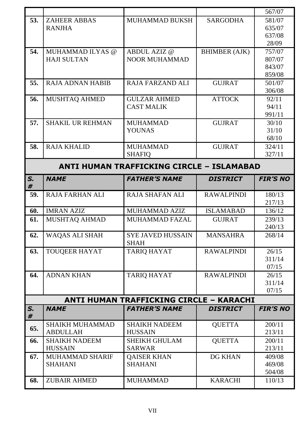|                                           |                         |                                         |                      | 567/07           |  |
|-------------------------------------------|-------------------------|-----------------------------------------|----------------------|------------------|--|
| 53.                                       | <b>ZAHEER ABBAS</b>     | <b>MUHAMMAD BUKSH</b>                   | <b>SARGODHA</b>      | 581/07           |  |
|                                           | <b>RANJHA</b>           |                                         |                      | 635/07           |  |
|                                           |                         |                                         |                      | 637/08           |  |
|                                           |                         |                                         |                      | 28/09            |  |
| 54.                                       | MUHAMMAD ILYAS @        | <b>ABDUL AZIZ @</b>                     | <b>BHIMBER (AJK)</b> | 757/07           |  |
|                                           | <b>HAJI SULTAN</b>      | <b>NOOR MUHAMMAD</b>                    |                      | 807/07           |  |
|                                           |                         |                                         |                      | 843/07           |  |
|                                           |                         |                                         |                      | 859/08           |  |
| 55.                                       | <b>RAJA ADNAN HABIB</b> | <b>RAJA FARZAND ALI</b>                 | <b>GUJRAT</b>        | 501/07           |  |
|                                           |                         |                                         |                      | 306/08           |  |
| 56.                                       | MUSHTAQ AHMED           | <b>GULZAR AHMED</b>                     | <b>ATTOCK</b>        | 92/11            |  |
|                                           |                         | <b>CAST MALIK</b>                       |                      | 94/11            |  |
|                                           |                         |                                         |                      | 991/11           |  |
| 57.                                       | <b>SHAKIL UR REHMAN</b> | <b>MUHAMMAD</b>                         | <b>GUJRAT</b>        | 30/10            |  |
|                                           |                         | <b>YOUNAS</b>                           |                      | 31/10            |  |
|                                           |                         |                                         |                      | 68/10            |  |
| 58.                                       | <b>RAJA KHALID</b>      | <b>MUHAMMAD</b>                         | <b>GUJRAT</b>        | 324/11           |  |
|                                           |                         | <b>SHAFIO</b>                           |                      | 327/11           |  |
| ANTI HUMAN TRAFFICKING CIRCLE - ISLAMABAD |                         |                                         |                      |                  |  |
| S.<br>#                                   | <b>NAME</b>             | <b>FATHER'S NAME</b>                    | <b>DISTRICT</b>      | <b>FIR'S NO</b>  |  |
| 59.                                       | <b>RAJA FARHAN ALI</b>  | <b>RAJA SHAFAN ALI</b>                  | <b>RAWALPINDI</b>    | 180/13<br>217/13 |  |
| 60.                                       | <b>IMRAN AZIZ</b>       | MUHAMMAD AZIZ                           | <b>ISLAMABAD</b>     | 136/12           |  |
| 61.                                       | <b>MUSHTAQ AHMAD</b>    | <b>MUHAMMAD FAZAL</b>                   | <b>GUJRAT</b>        | 239/13           |  |
|                                           |                         |                                         |                      | 240/13           |  |
| 62.                                       | WAQAS ALI SHAH          | <b>SYE JAVED HUSSAIN</b><br><b>SHAH</b> | <b>MANSAHRA</b>      | 268/14           |  |
| 63.                                       | <b>TOUQEER HAYAT</b>    | <b>TARIQ HAYAT</b>                      | <b>RAWALPINDI</b>    | 26/15            |  |
|                                           |                         |                                         |                      | 311/14           |  |
|                                           |                         |                                         |                      | 07/15            |  |
| 64.                                       | <b>ADNAN KHAN</b>       | <b>TARIQ HAYAT</b>                      | <b>RAWALPINDI</b>    | 26/15            |  |
|                                           |                         |                                         |                      | 311/14           |  |
|                                           |                         |                                         |                      | 07/15            |  |
|                                           |                         | ANTI HUMAN TRAFFICKING CIRCLE - KARACHI |                      |                  |  |
| S.<br>#                                   | <b>NAME</b>             | <b>FATHER'S NAME</b>                    | <b>DISTRICT</b>      | <b>FIR'S NO</b>  |  |
| 65.                                       | <b>SHAIKH MUHAMMAD</b>  | <b>SHAIKH NADEEM</b>                    | <b>QUETTA</b>        | 200/11           |  |
|                                           | <b>ABDULLAH</b>         | <b>HUSSAIN</b>                          |                      | 213/11           |  |
| 66.                                       | <b>SHAIKH NADEEM</b>    | <b>SHEIKH GHULAM</b>                    | <b>QUETTA</b>        | 200/11           |  |
|                                           | <b>HUSSAIN</b>          | <b>SARWAR</b>                           |                      | 213/11           |  |
| 67.                                       | <b>MUHAMMAD SHARIF</b>  | <b>QAISER KHAN</b>                      | <b>DG KHAN</b>       | 409/08           |  |
|                                           | <b>SHAHANI</b>          | <b>SHAHANI</b>                          |                      | 469/08           |  |
|                                           |                         |                                         |                      | 504/08           |  |
| 68.                                       | <b>ZUBAIR AHMED</b>     | <b>MUHAMMAD</b>                         | <b>KARACHI</b>       | 110/13           |  |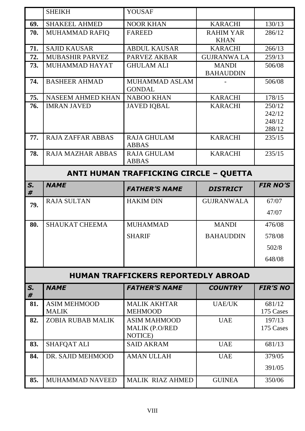|         | <b>SHEIKH</b>                       | <b>YOUSAF</b>                                           |                                  |                                      |
|---------|-------------------------------------|---------------------------------------------------------|----------------------------------|--------------------------------------|
| 69.     | <b>SHAKEEL AHMED</b>                | <b>NOOR KHAN</b>                                        | <b>KARACHI</b>                   | 130/13                               |
| 70.     | <b>MUHAMMAD RAFIO</b>               | <b>FAREED</b>                                           | <b>RAHIM YAR</b><br><b>KHAN</b>  | 286/12                               |
| 71.     | <b>SAJID KAUSAR</b>                 | <b>ABDUL KAUSAR</b>                                     | <b>KARACHI</b>                   | 266/13                               |
| 72.     | <b>MUBASHIR PARVEZ</b>              | <b>PARVEZ AKBAR</b>                                     | <b>GUJRANWA LA</b>               | 259/13                               |
| 73.     | MUHAMMAD HAYAT                      | <b>GHULAM ALI</b>                                       | <b>MANDI</b><br><b>BAHAUDDIN</b> | 506/08                               |
| 74.     | <b>BASHEER AHMAD</b>                | MUHAMMAD ASLAM<br><b>GONDAL</b>                         |                                  | 506/08                               |
| 75.     | <b>NASEEM AHMED KHAN</b>            | <b>NABOO KHAN</b>                                       | <b>KARACHI</b>                   | 178/15                               |
| 76.     | <b>IMRAN JAVED</b>                  | <b>JAVED IQBAL</b>                                      | <b>KARACHI</b>                   | 250/12<br>242/12<br>248/12<br>288/12 |
| 77.     | <b>RAJA ZAFFAR ABBAS</b>            | <b>RAJA GHULAM</b><br><b>ABBAS</b>                      | <b>KARACHI</b>                   | 235/15                               |
| 78.     | <b>RAJA MAZHAR ABBAS</b>            | <b>RAJA GHULAM</b><br><b>ABBAS</b>                      | <b>KARACHI</b>                   | 235/15                               |
|         |                                     | <b>ANTI HUMAN TRAFFICKING CIRCLE - QUETTA</b>           |                                  |                                      |
| S.<br># | <b>NAME</b>                         | <b>FATHER'S NAME</b>                                    | <b>DISTRICT</b>                  | <b>FIR NO'S</b>                      |
|         |                                     |                                                         |                                  |                                      |
| 79.     | <b>RAJA SULTAN</b>                  | <b>HAKIM DIN</b>                                        | <b>GUJRANWALA</b>                | 67/07<br>47/07                       |
| 80.     | <b>SHAUKAT CHEEMA</b>               | <b>MUHAMMAD</b>                                         | <b>MANDI</b>                     | 476/08                               |
|         |                                     |                                                         |                                  |                                      |
|         |                                     | <b>SHARIF</b>                                           | <b>BAHAUDDIN</b>                 | 578/08                               |
|         |                                     |                                                         |                                  | 502/8                                |
|         |                                     |                                                         |                                  | 648/08                               |
|         |                                     | <b>HUMAN TRAFFICKERS REPORTEDLY ABROAD</b>              |                                  |                                      |
| S.<br># | <b>NAME</b>                         | <b>FATHER'S NAME</b>                                    | <b>COUNTRY</b>                   | <b>FIR'S NO</b>                      |
| 81.     | <b>ASIM MEHMOOD</b><br><b>MALIK</b> | <b>MALIK AKHTAR</b><br><b>MEHMOOD</b>                   | <b>UAE/UK</b>                    | 681/12<br>175 Cases                  |
| 82.     | <b>ZOBIA RUBAB MALIK</b>            | <b>ASIM MAHMOOD</b><br><b>MALIK (P.O/RED</b><br>NOTICE) | <b>UAE</b>                       | 197/13<br>175 Cases                  |
| 83.     | <b>SHAFQAT ALI</b>                  | <b>SAID AKRAM</b>                                       | <b>UAE</b>                       | 681/13                               |
| 84.     | DR. SAJID MEHMOOD                   | <b>AMAN ULLAH</b>                                       | <b>UAE</b>                       | 379/05                               |
|         | MUHAMMAD NAVEED                     | <b>MALIK RIAZ AHMED</b>                                 | <b>GUINEA</b>                    | 391/05                               |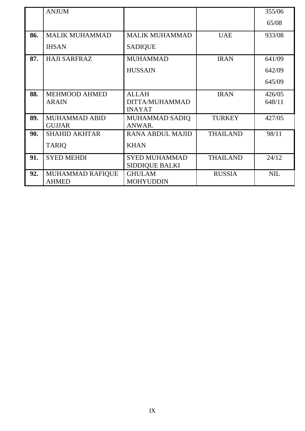|     | <b>ANJUM</b>                   |                                 |                 | 355/06     |
|-----|--------------------------------|---------------------------------|-----------------|------------|
|     |                                |                                 |                 | 65/08      |
| 86. | <b>MALIK MUHAMMAD</b>          | <b>MALIK MUHAMMAD</b>           | <b>UAE</b>      | 933/08     |
|     | <b>IHSAN</b>                   | <b>SADIQUE</b>                  |                 |            |
| 87. | <b>HAJI SARFRAZ</b>            | <b>MUHAMMAD</b>                 | <b>IRAN</b>     | 641/09     |
|     |                                | <b>HUSSAIN</b>                  |                 | 642/09     |
|     |                                |                                 |                 | 645/09     |
| 88. | <b>MEHMOOD AHMED</b>           | <b>ALLAH</b>                    | <b>IRAN</b>     | 426/05     |
|     | <b>ARAIN</b>                   | DITTA/MUHAMMAD<br><b>INAYAT</b> |                 | 648/11     |
| 89. | MUHAMMAD ABID<br><b>GUJJAR</b> | MUHAMMAD SADIQ<br>ANWAR.        | <b>TURKEY</b>   | 427/05     |
| 90. | <b>SHAHID AKHTAR</b>           | <b>RANA ABDUL MAJID</b>         | <b>THAILAND</b> | 98/11      |
|     | <b>TARIQ</b>                   | <b>KHAN</b>                     |                 |            |
| 91. | <b>SYED MEHDI</b>              | <b>SYED MUHAMMAD</b>            | <b>THAILAND</b> | 24/12      |
|     |                                | <b>SIDDIQUE BALKI</b>           |                 |            |
| 92. | MUHAMMAD RAFIQUE               | <b>GHULAM</b>                   | <b>RUSSIA</b>   | <b>NIL</b> |
|     | <b>AHMED</b>                   | <b>MOHYUDDIN</b>                |                 |            |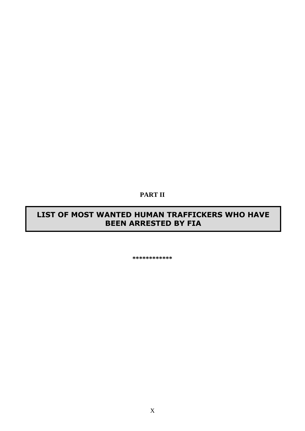#### **PART II**

## **LIST OF MOST WANTED HUMAN TRAFFICKERS WHO HAVE BEEN ARRESTED BY FIA**

**\*\*\*\*\*\*\*\*\*\*\*\***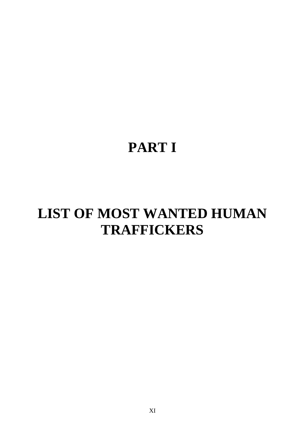# **PART I**

# **LIST OF MOST WANTED HUMAN TRAFFICKERS**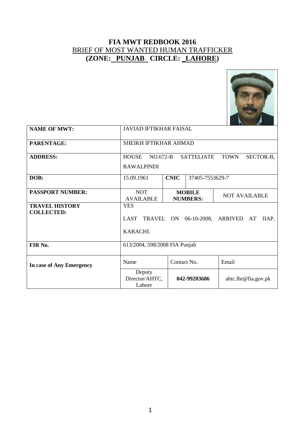

| <b>NAME OF MWT:</b>                        | <b>JAVIAD IFTIKHAR FAISAL</b>                                                                    |                                |                                  |                      |  |
|--------------------------------------------|--------------------------------------------------------------------------------------------------|--------------------------------|----------------------------------|----------------------|--|
| PARENTAGE:                                 | SHEIKH IFTIKHAR AHMAD                                                                            |                                |                                  |                      |  |
| <b>ADDRESS:</b>                            | $NO.672-B$<br><b>SATTELIATE</b><br><b>HOUSE</b><br><b>TOWN</b><br>SECTOR-B,<br><b>RAWALPINDI</b> |                                |                                  |                      |  |
| DOB:                                       | 15.09.1961                                                                                       | <b>CNIC</b><br>37405-7553629-7 |                                  |                      |  |
| <b>PASSPORT NUMBER:</b>                    | <b>NOT</b><br><b>AVAILABLE</b>                                                                   |                                | <b>MOBILE</b><br><b>NUMBERS:</b> | <b>NOT AVAILABLE</b> |  |
| <b>TRAVEL HISTORY</b><br><b>COLLECTED:</b> | <b>YES</b><br>LAST TRAVEL ON 06-10-2008, ARRIVED<br>JIAP,<br>AT<br>KARACHI.                      |                                |                                  |                      |  |
| FIR No.                                    | 613/2004, 598/2008 FIA Punjab                                                                    |                                |                                  |                      |  |
| In case of Any Emergency                   | Name<br>Email<br>Contact No.                                                                     |                                |                                  |                      |  |
|                                            | Deputy<br>Director/AHTC,<br>Lahore                                                               |                                | 042-99203686                     | ahtc.lhr@fia.gov.pk  |  |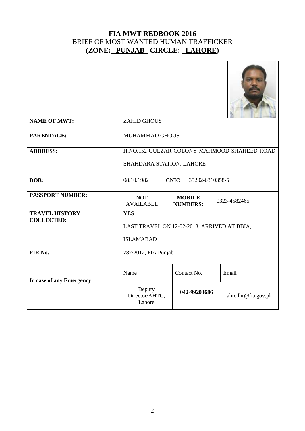

| <b>NAME OF MWT:</b>                        | <b>ZAHID GHOUS</b>                                                                 |                                |              |                     |  |
|--------------------------------------------|------------------------------------------------------------------------------------|--------------------------------|--------------|---------------------|--|
| PARENTAGE:                                 | MUHAMMAD GHOUS                                                                     |                                |              |                     |  |
| <b>ADDRESS:</b>                            | H.NO.152 GULZAR COLONY MAHMOOD SHAHEED ROAD<br>SHAHDARA STATION, LAHORE            |                                |              |                     |  |
| DOB:                                       | 08.10.1982                                                                         | <b>CNIC</b><br>35202-6310358-5 |              |                     |  |
| <b>PASSPORT NUMBER:</b>                    | <b>NOT</b><br><b>MOBILE</b><br>0323-4582465<br><b>AVAILABLE</b><br><b>NUMBERS:</b> |                                |              |                     |  |
| <b>TRAVEL HISTORY</b><br><b>COLLECTED:</b> | <b>YES</b><br>LAST TRAVEL ON 12-02-2013, ARRIVED AT BBIA,<br><b>ISLAMABAD</b>      |                                |              |                     |  |
| FIR No.                                    | 787/2012, FIA Punjab                                                               |                                |              |                     |  |
| In case of any Emergency                   | Name                                                                               | Contact No.                    |              | Email               |  |
|                                            | Deputy<br>Director/AHTC,<br>Lahore                                                 |                                | 042-99203686 | ahtc.lhr@fia.gov.pk |  |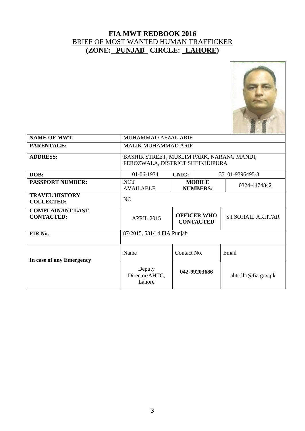

| <b>NAME OF MWT:</b>                          | MUHAMMAD AFZAL ARIF                                                           |                                                                    |              |                        |  |
|----------------------------------------------|-------------------------------------------------------------------------------|--------------------------------------------------------------------|--------------|------------------------|--|
| PARENTAGE:                                   | <b>MALIK MUHAMMAD ARIF</b>                                                    |                                                                    |              |                        |  |
| <b>ADDRESS:</b>                              | BASHIR STREET, MUSLIM PARK, NARANG MANDI,<br>FEROZWALA, DISTRICT SHEIKHUPURA. |                                                                    |              |                        |  |
| DOB:                                         | 01-06-1974                                                                    | <b>CNIC:</b>                                                       |              | 37101-9796495-3        |  |
| <b>PASSPORT NUMBER:</b>                      | <b>NOT</b><br><b>AVAILABLE</b>                                                | <b>MOBILE</b><br><b>NUMBERS:</b>                                   |              | 0324-4474842           |  |
| <b>TRAVEL HISTORY</b><br><b>COLLECTED:</b>   | N <sub>O</sub>                                                                |                                                                    |              |                        |  |
| <b>COMPLAINANT LAST</b><br><b>CONTACTED:</b> | <b>APRIL 2015</b>                                                             | <b>OFFICER WHO</b><br><b>S.I SOHAIL AKHTAR</b><br><b>CONTACTED</b> |              |                        |  |
| FIR No.                                      | 87/2015, 531/14 FIA Punjab                                                    |                                                                    |              |                        |  |
| In case of any Emergency                     | Name                                                                          | Contact No.                                                        |              | Email                  |  |
|                                              | Deputy<br>Director/AHTC,<br>Lahore                                            |                                                                    | 042-99203686 | $a$ htc.lhr@fia.gov.pk |  |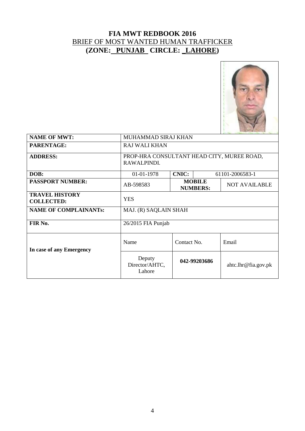

| <b>NAME OF MWT:</b>                        | MUHAMMAD SIRAJ KHAN                                                   |              |  |                        |  |
|--------------------------------------------|-----------------------------------------------------------------------|--------------|--|------------------------|--|
| PARENTAGE:                                 | <b>RAJ WALI KHAN</b>                                                  |              |  |                        |  |
| <b>ADDRESS:</b>                            | PROP-HRA CONSULTANT HEAD CITY, MUREE ROAD,<br>RAWALPINDI.             |              |  |                        |  |
| DOB:                                       | <b>CNIC:</b><br>01-01-1978<br>61101-2006583-1                         |              |  |                        |  |
| <b>PASSPORT NUMBER:</b>                    | <b>MOBILE</b><br><b>NOT AVAILABLE</b><br>AB-598583<br><b>NUMBERS:</b> |              |  |                        |  |
| <b>TRAVEL HISTORY</b><br><b>COLLECTED:</b> | <b>YES</b>                                                            |              |  |                        |  |
| <b>NAME OF COMPLAINANTs:</b>               | MAJ. (R) SAQLAIN SHAH                                                 |              |  |                        |  |
| FIR No.                                    | $26/2015$ FIA Punjab                                                  |              |  |                        |  |
| In case of any Emergency                   | Name                                                                  | Contact No.  |  | Email                  |  |
|                                            | Deputy<br>Director/AHTC,<br>Lahore                                    | 042-99203686 |  | $a$ htc.lhr@fia.gov.pk |  |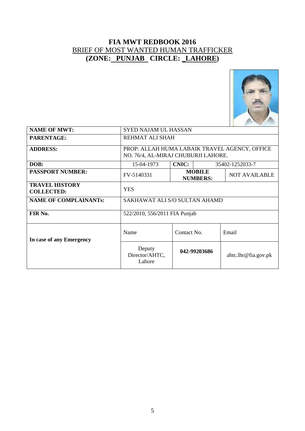

| <b>NAME OF MWT:</b>                        | <b>SYED NAJAM UL HASSAN</b>                                                          |              |                                  |                        |  |
|--------------------------------------------|--------------------------------------------------------------------------------------|--------------|----------------------------------|------------------------|--|
| <b>PARENTAGE:</b>                          | REHMAT ALI SHAH                                                                      |              |                                  |                        |  |
| <b>ADDRESS:</b>                            | PROP: ALLAH HUMA LABAIK TRAVEL AGENCY, OFFICE<br>NO. 76/4, AL-MIRAJ CHUBURJI LAHORE. |              |                                  |                        |  |
| DOB:                                       | 15-04-1973                                                                           | <b>CNIC:</b> |                                  | 35402-1252033-7        |  |
| <b>PASSPORT NUMBER:</b>                    | FV-5140331                                                                           |              | <b>MOBILE</b><br><b>NUMBERS:</b> | <b>NOT AVAILABLE</b>   |  |
| <b>TRAVEL HISTORY</b><br><b>COLLECTED:</b> | <b>YES</b>                                                                           |              |                                  |                        |  |
| <b>NAME OF COMPLAINANTs:</b>               | SAKHAWAT ALI S/O SULTAN AHAMD                                                        |              |                                  |                        |  |
| FIR No.                                    | 522/2010, 556/2011 FIA Punjab                                                        |              |                                  |                        |  |
| In case of any Emergency                   | Name                                                                                 | Contact No.  |                                  | Email                  |  |
|                                            | Deputy<br>Director/AHTC,<br>Lahore                                                   |              | 042-99203686                     | $a$ htc.lhr@fia.gov.pk |  |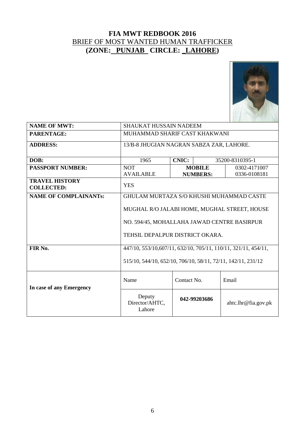

| <b>NAME OF MWT:</b>                        | <b>SHAUKAT HUSSAIN NADEEM</b>                                                                                                  |             |                 |                        |  |
|--------------------------------------------|--------------------------------------------------------------------------------------------------------------------------------|-------------|-----------------|------------------------|--|
| <b>PARENTAGE:</b>                          | MUHAMMAD SHARIF CAST KHAKWANI                                                                                                  |             |                 |                        |  |
| <b>ADDRESS:</b>                            | 13/B-8 JHUGIAN NAGRAN SABZA ZAR, LAHORE.                                                                                       |             |                 |                        |  |
|                                            |                                                                                                                                |             |                 |                        |  |
| DOB:                                       | <b>CNIC:</b><br>1965<br>35200-8310395-1                                                                                        |             |                 |                        |  |
| <b>PASSPORT NUMBER:</b>                    | <b>NOT</b>                                                                                                                     |             | <b>MOBILE</b>   | 0302-4171007           |  |
|                                            | <b>AVAILABLE</b>                                                                                                               |             | <b>NUMBERS:</b> | 0336-0108181           |  |
| <b>TRAVEL HISTORY</b><br><b>COLLECTED:</b> | <b>YES</b>                                                                                                                     |             |                 |                        |  |
| <b>NAME OF COMPLAINANTS:</b>               | GHULAM MURTAZA S/O KHUSHI MUHAMMAD CASTE                                                                                       |             |                 |                        |  |
|                                            | MUGHAL R/O JALABI HOME, MUGHAL STREET, HOUSE<br>NO. 594/45, MOHALLAHA JAWAD CENTRE BASIRPUR<br>TEHSIL DEPALPUR DISTRICT OKARA. |             |                 |                        |  |
| FIR No.                                    | 447/10, 553/10, 607/11, 632/10, 705/11, 110/11, 321/11, 454/11,                                                                |             |                 |                        |  |
|                                            | 515/10, 544/10, 652/10, 706/10, 58/11, 72/11, 142/11, 231/12                                                                   |             |                 |                        |  |
| In case of any Emergency                   | Name                                                                                                                           | Contact No. |                 | Email                  |  |
|                                            | Deputy<br>Director/AHTC,<br>Lahore                                                                                             |             | 042-99203686    | $a$ htc.lhr@fia.gov.pk |  |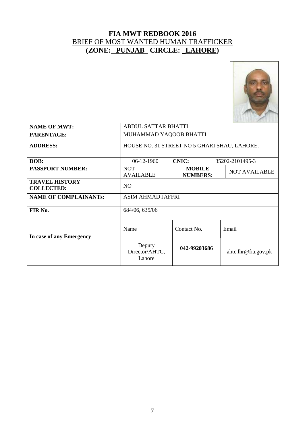

| <b>NAME OF MWT:</b>                        | <b>ABDUL SATTAR BHATTI</b>                   |              |                                  |                        |  |
|--------------------------------------------|----------------------------------------------|--------------|----------------------------------|------------------------|--|
| <b>PARENTAGE:</b>                          | MUHAMMAD YAQOOB BHATTI                       |              |                                  |                        |  |
| <b>ADDRESS:</b>                            | HOUSE NO. 31 STREET NO 5 GHARI SHAU, LAHORE. |              |                                  |                        |  |
| DOB:                                       | $06-12-1960$                                 | <b>CNIC:</b> |                                  | 35202-2101495-3        |  |
| <b>PASSPORT NUMBER:</b>                    | <b>NOT</b><br><b>AVAILABLE</b>               |              | <b>MOBILE</b><br><b>NUMBERS:</b> | <b>NOT AVAILABLE</b>   |  |
| <b>TRAVEL HISTORY</b><br><b>COLLECTED:</b> | N <sub>O</sub>                               |              |                                  |                        |  |
| <b>NAME OF COMPLAINANTs:</b>               | <b>ASIM AHMAD JAFFRI</b>                     |              |                                  |                        |  |
| FIR No.                                    | 684/06, 635/06                               |              |                                  |                        |  |
| In case of any Emergency                   | Name                                         | Contact No.  |                                  | Email                  |  |
|                                            | Deputy<br>Director/AHTC,<br>Lahore           |              | 042-99203686                     | $a$ htc.lhr@fia.gov.pk |  |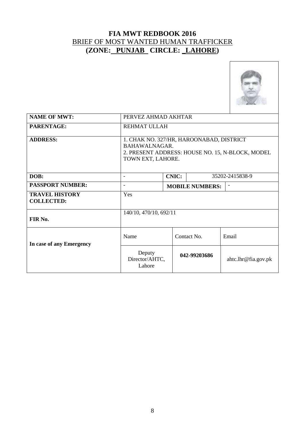

| <b>NAME OF MWT:</b>                        | PERVEZ AHMAD AKHTAR                                                                                                                |                                                    |              |                     |
|--------------------------------------------|------------------------------------------------------------------------------------------------------------------------------------|----------------------------------------------------|--------------|---------------------|
| PARENTAGE:                                 | REHMAT ULLAH                                                                                                                       |                                                    |              |                     |
| <b>ADDRESS:</b>                            | 1. CHAK NO. 327/HR, HAROONABAD, DISTRICT<br>BAHAWALNAGAR.<br>2. PRESENT ADDRESS: HOUSE NO. 15, N-BLOCK, MODEL<br>TOWN EXT, LAHORE. |                                                    |              |                     |
| DOB:                                       | <b>CNIC:</b><br>35202-2415838-9<br>$\qquad \qquad \blacksquare$                                                                    |                                                    |              |                     |
| <b>PASSPORT NUMBER:</b>                    | $\qquad \qquad \blacksquare$                                                                                                       | <b>MOBILE NUMBERS:</b><br>$\overline{\phantom{a}}$ |              |                     |
| <b>TRAVEL HISTORY</b><br><b>COLLECTED:</b> | Yes                                                                                                                                |                                                    |              |                     |
| FIR No.                                    | 140/10, 470/10, 692/11                                                                                                             |                                                    |              |                     |
| In case of any Emergency                   | Name                                                                                                                               |                                                    | Contact No.  | Email               |
|                                            | Deputy<br>Director/AHTC,<br>Lahore                                                                                                 |                                                    | 042-99203686 | ahtc.lhr@fia.gov.pk |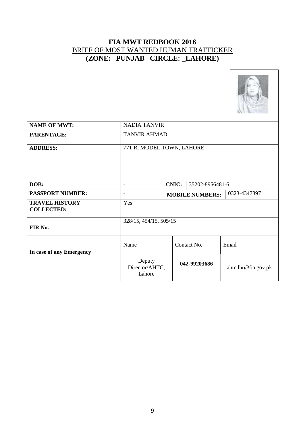

| <b>NAME OF MWT:</b>                        | <b>NADIA TANVIR</b>                |                                        |              |                     |  |
|--------------------------------------------|------------------------------------|----------------------------------------|--------------|---------------------|--|
| PARENTAGE:                                 | <b>TANVIR AHMAD</b>                |                                        |              |                     |  |
| <b>ADDRESS:</b>                            | 771-R, MODEL TOWN, LAHORE          |                                        |              |                     |  |
| DOB:                                       | $\qquad \qquad \blacksquare$       | <b>CNIC:</b><br>35202-8956481-6        |              |                     |  |
| <b>PASSPORT NUMBER:</b>                    | $\qquad \qquad \blacksquare$       | 0323-4347897<br><b>MOBILE NUMBERS:</b> |              |                     |  |
| <b>TRAVEL HISTORY</b><br><b>COLLECTED:</b> | Yes                                |                                        |              |                     |  |
| FIR No.                                    | 328/15, 454/15, 505/15             |                                        |              |                     |  |
| In case of any Emergency                   | Name                               |                                        | Contact No.  | Email               |  |
|                                            | Deputy<br>Director/AHTC,<br>Lahore |                                        | 042-99203686 | ahtc.lhr@fia.gov.pk |  |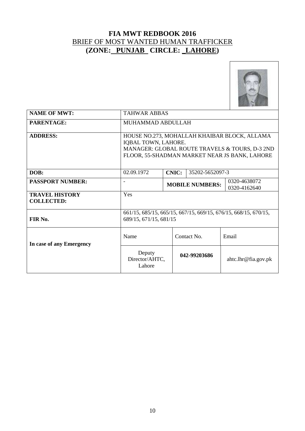

| <b>NAME OF MWT:</b>                        | <b>TAHWAR ABBAS</b>                                                                                                                                                    |                                                        |                 |                     |
|--------------------------------------------|------------------------------------------------------------------------------------------------------------------------------------------------------------------------|--------------------------------------------------------|-----------------|---------------------|
| PARENTAGE:                                 | MUHAMMAD ABDULLAH                                                                                                                                                      |                                                        |                 |                     |
| <b>ADDRESS:</b>                            | HOUSE NO.273, MOHALLAH KHAIBAR BLOCK, ALLAMA<br>IQBAL TOWN, LAHORE.<br>MANAGER: GLOBAL ROUTE TRAVELS & TOURS, D-3 2ND<br>FLOOR, 55-SHADMAN MARKET NEAR JS BANK, LAHORE |                                                        |                 |                     |
| DOB:                                       | 02.09.1972                                                                                                                                                             | <b>CNIC:</b>                                           | 35202-5652097-3 |                     |
| <b>PASSPORT NUMBER:</b>                    |                                                                                                                                                                        | 0320-4638072<br><b>MOBILE NUMBERS:</b><br>0320-4162640 |                 |                     |
| <b>TRAVEL HISTORY</b><br><b>COLLECTED:</b> | Yes                                                                                                                                                                    |                                                        |                 |                     |
| FIR No.                                    | 661/15, 685/15, 665/15, 667/15, 669/15, 676/15, 668/15, 670/15,<br>689/15, 671/15, 681/15                                                                              |                                                        |                 |                     |
| In case of any Emergency                   | Name                                                                                                                                                                   |                                                        | Contact No.     | Email               |
|                                            | Deputy<br>Director/AHTC,<br>Lahore                                                                                                                                     |                                                        | 042-99203686    | ahtc.lhr@fia.gov.pk |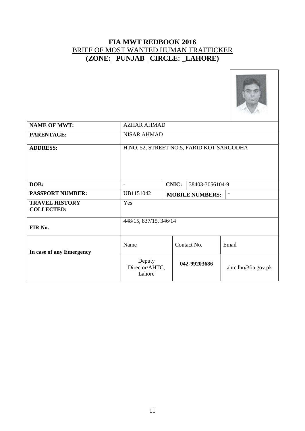

| <b>NAME OF MWT:</b>                        | <b>AZHAR AHMAD</b>                        |              |                 |                     |
|--------------------------------------------|-------------------------------------------|--------------|-----------------|---------------------|
| PARENTAGE:                                 | <b>NISAR AHMAD</b>                        |              |                 |                     |
| <b>ADDRESS:</b>                            | H.NO. 52, STREET NO.5, FARID KOT SARGODHA |              |                 |                     |
| DOB:                                       | $\qquad \qquad \blacksquare$              | <b>CNIC:</b> | 38403-3056104-9 |                     |
| <b>PASSPORT NUMBER:</b>                    | UB1151042<br><b>MOBILE NUMBERS:</b><br>-  |              |                 |                     |
| <b>TRAVEL HISTORY</b><br><b>COLLECTED:</b> | Yes                                       |              |                 |                     |
| FIR No.                                    | 448/15, 837/15, 346/14                    |              |                 |                     |
| In case of any Emergency                   | Name                                      |              | Contact No.     | Email               |
|                                            | Deputy<br>Director/AHTC,<br>Lahore        |              | 042-99203686    | ahtc.lhr@fia.gov.pk |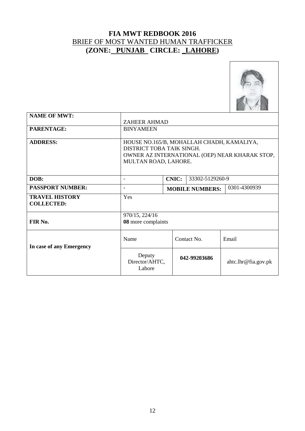

| <b>NAME OF MWT:</b>                        | <b>ZAHEER AHMAD</b>                                                                                                                              |  |                        |                     |
|--------------------------------------------|--------------------------------------------------------------------------------------------------------------------------------------------------|--|------------------------|---------------------|
| PARENTAGE:                                 | <b>BINYAMEEN</b>                                                                                                                                 |  |                        |                     |
| <b>ADDRESS:</b>                            | HOUSE NO.165/B, MOHALLAH CHADH, KAMALIYA,<br>DISTRICT TOBA TAIK SINGH.<br>OWNER AZ INTERNATIONAL (OEP) NEAR KHARAK STOP,<br>MULTAN ROAD, LAHORE. |  |                        |                     |
| DOB:                                       | <b>CNIC:</b><br>33302-5129260-9<br>$\overline{\phantom{0}}$                                                                                      |  |                        |                     |
| <b>PASSPORT NUMBER:</b>                    | $\qquad \qquad \blacksquare$                                                                                                                     |  | <b>MOBILE NUMBERS:</b> | 0301-4300939        |
| <b>TRAVEL HISTORY</b><br><b>COLLECTED:</b> | Yes                                                                                                                                              |  |                        |                     |
| FIR No.                                    | 970/15, 224/16<br>08 more complaints                                                                                                             |  |                        |                     |
| In case of any Emergency                   | Name                                                                                                                                             |  | Contact No.            | Email               |
|                                            | Deputy<br>Director/AHTC,<br>Lahore                                                                                                               |  | 042-99203686           | ahtc.lhr@fia.gov.pk |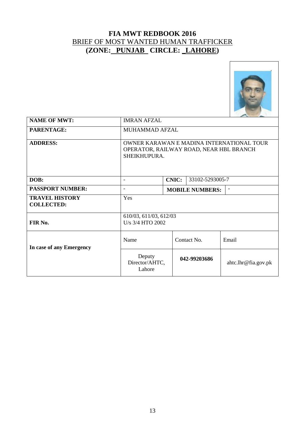

| <b>NAME OF MWT:</b>                        | <b>IMRAN AFZAL</b>                                                                                   |                                 |              |                     |  |
|--------------------------------------------|------------------------------------------------------------------------------------------------------|---------------------------------|--------------|---------------------|--|
| PARENTAGE:                                 | <b>MUHAMMAD AFZAL</b>                                                                                |                                 |              |                     |  |
| <b>ADDRESS:</b>                            | OWNER KARAWAN E MADINA INTERNATIONAL TOUR<br>OPERATOR, RAILWAY ROAD, NEAR HBL BRANCH<br>SHEIKHUPURA. |                                 |              |                     |  |
| DOB:                                       | $\qquad \qquad \blacksquare$                                                                         | <b>CNIC:</b><br>33102-5293005-7 |              |                     |  |
| <b>PASSPORT NUMBER:</b>                    | <b>MOBILE NUMBERS:</b>                                                                               |                                 |              |                     |  |
| <b>TRAVEL HISTORY</b><br><b>COLLECTED:</b> | Yes                                                                                                  |                                 |              |                     |  |
| FIR No.                                    | 610/03, 611/03, 612/03<br>U/s 3/4 HTO 2002                                                           |                                 |              |                     |  |
| In case of any Emergency                   | Name                                                                                                 |                                 | Contact No.  | Email               |  |
|                                            | Deputy<br>Director/AHTC,<br>Lahore                                                                   |                                 | 042-99203686 | ahtc.lhr@fia.gov.pk |  |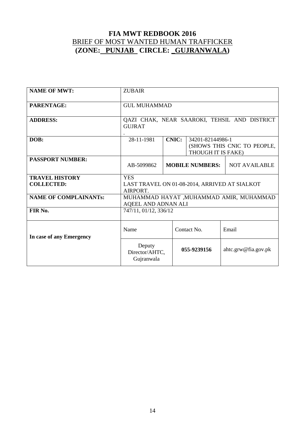| <b>NAME OF MWT:</b>                        | <b>ZUBAIR</b>                                                                                       |  |                        |                      |
|--------------------------------------------|-----------------------------------------------------------------------------------------------------|--|------------------------|----------------------|
| <b>PARENTAGE:</b>                          | <b>GUL MUHAMMAD</b>                                                                                 |  |                        |                      |
| <b>ADDRESS:</b>                            | QAZI CHAK, NEAR SAAROKI, TEHSIL AND DISTRICT<br><b>GUJRAT</b>                                       |  |                        |                      |
| DOB:                                       | <b>CNIC:</b><br>28-11-1981<br>34201-82144986-1<br>(SHOWS THIS CNIC TO PEOPLE,<br>THOUGH IT IS FAKE) |  |                        |                      |
| <b>PASSPORT NUMBER:</b>                    | AB-5099862                                                                                          |  | <b>MOBILE NUMBERS:</b> | <b>NOT AVAILABLE</b> |
| <b>TRAVEL HISTORY</b><br><b>COLLECTED:</b> | <b>YES</b><br>LAST TRAVEL ON 01-08-2014, ARRIVED AT SIALKOT<br>AIRPORT.                             |  |                        |                      |
| <b>NAME OF COMPLAINANTS:</b>               | MUHAMMAD HAYAT , MUHAMMAD AMIR, MUHAMMAD<br>AQEEL AND ADNAN ALI                                     |  |                        |                      |
| FIR No.                                    | 747/11, 01/12, 336/12                                                                               |  |                        |                      |
| In case of any Emergency                   | Name                                                                                                |  | Contact No.            | Email                |
|                                            | Deputy<br>Director/AHTC,<br>Gujranwala                                                              |  | 055-9239156            | ahtc.grw@fia.gov.pk  |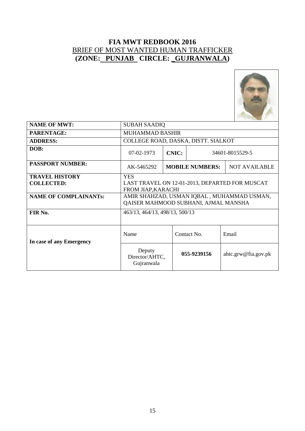

| <b>NAME OF MWT:</b>                        | <b>SUBAH SAADIO</b>                                                                |                                                |             |                     |  |
|--------------------------------------------|------------------------------------------------------------------------------------|------------------------------------------------|-------------|---------------------|--|
| PARENTAGE:                                 | <b>MUHAMMAD BASHIR</b>                                                             |                                                |             |                     |  |
| <b>ADDRESS:</b>                            | COLLEGE ROAD, DASKA, DISTT. SIALKOT                                                |                                                |             |                     |  |
| DOB:                                       | <b>CNIC:</b><br>$07-02-1973$<br>34601-8015529-5                                    |                                                |             |                     |  |
| <b>PASSPORT NUMBER:</b>                    | AK-5465292                                                                         | <b>MOBILE NUMBERS:</b><br><b>NOT AVAILABLE</b> |             |                     |  |
| <b>TRAVEL HISTORY</b><br><b>COLLECTED:</b> | <b>YES</b><br>LAST TRAVEL ON 12-01-2013, DEPARTED FOR MUSCAT<br>FROM JIAP, KARACHI |                                                |             |                     |  |
| <b>NAME OF COMPLAINANTs:</b>               | AMIR SHAHZAD, USMAN IQBAL, MUHAMMAD USMAN,<br>QAISER MAHMOOD SUBHANI, AJMAL MANSHA |                                                |             |                     |  |
| FIR No.                                    | 463/13, 464/13, 498/13, 500/13                                                     |                                                |             |                     |  |
| In case of any Emergency                   | Name<br>Contact No.<br>Email                                                       |                                                |             |                     |  |
|                                            | Deputy<br>Director/AHTC,<br>Gujranwala                                             |                                                | 055-9239156 | ahtc.grw@fia.gov.pk |  |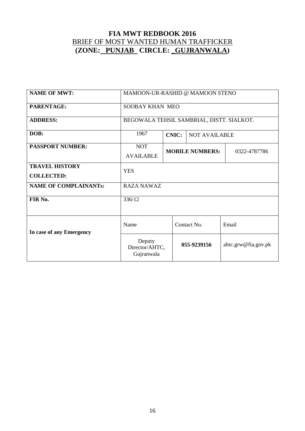| <b>NAME OF MWT:</b>          | MAMOON-UR-RASHID @ MAMOON STENO           |                        |                      |                     |  |
|------------------------------|-------------------------------------------|------------------------|----------------------|---------------------|--|
| PARENTAGE:                   | <b>SOOBAY KHAN MEO</b>                    |                        |                      |                     |  |
| <b>ADDRESS:</b>              | BEGOWALA TEHSIL SAMBRIAL, DISTT. SIALKOT. |                        |                      |                     |  |
| DOB:                         | 1967                                      | <b>CNIC:</b>           | <b>NOT AVAILABLE</b> |                     |  |
| <b>PASSPORT NUMBER:</b>      | <b>NOT</b>                                | <b>MOBILE NUMBERS:</b> |                      |                     |  |
|                              | <b>AVAILABLE</b>                          |                        |                      | 0322-4787786        |  |
| <b>TRAVEL HISTORY</b>        | <b>YES</b>                                |                        |                      |                     |  |
| <b>COLLECTED:</b>            |                                           |                        |                      |                     |  |
| <b>NAME OF COMPLAINANTs:</b> | <b>RAZA NAWAZ</b>                         |                        |                      |                     |  |
| FIR No.                      | 336/12                                    |                        |                      |                     |  |
|                              |                                           |                        |                      |                     |  |
| In case of any Emergency     | Name                                      |                        | Contact No.          | Email               |  |
|                              | Deputy<br>Director/AHTC,<br>Gujranwala    |                        | 055-9239156          | ahtc.grw@fia.gov.pk |  |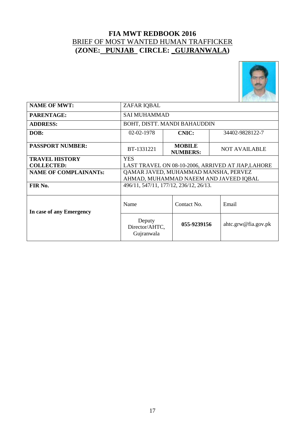

| <b>NAME OF MWT:</b>          | ZAFAR IQBAL                                        |                                  |                                        |  |  |  |  |
|------------------------------|----------------------------------------------------|----------------------------------|----------------------------------------|--|--|--|--|
| PARENTAGE:                   | <b>SAI MUHAMMAD</b>                                |                                  |                                        |  |  |  |  |
| <b>ADDRESS:</b>              | BOHT, DISTT. MANDI BAHAUDDIN                       |                                  |                                        |  |  |  |  |
| DOB:                         | <b>CNIC:</b><br>02-02-1978<br>34402-9828122-7      |                                  |                                        |  |  |  |  |
| <b>PASSPORT NUMBER:</b>      | BT-1331221                                         | <b>MOBILE</b><br><b>NUMBERS:</b> | <b>NOT AVAILABLE</b>                   |  |  |  |  |
| <b>TRAVEL HISTORY</b>        | <b>YES</b>                                         |                                  |                                        |  |  |  |  |
| <b>COLLECTED:</b>            | LAST TRAVEL ON 08-10-2006, ARRIVED AT JIAP, LAHORE |                                  |                                        |  |  |  |  |
| <b>NAME OF COMPLAINANTs:</b> | QAMAR JAVED, MUHAMMAD MANSHA, PERVEZ               |                                  |                                        |  |  |  |  |
|                              |                                                    |                                  | AHMAD, MUHAMMAD NAEEM AND JAVEED IQBAL |  |  |  |  |
| FIR No.                      | 496/11, 547/11, 177/12, 236/12, 26/13.             |                                  |                                        |  |  |  |  |
| In case of any Emergency     | Name                                               | Contact No.                      | Email                                  |  |  |  |  |
|                              | Deputy<br>Director/AHTC,<br>Gujranwala             | 055-9239156                      | ahtc.grw@fia.gov.pk                    |  |  |  |  |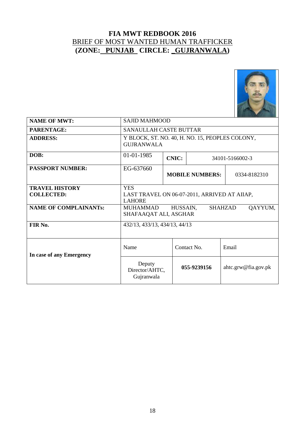

| <b>NAME OF MWT:</b>                        | <b>SAJID MAHMOOD</b>                                                              |                                        |             |                     |  |  |
|--------------------------------------------|-----------------------------------------------------------------------------------|----------------------------------------|-------------|---------------------|--|--|
| PARENTAGE:                                 | <b>SANAULLAH CASTE BUTTAR</b>                                                     |                                        |             |                     |  |  |
| <b>ADDRESS:</b>                            | Y BLOCK, ST. NO. 40, H. NO. 15, PEOPLES COLONY,<br><b>GUIRANWALA</b>              |                                        |             |                     |  |  |
| DOB:                                       | 01-01-1985<br><b>CNIC:</b><br>34101-5166002-3                                     |                                        |             |                     |  |  |
| <b>PASSPORT NUMBER:</b>                    | EG-637660                                                                         | <b>MOBILE NUMBERS:</b><br>0334-8182310 |             |                     |  |  |
| <b>TRAVEL HISTORY</b><br><b>COLLECTED:</b> | <b>YES</b><br>LAST TRAVEL ON 06-07-2011, ARRIVED AT AIIAP,<br><b>LAHORE</b>       |                                        |             |                     |  |  |
| <b>NAME OF COMPLAINANTs:</b>               | <b>SHAHZAD</b><br>QAYYUM,<br><b>MUHAMMAD</b><br>HUSSAIN,<br>SHAFAAQAT ALI, ASGHAR |                                        |             |                     |  |  |
| FIR No.                                    | 432/13, 433/13, 434/13, 44/13                                                     |                                        |             |                     |  |  |
| In case of any Emergency                   | Name<br>Contact No.<br>Email                                                      |                                        |             |                     |  |  |
|                                            | Deputy<br>Director/AHTC,<br>Gujranwala                                            |                                        | 055-9239156 | ahtc.grw@fia.gov.pk |  |  |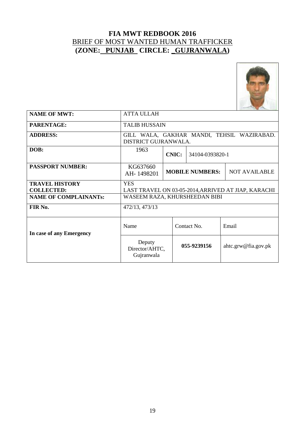

| <b>NAME OF MWT:</b>                        | <b>ATTA ULLAH</b>                                                  |                                                |             |                     |  |
|--------------------------------------------|--------------------------------------------------------------------|------------------------------------------------|-------------|---------------------|--|
| PARENTAGE:                                 | <b>TALIB HUSSAIN</b>                                               |                                                |             |                     |  |
| <b>ADDRESS:</b>                            | GILL WALA, GAKHAR MANDI, TEHSIL WAZIRABAD.<br>DISTRICT GUJRANWALA. |                                                |             |                     |  |
| DOB:                                       | 1963<br><b>CNIC:</b><br>34104-0393820-1                            |                                                |             |                     |  |
| <b>PASSPORT NUMBER:</b>                    | KG637660<br>AH-1498201                                             | <b>NOT AVAILABLE</b><br><b>MOBILE NUMBERS:</b> |             |                     |  |
| <b>TRAVEL HISTORY</b><br><b>COLLECTED:</b> | <b>YES</b><br>LAST TRAVEL ON 03-05-2014, ARRIVED AT JIAP, KARACHI  |                                                |             |                     |  |
| <b>NAME OF COMPLAINANTs:</b>               | WASEEM RAZA, KHURSHEEDAN BIBI                                      |                                                |             |                     |  |
| FIR No.                                    | 472/13, 473/13                                                     |                                                |             |                     |  |
| In case of any Emergency                   | Name                                                               |                                                | Contact No. | Email               |  |
|                                            | Deputy<br>Director/AHTC,<br>Gujranwala                             |                                                | 055-9239156 | ahtc.grw@fia.gov.pk |  |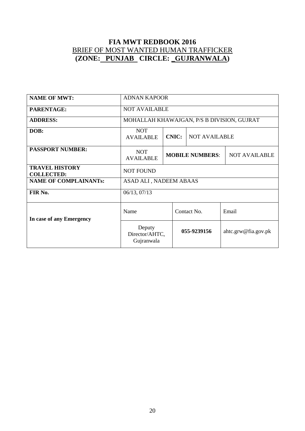| <b>NAME OF MWT:</b>                        | <b>ADNAN KAPOOR</b>                        |                                      |                                                |  |                     |
|--------------------------------------------|--------------------------------------------|--------------------------------------|------------------------------------------------|--|---------------------|
| <b>PARENTAGE:</b>                          | <b>NOT AVAILABLE</b>                       |                                      |                                                |  |                     |
| <b>ADDRESS:</b>                            | MOHALLAH KHAWAJGAN, P/S B DIVISION, GUJRAT |                                      |                                                |  |                     |
| DOB:                                       | <b>NOT</b><br><b>AVAILABLE</b>             | <b>CNIC:</b><br><b>NOT AVAILABLE</b> |                                                |  |                     |
| <b>PASSPORT NUMBER:</b>                    | <b>NOT</b><br><b>AVAILABLE</b>             |                                      | <b>MOBILE NUMBERS:</b><br><b>NOT AVAILABLE</b> |  |                     |
| <b>TRAVEL HISTORY</b><br><b>COLLECTED:</b> | <b>NOT FOUND</b>                           |                                      |                                                |  |                     |
| <b>NAME OF COMPLAINANTs:</b>               | ASAD ALI, NADEEM ABAAS                     |                                      |                                                |  |                     |
| FIR No.                                    | 06/13, 07/13                               |                                      |                                                |  |                     |
| In case of any Emergency                   | Name                                       |                                      | Contact No.                                    |  | Email               |
| Deputy<br>Director/AHTC,<br>Gujranwala     |                                            |                                      | 055-9239156                                    |  | ahtc.grw@fia.gov.pk |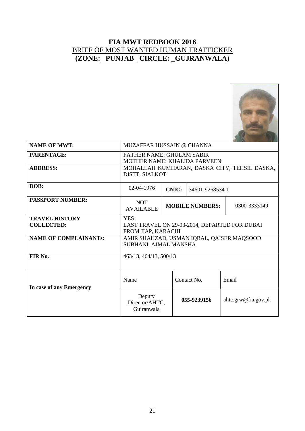

| <b>NAME OF MWT:</b>                        | MUZAFFAR HUSSAIN @ CHANNA                                                         |                                        |             |                     |  |
|--------------------------------------------|-----------------------------------------------------------------------------------|----------------------------------------|-------------|---------------------|--|
| PARENTAGE:                                 | <b>FATHER NAME: GHULAM SABIR</b><br><b>MOTHER NAME: KHALIDA PARVEEN</b>           |                                        |             |                     |  |
| <b>ADDRESS:</b>                            | MOHALLAH KUMHARAN, DASKA CITY, TEHSIL DASKA,<br><b>DISTT. SIALKOT</b>             |                                        |             |                     |  |
| DOB:                                       | 02-04-1976<br><b>CNIC:</b><br>34601-9268534-1                                     |                                        |             |                     |  |
| <b>PASSPORT NUMBER:</b>                    | <b>NOT</b><br><b>AVAILABLE</b>                                                    | <b>MOBILE NUMBERS:</b><br>0300-3333149 |             |                     |  |
| <b>TRAVEL HISTORY</b><br><b>COLLECTED:</b> | <b>YES</b><br>LAST TRAVEL ON 29-03-2014, DEPARTED FOR DUBAI<br>FROM JIAP, KARACHI |                                        |             |                     |  |
| <b>NAME OF COMPLAINANTs:</b>               | AMIR SHAHZAD, USMAN IQBAL, QAISER MAQSOOD<br>SUBHANI, AJMAL MANSHA                |                                        |             |                     |  |
| FIR No.                                    | 463/13, 464/13, 500/13                                                            |                                        |             |                     |  |
| In case of any Emergency                   | Email<br>Name<br>Contact No.                                                      |                                        |             |                     |  |
|                                            | Deputy<br>Director/AHTC,<br>Gujranwala                                            |                                        | 055-9239156 | ahtc.grw@fia.gov.pk |  |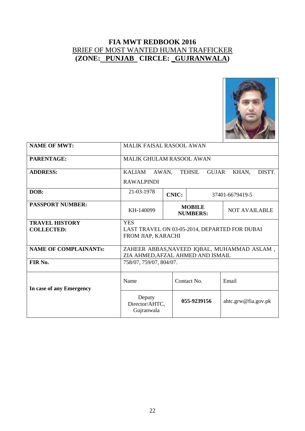

| <b>NAME OF MWT:</b>          | <b>MALIK FAISAL RASOOL AWAN</b>                                                  |                                                          |                     |  |  |
|------------------------------|----------------------------------------------------------------------------------|----------------------------------------------------------|---------------------|--|--|
| <b>PARENTAGE:</b>            | <b>MALIK GHULAM RASOOL AWAN</b>                                                  |                                                          |                     |  |  |
| <b>ADDRESS:</b>              | DISTT.<br>KALIAM<br><b>GUJAR</b><br>KHAN,<br>AWAN.<br><b>TEHSIL</b>              |                                                          |                     |  |  |
|                              | <b>RAWALPINDI</b>                                                                |                                                          |                     |  |  |
| DOB:                         | 21-03-1978<br><b>CNIC:</b><br>37401-6679419-5                                    |                                                          |                     |  |  |
| <b>PASSPORT NUMBER:</b>      | KH-140099                                                                        | <b>MOBILE</b><br><b>NOT AVAILABLE</b><br><b>NUMBERS:</b> |                     |  |  |
| <b>TRAVEL HISTORY</b>        | <b>YES</b>                                                                       |                                                          |                     |  |  |
| <b>COLLECTED:</b>            | LAST TRAVEL ON 03-05-2014, DEPARTED FOR DUBAI<br>FROM JIAP, KARACHI              |                                                          |                     |  |  |
| <b>NAME OF COMPLAINANTs:</b> | ZAHEER ABBAS, NAVEED IQBAL, MUHAMMAD ASLAM,<br>ZIA AHMED, AFZAL AHMED AND ISMAIL |                                                          |                     |  |  |
| FIR No.                      | 758/07, 759/07, 804/07.                                                          |                                                          |                     |  |  |
| In case of any Emergency     | Contact No.<br>Name<br>Email                                                     |                                                          |                     |  |  |
|                              | Deputy<br>Director/AHTC,<br>Gujranwala                                           | 055-9239156                                              | ahtc.grw@fia.gov.pk |  |  |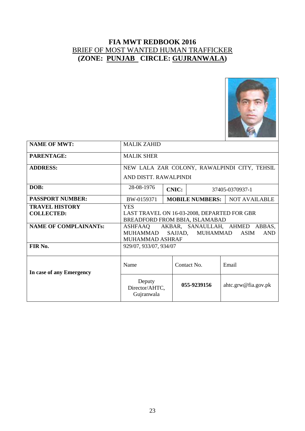

| <b>NAME OF MWT:</b>                        | <b>MALIK ZAHID</b>                                                                                                                  |                        |                      |  |  |
|--------------------------------------------|-------------------------------------------------------------------------------------------------------------------------------------|------------------------|----------------------|--|--|
| <b>PARENTAGE:</b>                          | <b>MALIK SHER</b>                                                                                                                   |                        |                      |  |  |
| <b>ADDRESS:</b>                            | NEW LALA ZAR COLONY, RAWALPINDI CITY, TEHSIL                                                                                        |                        |                      |  |  |
|                                            | AND DISTT. RAWALPINDI                                                                                                               |                        |                      |  |  |
| DOB:                                       | 28-08-1976<br><b>CNIC:</b><br>37405-0370937-1                                                                                       |                        |                      |  |  |
| <b>PASSPORT NUMBER:</b>                    | BW-0159371                                                                                                                          | <b>MOBILE NUMBERS:</b> | <b>NOT AVAILABLE</b> |  |  |
| <b>TRAVEL HISTORY</b><br><b>COLLECTED:</b> | <b>YES</b><br>LAST TRAVEL ON 16-03-2008, DEPARTED FOR GBR<br>BREADFORD FROM BBIA, ISLAMABAD                                         |                        |                      |  |  |
| <b>NAME OF COMPLAINANTS:</b>               | AKBAR, SANAULLAH, AHMED<br>ABBAS,<br>ASHFAAQ<br>MUHAMMAD<br>SAJJAD, MUHAMMAD<br><b>ASIM</b><br><b>AND</b><br><b>MUHAMMAD ASHRAF</b> |                        |                      |  |  |
| FIR No.                                    | 929/07, 933/07, 934/07                                                                                                              |                        |                      |  |  |
| In case of any Emergency                   | Name<br>Contact No.<br>Email                                                                                                        |                        |                      |  |  |
|                                            | Deputy<br>Director/AHTC,<br>Gujranwala                                                                                              | 055-9239156            | ahtc.grw@fia.gov.pk  |  |  |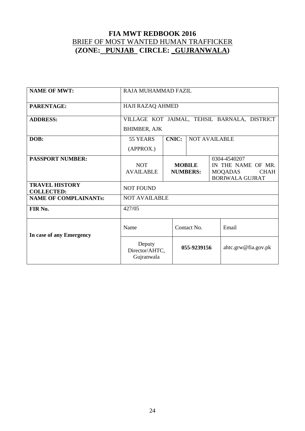| <b>NAME OF MWT:</b>                        | RAJA MUHAMMAD FAZIL                    |              |                                  |                                              |                                              |
|--------------------------------------------|----------------------------------------|--------------|----------------------------------|----------------------------------------------|----------------------------------------------|
| PARENTAGE:                                 | HAJI RAZAQ AHMED                       |              |                                  |                                              |                                              |
| <b>ADDRESS:</b>                            |                                        |              |                                  |                                              | VILLAGE KOT JAIMAL, TEHSIL BARNALA, DISTRICT |
|                                            | <b>BHIMBER, AJK</b>                    |              |                                  |                                              |                                              |
| DOB:                                       | 55 YEARS                               | <b>CNIC:</b> | <b>NOT AVAILABLE</b>             |                                              |                                              |
|                                            | (APPROX.)                              |              |                                  |                                              |                                              |
| <b>PASSPORT NUMBER:</b>                    |                                        |              | 0304-4540207                     |                                              |                                              |
|                                            | <b>NOT</b><br><b>AVAILABLE</b>         |              | <b>MOBILE</b><br><b>NUMBERS:</b> | IN THE NAME OF MR.<br>MOQADAS<br><b>CHAH</b> |                                              |
|                                            |                                        |              |                                  |                                              | <b>BORIWALA GUJRAT</b>                       |
| <b>TRAVEL HISTORY</b><br><b>COLLECTED:</b> | <b>NOT FOUND</b>                       |              |                                  |                                              |                                              |
| <b>NAME OF COMPLAINANTs:</b>               | <b>NOT AVAILABLE</b>                   |              |                                  |                                              |                                              |
| FIR No.                                    | 427/05                                 |              |                                  |                                              |                                              |
| In case of any Emergency                   | Name                                   |              | Contact No.                      |                                              | Email                                        |
|                                            | Deputy<br>Director/AHTC,<br>Gujranwala |              | 055-9239156                      |                                              | ahtc.grw@fia.gov.pk                          |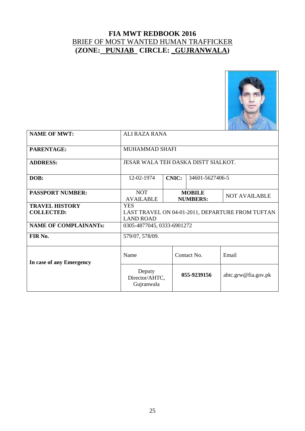

| <b>NAME OF MWT:</b>          | <b>ALI RAZA RANA</b>                             |                                                          |             |                     |  |
|------------------------------|--------------------------------------------------|----------------------------------------------------------|-------------|---------------------|--|
| PARENTAGE:                   | MUHAMMAD SHAFI                                   |                                                          |             |                     |  |
| <b>ADDRESS:</b>              | JESAR WALA TEH DASKA DISTT SIALKOT.              |                                                          |             |                     |  |
| DOB:                         | <b>CNIC:</b><br>34601-5627406-5<br>12-02-1974    |                                                          |             |                     |  |
| <b>PASSPORT NUMBER:</b>      | <b>NOT</b><br><b>AVAILABLE</b>                   | <b>MOBILE</b><br><b>NOT AVAILABLE</b><br><b>NUMBERS:</b> |             |                     |  |
| <b>TRAVEL HISTORY</b>        | <b>YES</b>                                       |                                                          |             |                     |  |
| <b>COLLECTED:</b>            | LAST TRAVEL ON 04-01-2011, DEPARTURE FROM TUFTAN |                                                          |             |                     |  |
|                              | <b>LAND ROAD</b>                                 |                                                          |             |                     |  |
| <b>NAME OF COMPLAINANTs:</b> | 0305-4877045, 0333-6901272                       |                                                          |             |                     |  |
| FIR No.                      | 579/07, 578/09.                                  |                                                          |             |                     |  |
| In case of any Emergency     | Name                                             |                                                          | Contact No. | Email               |  |
|                              | Deputy<br>Director/AHTC,<br>Gujranwala           |                                                          | 055-9239156 | ahtc.grw@fia.gov.pk |  |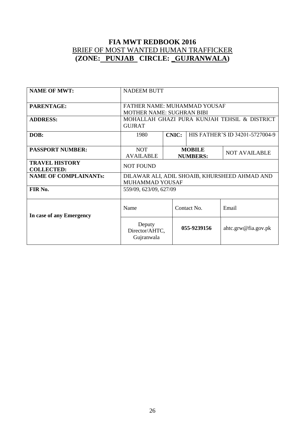| <b>NAME OF MWT:</b>                        | <b>NADEEM BUTT</b>                                               |                                                          |             |                                               |  |
|--------------------------------------------|------------------------------------------------------------------|----------------------------------------------------------|-------------|-----------------------------------------------|--|
| PARENTAGE:                                 | FATHER NAME: MUHAMMAD YOUSAF<br><b>MOTHER NAME: SUGHRAN BIBI</b> |                                                          |             |                                               |  |
| <b>ADDRESS:</b>                            | MOHALLAH GHAZI PURA KUNJAH TEHSIL & DISTRICT<br><b>GUJRAT</b>    |                                                          |             |                                               |  |
| DOB:                                       | 1980                                                             | <b>CNIC:</b><br>HIS FATHER'S ID 34201-5727004-9          |             |                                               |  |
| <b>PASSPORT NUMBER:</b>                    | <b>NOT</b><br><b>AVAILABLE</b>                                   | <b>MOBILE</b><br><b>NOT AVAILABLE</b><br><b>NUMBERS:</b> |             |                                               |  |
| <b>TRAVEL HISTORY</b><br><b>COLLECTED:</b> | <b>NOT FOUND</b>                                                 |                                                          |             |                                               |  |
| <b>NAME OF COMPLAINANTs:</b>               | <b>MUHAMMAD YOUSAF</b>                                           |                                                          |             | DILAWAR ALI, ADIL SHOAIB, KHURSHEED AHMAD AND |  |
| FIR No.                                    | 559/09, 623/09, 627/09                                           |                                                          |             |                                               |  |
| In case of any Emergency                   | Name                                                             |                                                          | Contact No. | Email                                         |  |
|                                            | Deputy<br>Director/AHTC,<br>Gujranwala                           | 055-9239156                                              |             | ahtc.grw@fia.gov.pk                           |  |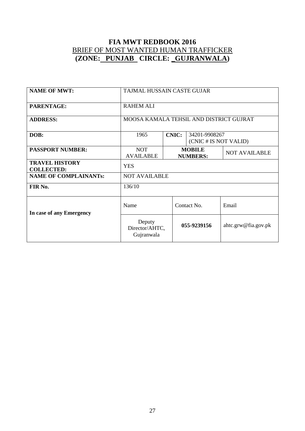| <b>NAME OF MWT:</b>                        | TAJMAL HUSSAIN CASTE GUJAR                                     |  |                                  |                      |  |
|--------------------------------------------|----------------------------------------------------------------|--|----------------------------------|----------------------|--|
| PARENTAGE:                                 | <b>RAHEM ALI</b>                                               |  |                                  |                      |  |
| <b>ADDRESS:</b>                            | MOOSA KAMALA TEHSIL AND DISTRICT GUJRAT                        |  |                                  |                      |  |
| DOB:                                       | <b>CNIC:</b><br>34201-9908267<br>1965<br>(CNIC # IS NOT VALID) |  |                                  |                      |  |
| <b>PASSPORT NUMBER:</b>                    | <b>NOT</b><br><b>AVAILABLE</b>                                 |  | <b>MOBILE</b><br><b>NUMBERS:</b> | <b>NOT AVAILABLE</b> |  |
| <b>TRAVEL HISTORY</b><br><b>COLLECTED:</b> | <b>YES</b>                                                     |  |                                  |                      |  |
| <b>NAME OF COMPLAINANTs:</b>               | <b>NOT AVAILABLE</b>                                           |  |                                  |                      |  |
| FIR No.                                    | 136/10                                                         |  |                                  |                      |  |
| In case of any Emergency                   | Name                                                           |  | Contact No.                      | Email                |  |
|                                            | Deputy<br>Director/AHTC,<br>Gujranwala                         |  | 055-9239156                      | ahtc.grw@fia.gov.pk  |  |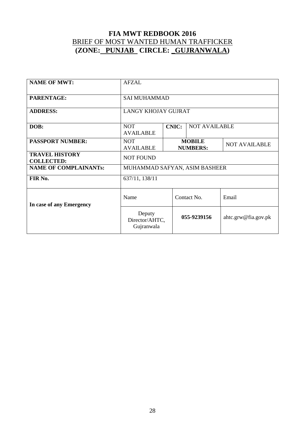| <b>NAME OF MWT:</b>                        | <b>AFZAL</b>                                                           |  |                                  |                      |  |
|--------------------------------------------|------------------------------------------------------------------------|--|----------------------------------|----------------------|--|
| PARENTAGE:                                 | <b>SAI MUHAMMAD</b>                                                    |  |                                  |                      |  |
| <b>ADDRESS:</b>                            | <b>LANGY KHOJAY GUJRAT</b>                                             |  |                                  |                      |  |
| DOB:                                       | <b>NOT AVAILABLE</b><br><b>NOT</b><br><b>CNIC:</b><br><b>AVAILABLE</b> |  |                                  |                      |  |
| <b>PASSPORT NUMBER:</b>                    | <b>NOT</b><br><b>AVAILABLE</b>                                         |  | <b>MOBILE</b><br><b>NUMBERS:</b> | <b>NOT AVAILABLE</b> |  |
| <b>TRAVEL HISTORY</b><br><b>COLLECTED:</b> | <b>NOT FOUND</b>                                                       |  |                                  |                      |  |
| <b>NAME OF COMPLAINANTs:</b>               | MUHAMMAD SAFYAN, ASIM BASHEER                                          |  |                                  |                      |  |
| FIR No.                                    | 637/11, 138/11                                                         |  |                                  |                      |  |
| In case of any Emergency                   | Name                                                                   |  | Contact No.                      | Email                |  |
|                                            | Deputy<br>Director/AHTC,<br>Gujranwala                                 |  | 055-9239156                      | ahtc.grw@fia.gov.pk  |  |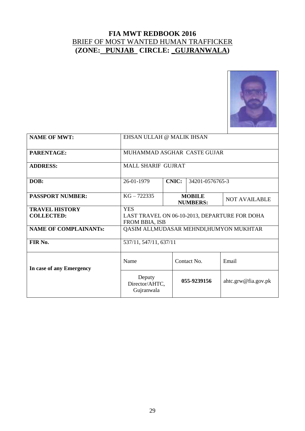

| <b>NAME OF MWT:</b>          | EHSAN ULLAH @ MALIK IHSAN                     |                                  |                      |                     |  |  |
|------------------------------|-----------------------------------------------|----------------------------------|----------------------|---------------------|--|--|
| PARENTAGE:                   | MUHAMMAD ASGHAR CASTE GUJAR                   |                                  |                      |                     |  |  |
| <b>ADDRESS:</b>              | <b>MALL SHARIF GUJRAT</b>                     |                                  |                      |                     |  |  |
| DOB:                         | 26-01-1979                                    | <b>CNIC:</b><br>34201-0576765-3  |                      |                     |  |  |
| <b>PASSPORT NUMBER:</b>      | $KG - 722335$                                 | <b>MOBILE</b><br><b>NUMBERS:</b> | <b>NOT AVAILABLE</b> |                     |  |  |
| <b>TRAVEL HISTORY</b>        | <b>YES</b>                                    |                                  |                      |                     |  |  |
| <b>COLLECTED:</b>            | LAST TRAVEL ON 06-10-2013, DEPARTURE FOR DOHA |                                  |                      |                     |  |  |
|                              | <b>FROM BBIA, ISB</b>                         |                                  |                      |                     |  |  |
| <b>NAME OF COMPLAINANTs:</b> | QASIM ALI, MUDASAR MEHNDI, HUMYON MUKHTAR     |                                  |                      |                     |  |  |
| FIR No.                      | 537/11, 547/11, 637/11                        |                                  |                      |                     |  |  |
| In case of any Emergency     | Name                                          | Contact No.                      |                      | Email               |  |  |
|                              | Deputy<br>Director/AHTC,<br>Gujranwala        | 055-9239156                      |                      | ahtc.grw@fia.gov.pk |  |  |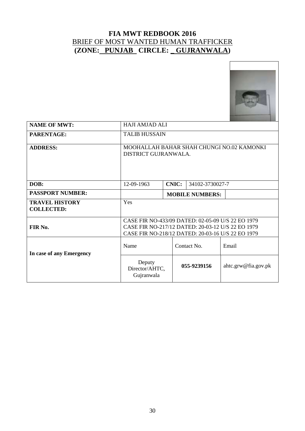

| <b>NAME OF MWT:</b>                        | <b>HAJI AMJAD ALI</b>                                                                                                                                       |                                 |                     |  |  |  |
|--------------------------------------------|-------------------------------------------------------------------------------------------------------------------------------------------------------------|---------------------------------|---------------------|--|--|--|
| PARENTAGE:                                 | <b>TALIB HUSSAIN</b>                                                                                                                                        |                                 |                     |  |  |  |
| <b>ADDRESS:</b>                            | MOOHALLAH BAHAR SHAH CHUNGI NO.02 KAMONKI<br>DISTRICT GUJRANWALA.                                                                                           |                                 |                     |  |  |  |
| DOB:                                       | 12-09-1963                                                                                                                                                  | <b>CNIC:</b><br>34102-3730027-7 |                     |  |  |  |
| <b>PASSPORT NUMBER:</b>                    | <b>MOBILE NUMBERS:</b>                                                                                                                                      |                                 |                     |  |  |  |
| <b>TRAVEL HISTORY</b><br><b>COLLECTED:</b> | Yes                                                                                                                                                         |                                 |                     |  |  |  |
| FIR No.                                    | CASE FIR NO-433/09 DATED: 02-05-09 U/S 22 EO 1979<br>CASE FIR NO-217/12 DATED: 20-03-12 U/S 22 EO 1979<br>CASE FIR NO-218/12 DATED: 20-03-16 U/S 22 EO 1979 |                                 |                     |  |  |  |
| In case of any Emergency                   | Name                                                                                                                                                        | Contact No.<br>Email            |                     |  |  |  |
|                                            | Deputy<br>Director/AHTC,<br>Gujranwala                                                                                                                      | 055-9239156                     | ahtc.grw@fia.gov.pk |  |  |  |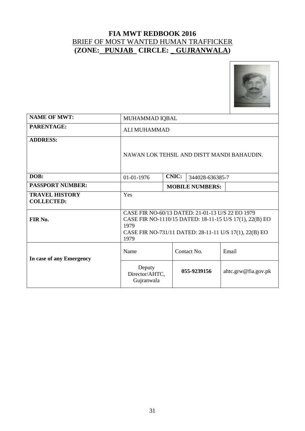

| <b>NAME OF MWT:</b>                        | MUHAMMAD IQBAL                                                                                                                                                                        |                                 |             |                     |  |  |  |
|--------------------------------------------|---------------------------------------------------------------------------------------------------------------------------------------------------------------------------------------|---------------------------------|-------------|---------------------|--|--|--|
| PARENTAGE:                                 | ALI MUHAMMAD                                                                                                                                                                          |                                 |             |                     |  |  |  |
| <b>ADDRESS:</b>                            | NAWAN LOK TEHSIL AND DISTT MANDI BAHAUDIN.                                                                                                                                            |                                 |             |                     |  |  |  |
| DOB:                                       | 01-01-1976                                                                                                                                                                            | <b>CNIC:</b><br>344028-636385-7 |             |                     |  |  |  |
| <b>PASSPORT NUMBER:</b>                    |                                                                                                                                                                                       | <b>MOBILE NUMBERS:</b>          |             |                     |  |  |  |
| <b>TRAVEL HISTORY</b><br><b>COLLECTED:</b> | Yes                                                                                                                                                                                   |                                 |             |                     |  |  |  |
| FIR No.                                    | CASE FIR NO-60/13 DATED: 21-01-13 U/S 22 EO 1979<br>CASE FIR NO-1110/15 DATED: 18-11-15 U/S 17(1), 22(B) EO<br>1979<br>CASE FIR NO-731/11 DATED: 28-11-11 U/S 17(1), 22(B) EO<br>1979 |                                 |             |                     |  |  |  |
| In case of any Emergency                   | Name                                                                                                                                                                                  | Contact No.<br>Email            |             |                     |  |  |  |
|                                            | Deputy<br>Director/AHTC,<br>Gujranwala                                                                                                                                                |                                 | 055-9239156 | ahtc.grw@fia.gov.pk |  |  |  |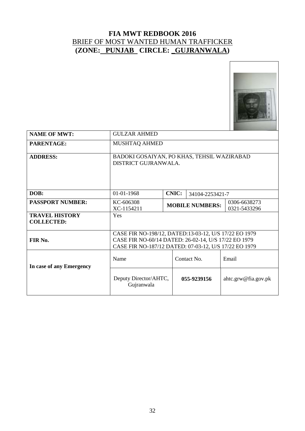

| <b>NAME OF MWT:</b>                        | <b>GULZAR AHMED</b>                                                                                                                                                    |                                                        |  |                     |  |  |
|--------------------------------------------|------------------------------------------------------------------------------------------------------------------------------------------------------------------------|--------------------------------------------------------|--|---------------------|--|--|
| PARENTAGE:                                 | MUSHTAQ AHMED                                                                                                                                                          |                                                        |  |                     |  |  |
| <b>ADDRESS:</b>                            | BADOKI GOSAIYAN, PO KHAS, TEHSIL WAZIRABAD<br>DISTRICT GUJRANWALA.                                                                                                     |                                                        |  |                     |  |  |
| DOB:                                       | 01-01-1968                                                                                                                                                             | <b>CNIC:</b><br>34104-2253421-7                        |  |                     |  |  |
| <b>PASSPORT NUMBER:</b>                    | KC-606308<br>XC-1154211                                                                                                                                                | 0306-6638273<br><b>MOBILE NUMBERS:</b><br>0321-5433296 |  |                     |  |  |
| <b>TRAVEL HISTORY</b><br><b>COLLECTED:</b> | Yes                                                                                                                                                                    |                                                        |  |                     |  |  |
| FIR No.                                    | CASE FIR NO-198/12, DATED:13-03-12, U/S 17/22 EO 1979<br>CASE FIR NO-60/14 DATED: 26-02-14, U/S 17/22 EO 1979<br>CASE FIR NO-187/12 DATED: 07-03-12, U/S 17/22 EO 1979 |                                                        |  |                     |  |  |
| In case of any Emergency                   | Name                                                                                                                                                                   | Contact No.                                            |  | Email               |  |  |
|                                            | Deputy Director/AHTC,<br>Gujranwala                                                                                                                                    | 055-9239156                                            |  | ahtc.grw@fia.gov.pk |  |  |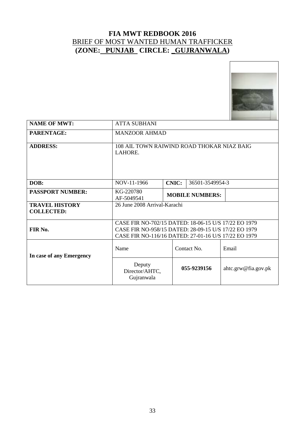

| <b>NAME OF MWT:</b>                        | <b>ATTA SUBHANI</b>                                                                                                                                                  |                                 |             |                     |  |  |
|--------------------------------------------|----------------------------------------------------------------------------------------------------------------------------------------------------------------------|---------------------------------|-------------|---------------------|--|--|
| PARENTAGE:                                 | <b>MANZOOR AHMAD</b>                                                                                                                                                 |                                 |             |                     |  |  |
| <b>ADDRESS:</b>                            | 108 AIL TOWN RAIWIND ROAD THOKAR NIAZ BAIG<br>LAHORE.                                                                                                                |                                 |             |                     |  |  |
| DOB:                                       | NOV-11-1966                                                                                                                                                          | <b>CNIC:</b><br>36501-3549954-3 |             |                     |  |  |
| <b>PASSPORT NUMBER:</b>                    | KG-220780<br>AF-5049541                                                                                                                                              | <b>MOBILE NUMBERS:</b>          |             |                     |  |  |
| <b>TRAVEL HISTORY</b><br><b>COLLECTED:</b> | 26 June 2008 Arrival-Karachi                                                                                                                                         |                                 |             |                     |  |  |
| FIR No.                                    | CASE FIR NO-702/15 DATED: 18-06-15 U/S 17/22 EO 1979<br>CASE FIR NO-958/15 DATED: 28-09-15 U/S 17/22 EO 1979<br>CASE FIR NO-116/16 DATED: 27-01-16 U/S 17/22 EO 1979 |                                 |             |                     |  |  |
| In case of any Emergency                   | Name                                                                                                                                                                 | Contact No.<br>Email            |             |                     |  |  |
|                                            | Deputy<br>Director/AHTC,<br>Gujranwala                                                                                                                               |                                 | 055-9239156 | ahtc.grw@fia.gov.pk |  |  |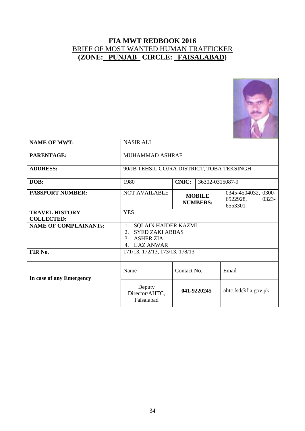

| <b>NAME OF MWT:</b>                        | <b>NASIR ALI</b>                                                                                                           |                                                                                         |                 |                              |  |
|--------------------------------------------|----------------------------------------------------------------------------------------------------------------------------|-----------------------------------------------------------------------------------------|-----------------|------------------------------|--|
| <b>PARENTAGE:</b>                          | MUHAMMAD ASHRAF                                                                                                            |                                                                                         |                 |                              |  |
| <b>ADDRESS:</b>                            | 90/JB TEHSIL GOJRA DISTRICT, TOBA TEKSINGH                                                                                 |                                                                                         |                 |                              |  |
| DOB:                                       | 1980                                                                                                                       | <b>CNIC:</b>                                                                            | 36302-0315087-9 |                              |  |
| <b>PASSPORT NUMBER:</b>                    | <b>NOT AVAILABLE</b>                                                                                                       | 0345-4504032, 0300-<br><b>MOBILE</b><br>0323-<br>6522928,<br><b>NUMBERS:</b><br>6553301 |                 |                              |  |
| <b>TRAVEL HISTORY</b><br><b>COLLECTED:</b> | <b>YES</b>                                                                                                                 |                                                                                         |                 |                              |  |
| <b>NAME OF COMPLAINANTs:</b>               | <b>SQLAIN HAIDER KAZMI</b><br>1.<br><b>SYED ZAKI ABBAS</b><br>$2^{2}$<br><b>ASHER ZIA</b><br>3.<br><b>IJAZ ANWAR</b><br>4. |                                                                                         |                 |                              |  |
| FIR No.                                    | 171/13, 172/13, 173/13, 178/13                                                                                             |                                                                                         |                 |                              |  |
| In case of any Emergency                   | Name                                                                                                                       | Contact No.<br>Email                                                                    |                 |                              |  |
|                                            | Deputy<br>Director/AHTC,<br>Faisalabad                                                                                     |                                                                                         | 041-9220245     | $\text{ahtc.fsd@fia.gov.pk}$ |  |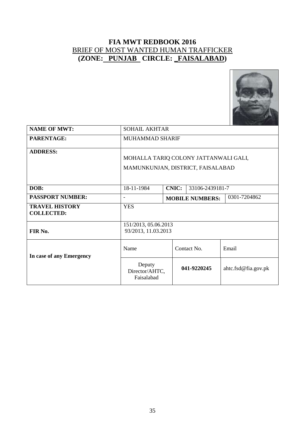

| <b>NAME OF MWT:</b>                        | <b>SOHAIL AKHTAR</b>                                                       |                                        |             |             |                     |  |
|--------------------------------------------|----------------------------------------------------------------------------|----------------------------------------|-------------|-------------|---------------------|--|
| PARENTAGE:                                 | MUHAMMAD SHARIF                                                            |                                        |             |             |                     |  |
| <b>ADDRESS:</b>                            | MOHALLA TARIQ COLONY JATTANWALI GALI,<br>MAMUNKUNJAN, DISTRICT, FAISALABAD |                                        |             |             |                     |  |
| DOB:                                       | 18-11-1984                                                                 | <b>CNIC:</b><br>33106-2439181-7        |             |             |                     |  |
| <b>PASSPORT NUMBER:</b>                    |                                                                            | 0301-7204862<br><b>MOBILE NUMBERS:</b> |             |             |                     |  |
| <b>TRAVEL HISTORY</b><br><b>COLLECTED:</b> | <b>YES</b>                                                                 |                                        |             |             |                     |  |
| FIR No.                                    | 151/2013, 05.06.2013<br>93/2013, 11.03.2013                                |                                        |             |             |                     |  |
| In case of any Emergency                   | Name                                                                       |                                        |             | Contact No. | Email               |  |
| Deputy<br>Director/AHTC,<br>Faisalabad     |                                                                            |                                        | 041-9220245 |             | ahtc.fsd@fia.gov.pk |  |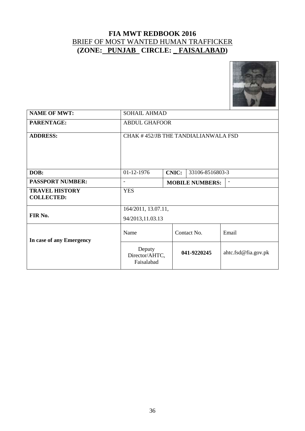

| <b>NAME OF MWT:</b>                        | <b>SOHAIL AHMAD</b>                                |                                 |             |                     |  |
|--------------------------------------------|----------------------------------------------------|---------------------------------|-------------|---------------------|--|
| PARENTAGE:                                 | <b>ABDUL GHAFOOR</b>                               |                                 |             |                     |  |
| <b>ADDRESS:</b>                            | CHAK #452/JB THE TANDIALIANWALA FSD                |                                 |             |                     |  |
| DOB:                                       | 01-12-1976                                         | <b>CNIC:</b><br>33106-8516803-3 |             |                     |  |
| <b>PASSPORT NUMBER:</b>                    | <b>MOBILE NUMBERS:</b><br>$\overline{\phantom{a}}$ |                                 |             |                     |  |
| <b>TRAVEL HISTORY</b><br><b>COLLECTED:</b> | <b>YES</b>                                         |                                 |             |                     |  |
|                                            | 164/2011, 13.07.11,                                |                                 |             |                     |  |
| FIR No.                                    | 94/2013,11.03.13                                   |                                 |             |                     |  |
| In case of any Emergency                   | Name                                               | Contact No.                     |             | Email               |  |
|                                            | Deputy<br>Director/AHTC,<br>Faisalabad             |                                 | 041-9220245 | ahtc.fsd@fia.gov.pk |  |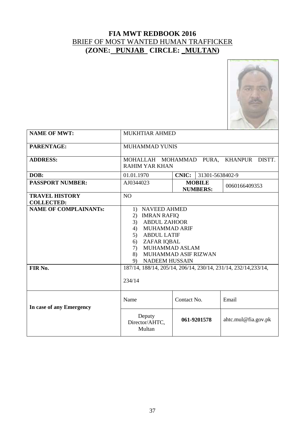

| <b>NAME OF MWT:</b>                        | <b>MUKHTIAR AHMED</b>                                                                                                                                                                                                       |                 |                 |                     |  |  |
|--------------------------------------------|-----------------------------------------------------------------------------------------------------------------------------------------------------------------------------------------------------------------------------|-----------------|-----------------|---------------------|--|--|
| PARENTAGE:                                 | <b>MUHAMMAD YUNIS</b>                                                                                                                                                                                                       |                 |                 |                     |  |  |
| <b>ADDRESS:</b>                            | MOHALLAH MOHAMMAD PURA, KHANPUR DISTT.<br><b>RAHIM YAR KHAN</b>                                                                                                                                                             |                 |                 |                     |  |  |
| DOB:                                       | 01.01.1970                                                                                                                                                                                                                  | <b>CNIC:</b>    | 31301-5638402-9 |                     |  |  |
| <b>PASSPORT NUMBER:</b>                    | AJ0344023                                                                                                                                                                                                                   | <b>NUMBERS:</b> | <b>MOBILE</b>   | 0060166409353       |  |  |
| <b>TRAVEL HISTORY</b><br><b>COLLECTED:</b> | NO                                                                                                                                                                                                                          |                 |                 |                     |  |  |
| <b>NAME OF COMPLAINANTs:</b>               | <b>NAVEED AHMED</b><br>1)<br><b>IMRAN RAFIQ</b><br>2)<br>3) ABDUL ZAHOOR<br>MUHAMMAD ARIF<br>4)<br>5) ABDUL LATIF<br>ZAFAR IQBAL<br>6)<br><b>MUHAMMAD ASLAM</b><br>7)<br>MUHAMMAD ASIF RIZWAN<br>8)<br>NADEEM HUSSAIN<br>9) |                 |                 |                     |  |  |
| FIR No.                                    | 187/14, 188/14, 205/14, 206/14, 230/14, 231/14, 232/14, 233/14,<br>234/14                                                                                                                                                   |                 |                 |                     |  |  |
| In case of any Emergency                   | Name<br>Contact No.<br>Email                                                                                                                                                                                                |                 |                 |                     |  |  |
|                                            | Deputy<br>Director/AHTC,<br>Multan                                                                                                                                                                                          | 061-9201578     |                 | ahtc.mul@fia.gov.pk |  |  |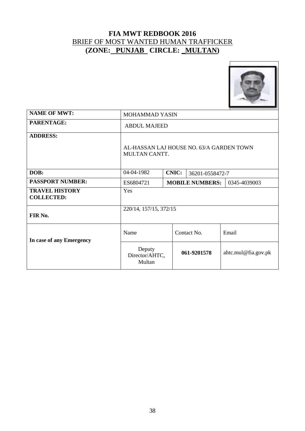

| <b>NAME OF MWT:</b>                        | <b>MOHAMMAD YASIN</b>                                     |  |                        |                     |  |
|--------------------------------------------|-----------------------------------------------------------|--|------------------------|---------------------|--|
| PARENTAGE:                                 | <b>ABDUL MAJEED</b>                                       |  |                        |                     |  |
| <b>ADDRESS:</b>                            | AL-HASSAN LAJ HOUSE NO. 63/A GARDEN TOWN<br>MULTAN CANTT. |  |                        |                     |  |
| DOB:                                       | 04-04-1982<br><b>CNIC:</b><br>36201-0558472-7             |  |                        |                     |  |
| <b>PASSPORT NUMBER:</b>                    | ES6804721                                                 |  | <b>MOBILE NUMBERS:</b> | 0345-4039003        |  |
| <b>TRAVEL HISTORY</b><br><b>COLLECTED:</b> | Yes                                                       |  |                        |                     |  |
| FIR No.                                    | 220/14, 157/15, 372/15                                    |  |                        |                     |  |
| In case of any Emergency                   | Name                                                      |  | Contact No.            | Email               |  |
|                                            | Deputy<br>Director/AHTC,<br>Multan                        |  | 061-9201578            | ahtc.mul@fia.gov.pk |  |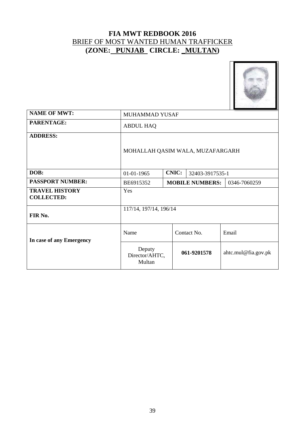

| <b>NAME OF MWT:</b>                        | MUHAMMAD YUSAF                                      |             |                     |  |  |
|--------------------------------------------|-----------------------------------------------------|-------------|---------------------|--|--|
| PARENTAGE:                                 | <b>ABDUL HAQ</b>                                    |             |                     |  |  |
| <b>ADDRESS:</b>                            | MOHALLAH QASIM WALA, MUZAFARGARH                    |             |                     |  |  |
| DOB:                                       | <b>CNIC:</b><br>01-01-1965<br>32403-3917535-1       |             |                     |  |  |
| <b>PASSPORT NUMBER:</b>                    | <b>MOBILE NUMBERS:</b><br>0346-7060259<br>BE6915352 |             |                     |  |  |
| <b>TRAVEL HISTORY</b><br><b>COLLECTED:</b> | Yes                                                 |             |                     |  |  |
| FIR No.                                    | 117/14, 197/14, 196/14                              |             |                     |  |  |
| In case of any Emergency                   | Name                                                | Contact No. | Email               |  |  |
|                                            | Deputy<br>Director/AHTC,<br>Multan                  | 061-9201578 | ahtc.mul@fia.gov.pk |  |  |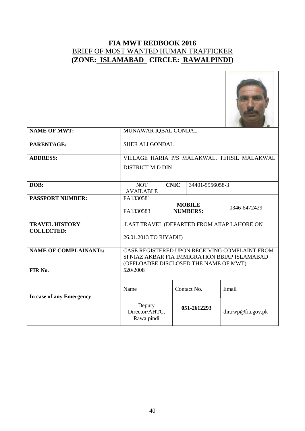

| <b>NAME OF MWT:</b>                        | MUNAWAR IQBAL GONDAL                                                                                                                    |                                                  |                 |                    |  |
|--------------------------------------------|-----------------------------------------------------------------------------------------------------------------------------------------|--------------------------------------------------|-----------------|--------------------|--|
| PARENTAGE:                                 | <b>SHER ALI GONDAL</b>                                                                                                                  |                                                  |                 |                    |  |
| <b>ADDRESS:</b>                            | VILLAGE HARIA P/S MALAKWAL, TEHSIL MALAKWAL<br><b>DISTRICT M.D DIN</b>                                                                  |                                                  |                 |                    |  |
| DOB:                                       | <b>NOT</b><br><b>AVAILABLE</b>                                                                                                          | <b>CNIC</b>                                      | 34401-5956058-3 |                    |  |
| <b>PASSPORT NUMBER:</b>                    | FA1330581<br>FA1330583                                                                                                                  | <b>MOBILE</b><br>0346-6472429<br><b>NUMBERS:</b> |                 |                    |  |
| <b>TRAVEL HISTORY</b><br><b>COLLECTED:</b> | LAST TRAVEL (DEPARTED FROM AIIAP LAHORE ON<br>26.01.2013 TO RIYADH)                                                                     |                                                  |                 |                    |  |
| <b>NAME OF COMPLAINANTS:</b>               | CASE REGISTERED UPON RECEIVING COMPLAINT FROM<br>SI NIAZ AKBAR FIA IMMIGRATION BBIAP ISLAMABAD<br>(OFFLOADEE DISCLOSED THE NAME OF MWT) |                                                  |                 |                    |  |
| FIR No.                                    | 520/2008                                                                                                                                |                                                  |                 |                    |  |
| In case of any Emergency                   | Name<br>Contact No.<br>Email                                                                                                            |                                                  |                 |                    |  |
|                                            | Deputy<br>Director/AHTC,<br>Rawalpindi                                                                                                  |                                                  | 051-2612293     | dir.rwp@fia.gov.pk |  |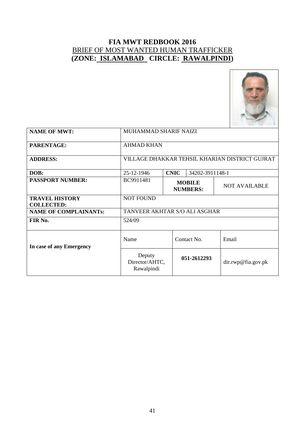

| <b>NAME OF MWT:</b>                        | MUHAMMAD SHARIF NAIZI                          |             |                                  |                      |  |
|--------------------------------------------|------------------------------------------------|-------------|----------------------------------|----------------------|--|
| <b>PARENTAGE:</b>                          | <b>AHMAD KHAN</b>                              |             |                                  |                      |  |
| <b>ADDRESS:</b>                            | VILLAGE DHAKKAR TEHSIL KHARIAN DISTRICT GUJRAT |             |                                  |                      |  |
| DOB:                                       | 25-12-1946                                     | <b>CNIC</b> | 34202-3911148-1                  |                      |  |
| <b>PASSPORT NUMBER:</b>                    | BC9911481                                      |             | <b>MOBILE</b><br><b>NUMBERS:</b> | <b>NOT AVAILABLE</b> |  |
| <b>TRAVEL HISTORY</b><br><b>COLLECTED:</b> | <b>NOT FOUND</b>                               |             |                                  |                      |  |
| <b>NAME OF COMPLAINANTs:</b>               | TANVEER AKHTAR S/O ALI ASGHAR                  |             |                                  |                      |  |
| FIR No.                                    | 524/09                                         |             |                                  |                      |  |
| In case of any Emergency                   | Name                                           |             | Contact No.                      | Email                |  |
|                                            | Deputy<br>Director/AHTC,<br>Rawalpindi         |             | 051-2612293                      | dir.rwp@fia.gov.pk   |  |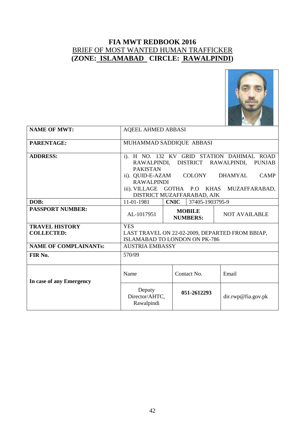

| <b>NAME OF MWT:</b>                        | <b>AQEEL AHMED ABBASI</b>                                                                                                                                                                                                                                                                    |             |                                  |                      |  |
|--------------------------------------------|----------------------------------------------------------------------------------------------------------------------------------------------------------------------------------------------------------------------------------------------------------------------------------------------|-------------|----------------------------------|----------------------|--|
| PARENTAGE:                                 | MUHAMMAD SADDIQUE ABBASI                                                                                                                                                                                                                                                                     |             |                                  |                      |  |
| <b>ADDRESS:</b>                            | i). H NO. 132 KV GRID STATION DAHIMAL ROAD<br>RAWALPINDI, DISTRICT RAWALPINDI,<br><b>PUNJAB</b><br><b>PAKISTAN</b><br><b>COLONY</b><br>ii). QUID-E-AZAM<br><b>DHAMYAL</b><br><b>CAMP</b><br><b>RAWALPINDI</b><br>iii). VILLAGE<br>GOTHA P.O KHAS MUZAFFARABAD,<br>DISTRICT MUZAFFARABAD, AJK |             |                                  |                      |  |
| DOB:                                       | 11-01-1981                                                                                                                                                                                                                                                                                   | <b>CNIC</b> | 37405-1903795-9                  |                      |  |
| <b>PASSPORT NUMBER:</b>                    | AL-1017951                                                                                                                                                                                                                                                                                   |             | <b>MOBILE</b><br><b>NUMBERS:</b> | <b>NOT AVAILABLE</b> |  |
| <b>TRAVEL HISTORY</b><br><b>COLLECTED:</b> | <b>YES</b><br>LAST TRAVEL ON 22-02-2009, DEPARTED FROM BBIAP,<br>ISLAMABAD TO LONDON ON PK-786                                                                                                                                                                                               |             |                                  |                      |  |
| <b>NAME OF COMPLAINANTs:</b>               | <b>AUSTRIA EMBASSY</b>                                                                                                                                                                                                                                                                       |             |                                  |                      |  |
| FIR No.                                    | 570/09                                                                                                                                                                                                                                                                                       |             |                                  |                      |  |
| In case of any Emergency                   | Name                                                                                                                                                                                                                                                                                         |             | Contact No.                      | Email                |  |
|                                            | Deputy<br>Director/AHTC,<br>Rawalpindi                                                                                                                                                                                                                                                       |             | 051-2612293                      | dir.rwp@fia.gov.pk   |  |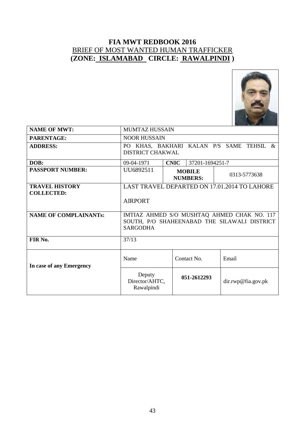

| <b>NAME OF MWT:</b>          | <b>MUMTAZ HUSSAIN</b>                                               |                                  |                    |  |  |
|------------------------------|---------------------------------------------------------------------|----------------------------------|--------------------|--|--|
| PARENTAGE:                   | <b>NOOR HUSSAIN</b>                                                 |                                  |                    |  |  |
| <b>ADDRESS:</b>              | PO KHAS, BAKHARI KALAN P/S SAME TEHSIL &<br><b>DISTRICT CHAKWAL</b> |                                  |                    |  |  |
| DOB:                         | <b>CNIC</b><br>37201-1694251-7<br>09-04-1971                        |                                  |                    |  |  |
| <b>PASSPORT NUMBER:</b>      | UU6892511                                                           | <b>MOBILE</b><br><b>NUMBERS:</b> | 0313-5773638       |  |  |
| <b>TRAVEL HISTORY</b>        | LAST TRAVEL DEPARTED ON 17.01.2014 TO LAHORE                        |                                  |                    |  |  |
| <b>COLLECTED:</b>            | <b>AIRPORT</b>                                                      |                                  |                    |  |  |
| <b>NAME OF COMPLAINANTs:</b> | IMTIAZ AHMED S/O MUSHTAQ AHMED CHAK NO. 117                         |                                  |                    |  |  |
|                              | SOUTH, P/O SHAHEENABAD THE SILAWALI DISTRICT                        |                                  |                    |  |  |
|                              | <b>SARGODHA</b>                                                     |                                  |                    |  |  |
| FIR No.                      | 37/13                                                               |                                  |                    |  |  |
| In case of any Emergency     | Name                                                                | Contact No.                      | Email              |  |  |
|                              | Deputy<br>Director/AHTC,<br>Rawalpindi                              | 051-2612293                      | dir.rwp@fia.gov.pk |  |  |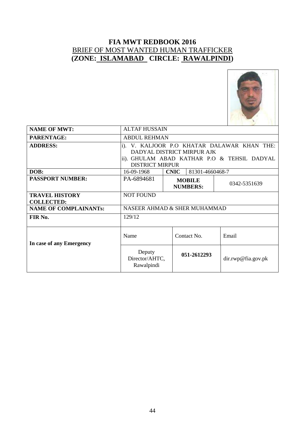

| <b>NAME OF MWT:</b>                        | <b>ALTAF HUSSAIN</b>                                                                                                                                     |                                  |                 |                    |  |
|--------------------------------------------|----------------------------------------------------------------------------------------------------------------------------------------------------------|----------------------------------|-----------------|--------------------|--|
| <b>PARENTAGE:</b>                          | <b>ABDUL REHMAN</b>                                                                                                                                      |                                  |                 |                    |  |
| <b>ADDRESS:</b>                            | V. KALJOOR P.O KHATAR DALAWAR KHAN THE:<br>$i$ ).<br>DADYAL DISTRICT MIRPUR AJK<br>ii). GHULAM ABAD KATHAR P.O & TEHSIL DADYAL<br><b>DISTRICT MIRPUR</b> |                                  |                 |                    |  |
| DOB:                                       | 16-09-1968                                                                                                                                               | <b>CNIC</b>                      | 81301-4660468-7 |                    |  |
| <b>PASSPORT NUMBER:</b>                    | PA-6894681                                                                                                                                               | <b>MOBILE</b><br><b>NUMBERS:</b> | 0342-5351639    |                    |  |
| <b>TRAVEL HISTORY</b><br><b>COLLECTED:</b> | <b>NOT FOUND</b>                                                                                                                                         |                                  |                 |                    |  |
| <b>NAME OF COMPLAINANTs:</b>               | NASEER AHMAD & SHER MUHAMMAD                                                                                                                             |                                  |                 |                    |  |
| FIR No.                                    | 129/12                                                                                                                                                   |                                  |                 |                    |  |
| In case of any Emergency                   | Name                                                                                                                                                     |                                  | Contact No.     | Email              |  |
|                                            | Deputy<br>Director/AHTC,<br>Rawalpindi                                                                                                                   |                                  | 051-2612293     | dir.rwp@fia.gov.pk |  |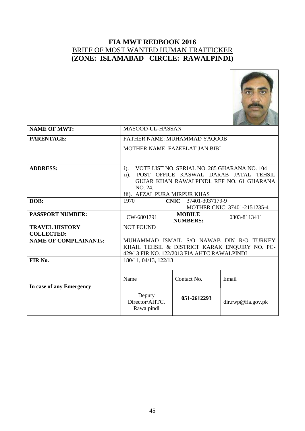

| <b>NAME OF MWT:</b>          | MASOOD-UL-HASSAN                                       |                                |                                  |                                               |  |
|------------------------------|--------------------------------------------------------|--------------------------------|----------------------------------|-----------------------------------------------|--|
| PARENTAGE:                   | FATHER NAME: MUHAMMAD YAQOOB                           |                                |                                  |                                               |  |
|                              | MOTHER NAME: FAZEELAT JAN BIBI                         |                                |                                  |                                               |  |
|                              |                                                        |                                |                                  |                                               |  |
| <b>ADDRESS:</b>              | VOTE LIST NO. SERIAL NO. 285 GHARANA NO. 104<br>$i$ ). |                                |                                  |                                               |  |
|                              | $\ddot{\text{1}}$ .                                    |                                |                                  | POST OFFICE KASWAL DARAB JATAL TEHSIL         |  |
|                              | NO. 24.                                                |                                |                                  | GUJAR KHAN RAWALPINDI. REF NO. 61 GHARANA     |  |
|                              | iii). AFZAL PURA MIRPUR KHAS                           |                                |                                  |                                               |  |
| DOB:                         | 1970                                                   | <b>CNIC</b><br>37401-3037179-9 |                                  |                                               |  |
|                              |                                                        | MOTHER CNIC: 37401-2151235-4   |                                  |                                               |  |
| <b>PASSPORT NUMBER:</b>      | CW-6801791                                             |                                | <b>MOBILE</b><br><b>NUMBERS:</b> | 0303-8113411                                  |  |
| <b>TRAVEL HISTORY</b>        | <b>NOT FOUND</b>                                       |                                |                                  |                                               |  |
| <b>COLLECTED:</b>            |                                                        |                                |                                  |                                               |  |
| <b>NAME OF COMPLAINANTs:</b> |                                                        |                                |                                  | MUHAMMAD ISMAIL S/O NAWAB DIN R/O TURKEY      |  |
|                              | 429/13 FIR NO. 122/2013 FIA AHTC RAWALPINDI            |                                |                                  | KHAIL TEHSIL & DISTRICT KARAK ENQUIRY NO. PC- |  |
| FIR No.                      | 180/11, 04/13, 122/13                                  |                                |                                  |                                               |  |
|                              |                                                        |                                |                                  |                                               |  |
|                              | Name                                                   |                                | Contact No.                      | Email                                         |  |
| In case of any Emergency     |                                                        |                                |                                  |                                               |  |
|                              | Deputy<br>Director/AHTC,<br>Rawalpindi                 |                                | 051-2612293                      | dir.rwp@fia.gov.pk                            |  |
|                              |                                                        |                                |                                  |                                               |  |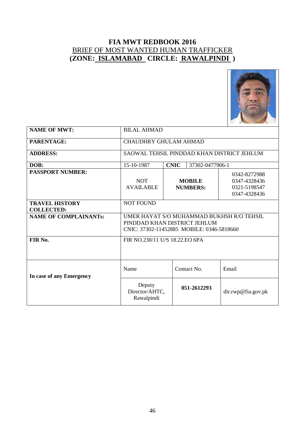

| <b>NAME OF MWT:</b>                        | <b>BILAL AHMAD</b>                                                                                                     |                                                                                                  |                 |                    |  |  |
|--------------------------------------------|------------------------------------------------------------------------------------------------------------------------|--------------------------------------------------------------------------------------------------|-----------------|--------------------|--|--|
| <b>PARENTAGE:</b>                          | <b>CHAUDHRY GHULAM AHMAD</b>                                                                                           |                                                                                                  |                 |                    |  |  |
| <b>ADDRESS:</b>                            | SAOWAL TEHSIL PINDDAD KHAN DISTRICT JEHLUM                                                                             |                                                                                                  |                 |                    |  |  |
| DOB:                                       | 15-10-1987                                                                                                             | <b>CNIC</b>                                                                                      | 37302-0477906-1 |                    |  |  |
| <b>PASSPORT NUMBER:</b>                    | <b>NOT</b><br><b>AVAILABLE</b>                                                                                         | 0342-8272988<br><b>MOBILE</b><br>0347-4328436<br>0321-5198547<br><b>NUMBERS:</b><br>0347-4328436 |                 |                    |  |  |
| <b>TRAVEL HISTORY</b><br><b>COLLECTED:</b> | <b>NOT FOUND</b>                                                                                                       |                                                                                                  |                 |                    |  |  |
| <b>NAME OF COMPLAINANTs:</b>               | UMER HAYAT S/O MUHAMMAD BUKHSH R/O TEHSIL<br>PINDDAD KHAN DISTRICT JEHLUM<br>CNIC: 37302-11452885 MOBILE: 0346-5818660 |                                                                                                  |                 |                    |  |  |
| FIR No.                                    | FIR NO.230/11 U/S 18.22.EO 6PA                                                                                         |                                                                                                  |                 |                    |  |  |
| In case of any Emergency                   | Name<br>Contact No.<br>Email                                                                                           |                                                                                                  |                 |                    |  |  |
|                                            | Deputy<br>Director/AHTC,<br>Rawalpindi                                                                                 |                                                                                                  | 051-2612293     | dir.rwp@fia.gov.pk |  |  |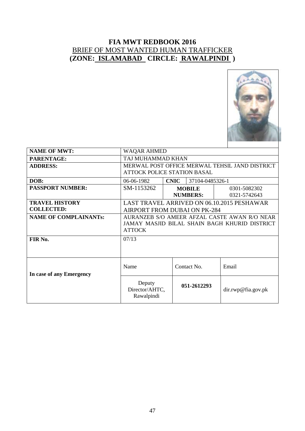

| <b>NAME OF MWT:</b>          | <b>WAQAR AHMED</b>                             |             |                 |                                            |
|------------------------------|------------------------------------------------|-------------|-----------------|--------------------------------------------|
| PARENTAGE:                   | TAJ MUHAMMAD KHAN                              |             |                 |                                            |
| <b>ADDRESS:</b>              | MERWAL POST OFFICE MERWAL TEHSIL JAND DISTRICT |             |                 |                                            |
|                              | <b>ATTOCK POLICE STATION BASAL</b>             |             |                 |                                            |
| DOB:                         | 06-06-1982                                     | <b>CNIC</b> | 37104-0485326-1 |                                            |
| <b>PASSPORT NUMBER:</b>      | SM-1153262                                     |             | <b>MOBILE</b>   | 0301-5082302                               |
|                              |                                                |             | <b>NUMBERS:</b> | 0321-5742643                               |
| <b>TRAVEL HISTORY</b>        |                                                |             |                 | LAST TRAVEL ARRIVED ON 06.10.2015 PESHAWAR |
| <b>COLLECTED:</b>            | <b>AIRPORT FROM DUBAI ON PK-284</b>            |             |                 |                                            |
| <b>NAME OF COMPLAINANTs:</b> | AURANZEB S/O AMEER AFZAL CASTE AWAN R/O NEAR   |             |                 |                                            |
|                              | JAMAY MASJID BILAL SHAIN BAGH KHURID DISTRICT  |             |                 |                                            |
|                              | <b>ATTOCK</b>                                  |             |                 |                                            |
| FIR No.                      | 07/13                                          |             |                 |                                            |
|                              |                                                |             |                 |                                            |
|                              |                                                |             |                 |                                            |
|                              |                                                |             |                 |                                            |
|                              | Name                                           |             | Contact No.     | Email                                      |
| In case of any Emergency     |                                                |             |                 |                                            |
|                              | Deputy                                         |             | 051-2612293     |                                            |
|                              | Director/AHTC,                                 |             |                 | dir.rwp@fia.gov.pk                         |
|                              | Rawalpindi                                     |             |                 |                                            |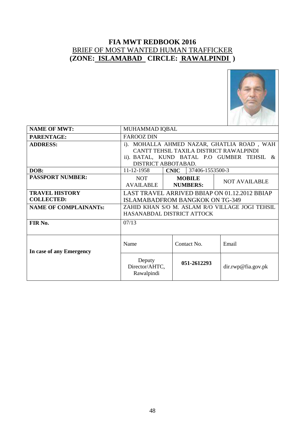

| <b>NAME OF MWT:</b>          | MUHAMMAD IQBAL                                                                                                                                             |                                  |                      |  |  |
|------------------------------|------------------------------------------------------------------------------------------------------------------------------------------------------------|----------------------------------|----------------------|--|--|
| <b>PARENTAGE:</b>            | <b>FAROOZ DIN</b>                                                                                                                                          |                                  |                      |  |  |
| <b>ADDRESS:</b>              | i). MOHALLA AHMED NAZAR, GHATLIA ROAD, WAH<br>CANTT TEHSIL TAXILA DISTRICT RAWALPINDI<br>ii). BATAL, KUND BATAL P.O GUMBER TEHSIL &<br>DISTRICT ABBOTABAD. |                                  |                      |  |  |
| DOB:                         | 11-12-1958                                                                                                                                                 | <b>CNIC</b><br>37406-1553500-3   |                      |  |  |
| <b>PASSPORT NUMBER:</b>      | <b>NOT</b><br><b>AVAILABLE</b>                                                                                                                             | <b>MOBILE</b><br><b>NUMBERS:</b> | <b>NOT AVAILABLE</b> |  |  |
| <b>TRAVEL HISTORY</b>        | LAST TRAVEL ARRIVED BBIAP ON 01.12.2012 BBIAP                                                                                                              |                                  |                      |  |  |
| <b>COLLECTED:</b>            | <b>ISLAMABADFROM BANGKOK ON TG-349</b>                                                                                                                     |                                  |                      |  |  |
| <b>NAME OF COMPLAINANTs:</b> | ZAHID KHAN S/O M. ASLAM R/O VILLAGE JOGI TEHSIL<br>HASANABDAL DISTRICT ATTOCK                                                                              |                                  |                      |  |  |
| FIR No.                      | 07/13                                                                                                                                                      |                                  |                      |  |  |
| In case of any Emergency     | Name                                                                                                                                                       | Contact No.                      | Email                |  |  |
|                              | Deputy<br>Director/AHTC,<br>Rawalpindi                                                                                                                     | 051-2612293                      | dir.rwp@fia.gov.pk   |  |  |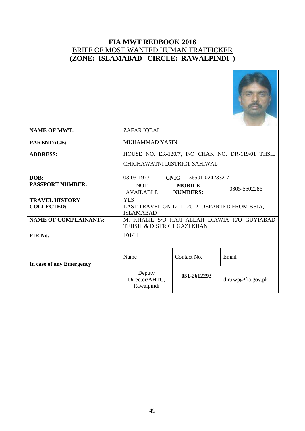

| <b>NAME OF MWT:</b>                        | ZAFAR IQBAL                                                                      |                                                  |                 |                    |  |
|--------------------------------------------|----------------------------------------------------------------------------------|--------------------------------------------------|-----------------|--------------------|--|
| PARENTAGE:                                 | MUHAMMAD YASIN                                                                   |                                                  |                 |                    |  |
| <b>ADDRESS:</b>                            | HOUSE NO. ER-120/7, P/O CHAK NO. DR-119/01 THSIL                                 |                                                  |                 |                    |  |
|                                            | CHICHAWATNI DISTRICT SAHIWAL                                                     |                                                  |                 |                    |  |
| DOB:                                       | 03-03-1973                                                                       | <b>CNIC</b>                                      | 36501-0242332-7 |                    |  |
| <b>PASSPORT NUMBER:</b>                    | <b>NOT</b><br><b>AVAILABLE</b>                                                   | <b>MOBILE</b><br>0305-5502286<br><b>NUMBERS:</b> |                 |                    |  |
| <b>TRAVEL HISTORY</b><br><b>COLLECTED:</b> | <b>YES</b><br>LAST TRAVEL ON 12-11-2012, DEPARTED FROM BBIA,<br><b>ISLAMABAD</b> |                                                  |                 |                    |  |
| <b>NAME OF COMPLAINANTs:</b>               | M. KHALIL S/O HAJI ALLAH DIAWIA R/O GUYIABAD<br>TEHSIL & DISTRICT GAZI KHAN      |                                                  |                 |                    |  |
| FIR No.                                    | 101/11                                                                           |                                                  |                 |                    |  |
| In case of any Emergency                   | Name<br>Contact No.<br>Email                                                     |                                                  |                 |                    |  |
|                                            | Deputy<br>Director/AHTC,<br>Rawalpindi                                           |                                                  | 051-2612293     | dir.rwp@fia.gov.pk |  |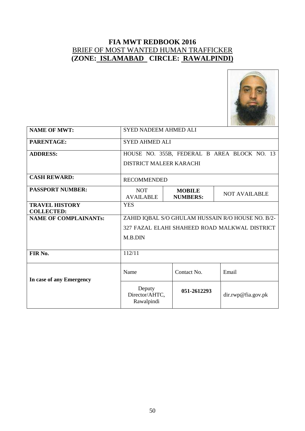

| <b>NAME OF MWT:</b>                               | <b>SYED NADEEM AHMED ALI</b>                      |                                  |                                             |  |  |
|---------------------------------------------------|---------------------------------------------------|----------------------------------|---------------------------------------------|--|--|
| PARENTAGE:                                        | <b>SYED AHMED ALI</b>                             |                                  |                                             |  |  |
| <b>ADDRESS:</b>                                   |                                                   |                                  | HOUSE NO. 355B, FEDERAL B AREA BLOCK NO. 13 |  |  |
|                                                   | DISTRICT MALEER KARACHI                           |                                  |                                             |  |  |
| <b>CASH REWARD:</b>                               | <b>RECOMMENDED</b>                                |                                  |                                             |  |  |
| <b>PASSPORT NUMBER:</b>                           | <b>NOT</b><br><b>AVAILABLE</b>                    | <b>MOBILE</b><br><b>NUMBERS:</b> | <b>NOT AVAILABLE</b>                        |  |  |
| <b>TRAVEL HISTORY</b>                             | <b>YES</b>                                        |                                  |                                             |  |  |
| <b>COLLECTED:</b><br><b>NAME OF COMPLAINANTs:</b> | ZAHID IQBAL S/O GHULAM HUSSAIN R/O HOUSE NO. B/2- |                                  |                                             |  |  |
|                                                   | 327 FAZAL ELAHI SHAHEED ROAD MALKWAL DISTRICT     |                                  |                                             |  |  |
|                                                   |                                                   |                                  |                                             |  |  |
|                                                   | M.B.DIN                                           |                                  |                                             |  |  |
| FIR No.                                           | 112/11                                            |                                  |                                             |  |  |
|                                                   | Name                                              | Contact No.                      | Email                                       |  |  |
| In case of any Emergency                          | Deputy<br>Director/AHTC,<br>Rawalpindi            | 051-2612293                      | dir.rwp@fia.gov.pk                          |  |  |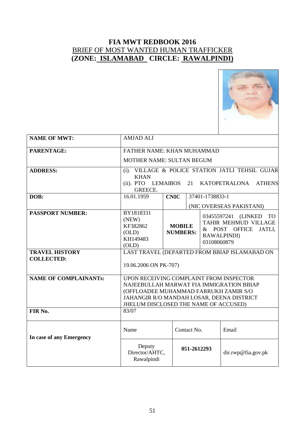

| <b>NAME OF MWT:</b>                        | <b>AMJAD ALI</b>                                                                                                                                                                                                   |                                                                                    |             |                                                                                           |                          |
|--------------------------------------------|--------------------------------------------------------------------------------------------------------------------------------------------------------------------------------------------------------------------|------------------------------------------------------------------------------------|-------------|-------------------------------------------------------------------------------------------|--------------------------|
| PARENTAGE:                                 | FATHER NAME: KHAN MUHAMMAD                                                                                                                                                                                         |                                                                                    |             |                                                                                           |                          |
|                                            | <b>MOTHER NAME: SULTAN BEGUM</b>                                                                                                                                                                                   |                                                                                    |             |                                                                                           |                          |
| <b>ADDRESS:</b>                            | VILLAGE & POLICE STATION JATLI TEHSIL GUJAR<br>$(i)$ .<br><b>KHAN</b><br>$(ii)$ . PTO<br><b>LEMAIBOS</b><br>21<br><b>KATOPETRALONA</b><br><b>ATHENS</b>                                                            |                                                                                    |             |                                                                                           |                          |
|                                            | <b>GREECE.</b>                                                                                                                                                                                                     |                                                                                    |             |                                                                                           |                          |
| DOB:                                       | 16.01.1959                                                                                                                                                                                                         | <b>CNIC</b>                                                                        |             | 37401-1738833-1                                                                           |                          |
|                                            |                                                                                                                                                                                                                    |                                                                                    |             |                                                                                           | (NIC OVERSEAS PAKISTANI) |
| <b>PASSPORT NUMBER:</b>                    | BY1818331<br>(NEW)<br>KF382862<br>(OLD)<br>KH149483<br>(OLD)                                                                                                                                                       | <b>MOBILE</b><br>$&$ POST<br><b>NUMBERS:</b><br><b>RAWALPINDI</b> )<br>03108060879 |             | 03455597241 (LINKED<br>TO <sub>1</sub><br>TAHIR MEHMUD VILLAGE<br><b>OFFICE</b><br>JATLI, |                          |
| <b>TRAVEL HISTORY</b><br><b>COLLECTED:</b> | LAST TRAVEL (DEPARTED FROM BBIAP ISLAMABAD ON<br>19.06.2006 ON PK-707)                                                                                                                                             |                                                                                    |             |                                                                                           |                          |
| <b>NAME OF COMPLAINANTs:</b>               | UPON RECEIVING COMPLAINT FROM INSPECTOR<br>NAJEEBULLAH MARWAT FIA IMMIGRATION BBIAP<br>(OFFLOADEE MUHAMMAD FARRUKH ZAMIR S/O<br>JAHANGIR R/O MANDAH LOSAR, DEENA DISTRICT<br>JHELUM DISCLOSED THE NAME OF ACCUSED) |                                                                                    |             |                                                                                           |                          |
| FIR No.                                    | 83/07                                                                                                                                                                                                              |                                                                                    |             |                                                                                           |                          |
| In case of any Emergency                   | Name                                                                                                                                                                                                               | Contact No.<br>Email                                                               |             |                                                                                           |                          |
|                                            | Deputy<br>Director/AHTC,<br>Rawalpindi                                                                                                                                                                             |                                                                                    | 051-2612293 |                                                                                           | dir.rwp@fia.gov.pk       |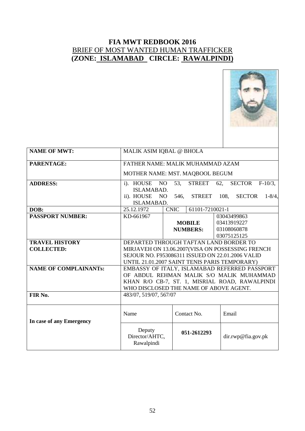

| <b>NAME OF MWT:</b>          | MALIK ASIM IQBAL @ BHOLA                         |                                |                                      |  |  |
|------------------------------|--------------------------------------------------|--------------------------------|--------------------------------------|--|--|
| PARENTAGE:                   | FATHER NAME: MALIK MUHAMMAD AZAM                 |                                |                                      |  |  |
|                              | MOTHER NAME: MST. MAQBOOL BEGUM                  |                                |                                      |  |  |
| <b>ADDRESS:</b>              | NO <sub>1</sub><br>i). HOUSE                     | <b>STREET</b><br>53,           | 62,<br><b>SECTOR</b><br>$F-10/3$ .   |  |  |
|                              | ISLAMABAD.                                       |                                |                                      |  |  |
|                              | ii). HOUSE<br>NO                                 | 546,<br><b>STREET</b>          | 108,<br><b>SECTOR</b><br>$1 - 8/4$ , |  |  |
|                              | <b>ISLAMABAD.</b>                                |                                |                                      |  |  |
| DOB:                         | 25.12.1972                                       | <b>CNIC</b><br>61101-7210021-1 |                                      |  |  |
| <b>PASSPORT NUMBER:</b>      | KD-661967                                        |                                | 03043499863                          |  |  |
|                              |                                                  | <b>MOBILE</b>                  | 03413919227                          |  |  |
|                              |                                                  | <b>NUMBERS:</b>                | 03108060878                          |  |  |
|                              |                                                  |                                | 03075125125                          |  |  |
| <b>TRAVEL HISTORY</b>        | DEPARTED THROUGH TAFTAN LAND BORDER TO           |                                |                                      |  |  |
| <b>COLLECTED:</b>            | MIRJAVEH ON 13.06.2007(VISA ON POSSESSING FRENCH |                                |                                      |  |  |
|                              | SEJOUR NO. F953086311 ISSUED ON 22.01.2006 VALID |                                |                                      |  |  |
|                              | UNTIL 21.01.2007 SAINT TENIS PARIS TEMPORARY)    |                                |                                      |  |  |
| <b>NAME OF COMPLAINANTS:</b> | EMBASSY OF ITALY, ISLAMABAD REFERRED PASSPORT    |                                |                                      |  |  |
|                              | OF ABDUL REHMAN MALIK S/O MALIK MUHAMMAD         |                                |                                      |  |  |
|                              | KHAN R/O CB-7, ST. 1, MISRIAL ROAD, RAWALPINDI   |                                |                                      |  |  |
|                              | WHO DISCLOSED THE NAME OF ABOVE AGENT.           |                                |                                      |  |  |
| FIR No.                      | 483/07, 519/07, 567/07                           |                                |                                      |  |  |
|                              |                                                  |                                |                                      |  |  |
|                              |                                                  |                                |                                      |  |  |
|                              | Name                                             | Contact No.                    | Email                                |  |  |
| In case of any Emergency     |                                                  |                                |                                      |  |  |
|                              | Deputy<br>Director/AHTC,<br>Rawalpindi           | 051-2612293                    | dir.rwp@fia.gov.pk                   |  |  |
|                              |                                                  |                                |                                      |  |  |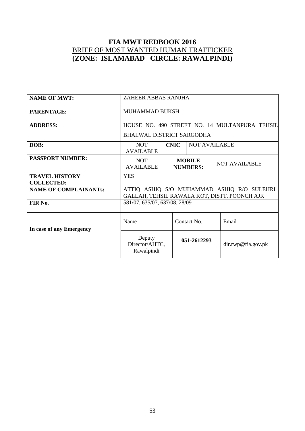| <b>NAME OF MWT:</b>                        | ZAHEER ABBAS RANJHA                                                                        |                                                          |                      |                    |  |
|--------------------------------------------|--------------------------------------------------------------------------------------------|----------------------------------------------------------|----------------------|--------------------|--|
| <b>PARENTAGE:</b>                          | <b>MUHAMMAD BUKSH</b>                                                                      |                                                          |                      |                    |  |
| <b>ADDRESS:</b>                            | HOUSE NO. 490 STREET NO. 14 MULTANPURA TEHSIL<br>BHALWAL DISTRICT SARGODHA                 |                                                          |                      |                    |  |
| DOB:                                       | <b>NOT</b><br><b>AVAILABLE</b>                                                             | <b>CNIC</b>                                              | <b>NOT AVAILABLE</b> |                    |  |
| <b>PASSPORT NUMBER:</b>                    | <b>NOT</b><br>AVAILABLE                                                                    | <b>MOBILE</b><br><b>NOT AVAILABLE</b><br><b>NUMBERS:</b> |                      |                    |  |
| <b>TRAVEL HISTORY</b><br><b>COLLECTED:</b> | <b>YES</b>                                                                                 |                                                          |                      |                    |  |
| <b>NAME OF COMPLAINANTs:</b>               | ATTIQ ASHIQ S/O MUHAMMAD ASHIQ R/O SULEHRI<br>GALLAH, TEHSIL RAWALA KOT, DISTT. POONCH AJK |                                                          |                      |                    |  |
| FIR No.                                    | 581/07, 635/07, 637/08, 28/09                                                              |                                                          |                      |                    |  |
| In case of any Emergency                   | Name<br>Contact No.<br>Email                                                               |                                                          |                      |                    |  |
|                                            | Deputy<br>Director/AHTC,<br>Rawalpindi                                                     |                                                          | 051-2612293          | dir.rwp@fia.gov.pk |  |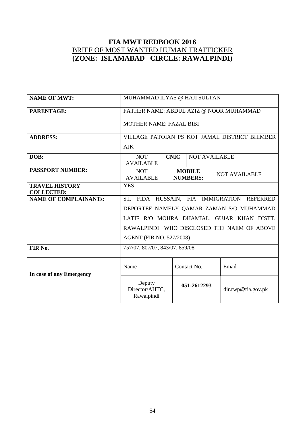| <b>NAME OF MWT:</b>                        | MUHAMMAD ILYAS @ HAJI SULTAN            |                                                          |                      |                                               |  |  |
|--------------------------------------------|-----------------------------------------|----------------------------------------------------------|----------------------|-----------------------------------------------|--|--|
| PARENTAGE:                                 | FATHER NAME: ABDUL AZIZ @ NOOR MUHAMMAD |                                                          |                      |                                               |  |  |
|                                            | <b>MOTHER NAME: FAZAL BIBI</b>          |                                                          |                      |                                               |  |  |
| <b>ADDRESS:</b>                            |                                         |                                                          |                      | VILLAGE PATOIAN PS KOT JAMAL DISTRICT BHIMBER |  |  |
|                                            | <b>AJK</b>                              |                                                          |                      |                                               |  |  |
| DOB:                                       | <b>NOT</b><br><b>AVAILABLE</b>          | <b>CNIC</b>                                              | <b>NOT AVAILABLE</b> |                                               |  |  |
| <b>PASSPORT NUMBER:</b>                    | <b>NOT</b><br><b>AVAILABLE</b>          | <b>MOBILE</b><br><b>NOT AVAILABLE</b><br><b>NUMBERS:</b> |                      |                                               |  |  |
| <b>TRAVEL HISTORY</b><br><b>COLLECTED:</b> | <b>YES</b>                              |                                                          |                      |                                               |  |  |
| <b>NAME OF COMPLAINANTS:</b>               | S.I.                                    |                                                          |                      | FIDA HUSSAIN, FIA IMMIGRATION REFERRED        |  |  |
|                                            |                                         |                                                          |                      | DEPORTEE NAMELY QAMAR ZAMAN S/O MUHAMMAD      |  |  |
|                                            |                                         |                                                          |                      | LATIF R/O MOHRA DHAMIAL, GUJAR KHAN DISTT.    |  |  |
|                                            |                                         |                                                          |                      | RAWALPINDI WHO DISCLOSED THE NAEM OF ABOVE    |  |  |
|                                            | <b>AGENT (FIR NO. 527/2008)</b>         |                                                          |                      |                                               |  |  |
| FIR No.                                    | 757/07, 807/07, 843/07, 859/08          |                                                          |                      |                                               |  |  |
|                                            | Name<br>Contact No.<br>Email            |                                                          |                      |                                               |  |  |
| In case of any Emergency                   | Deputy<br>Director/AHTC,<br>Rawalpindi  |                                                          | 051-2612293          | dir.rwp@fia.gov.pk                            |  |  |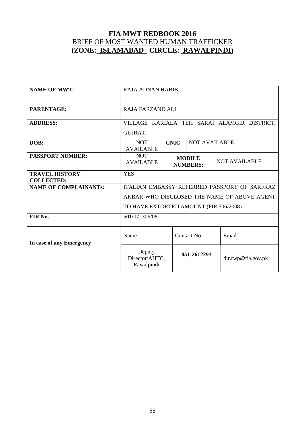| <b>NAME OF MWT:</b>                        | <b>RAJA ADNAN HABIB</b>                                |             |                                  |                                              |  |
|--------------------------------------------|--------------------------------------------------------|-------------|----------------------------------|----------------------------------------------|--|
| PARENTAGE:                                 | <b>RAJA FARZAND ALI</b>                                |             |                                  |                                              |  |
| <b>ADDRESS:</b>                            | VILLAGE KARIALA TEH SARAI ALAMGIR DISTRICT,<br>GUJRAT. |             |                                  |                                              |  |
| DOB:                                       | <b>NOT</b><br><b>AVAILABLE</b>                         | <b>CNIC</b> | <b>NOT AVAILABLE</b>             |                                              |  |
| <b>PASSPORT NUMBER:</b>                    | <b>NOT</b><br><b>AVAILABLE</b>                         |             | <b>MOBILE</b><br><b>NUMBERS:</b> | <b>NOT AVAILABLE</b>                         |  |
| <b>TRAVEL HISTORY</b><br><b>COLLECTED:</b> | <b>YES</b>                                             |             |                                  |                                              |  |
| <b>NAME OF COMPLAINANTS:</b>               |                                                        |             |                                  | ITALIAN EMBASSY REFERRED PASSPORT OF SARFRAZ |  |
|                                            | AKBAR WHO DISCLOSED THE NAME OF ABOVE AGENT            |             |                                  |                                              |  |
|                                            | TO HAVE EXTORTED AMOUNT (FIR 306/2008)                 |             |                                  |                                              |  |
| FIR No.                                    | 501/07, 306/08                                         |             |                                  |                                              |  |
| In case of any Emergency                   | Name                                                   |             | Contact No.                      | Email                                        |  |
|                                            | Deputy<br>Director/AHTC,<br>Rawalpindi                 |             | 051-2612293                      | dir.rwp@fia.gov.pk                           |  |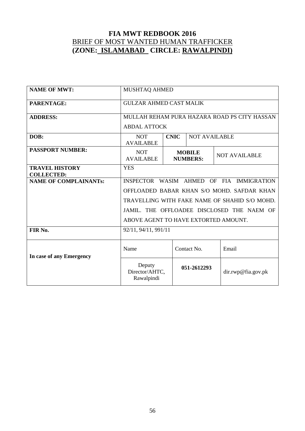| <b>NAME OF MWT:</b>                        | MUSHTAQ AHMED                                                       |                                                          |                      |                                               |  |
|--------------------------------------------|---------------------------------------------------------------------|----------------------------------------------------------|----------------------|-----------------------------------------------|--|
| PARENTAGE:                                 | <b>GULZAR AHMED CAST MALIK</b>                                      |                                                          |                      |                                               |  |
| <b>ADDRESS:</b>                            | MULLAH REHAM PURA HAZARA ROAD PS CITY HASSAN<br><b>ABDAL ATTOCK</b> |                                                          |                      |                                               |  |
|                                            |                                                                     |                                                          |                      |                                               |  |
| DOB:                                       | <b>NOT</b><br><b>AVAILABLE</b>                                      | <b>CNIC</b>                                              | <b>NOT AVAILABLE</b> |                                               |  |
| <b>PASSPORT NUMBER:</b>                    | <b>NOT</b><br><b>AVAILABLE</b>                                      | <b>MOBILE</b><br><b>NOT AVAILABLE</b><br><b>NUMBERS:</b> |                      |                                               |  |
| <b>TRAVEL HISTORY</b><br><b>COLLECTED:</b> | <b>YES</b>                                                          |                                                          |                      |                                               |  |
| <b>NAME OF COMPLAINANTS:</b>               | INSPECTOR WASIM AHMED                                               |                                                          |                      | OF FIA IMMIGRATION                            |  |
|                                            |                                                                     |                                                          |                      | OFFLOADED BABAR KHAN S/O MOHD. SAFDAR KHAN    |  |
|                                            |                                                                     |                                                          |                      | TRAVELLING WITH FAKE NAME OF SHAHID S/O MOHD. |  |
|                                            |                                                                     |                                                          |                      | JAMIL. THE OFFLOADEE DISCLOSED THE NAEM OF    |  |
|                                            | ABOVE AGENT TO HAVE EXTORTED AMOUNT.                                |                                                          |                      |                                               |  |
| FIR No.                                    | 92/11, 94/11, 991/11                                                |                                                          |                      |                                               |  |
| In case of any Emergency                   | Contact No.<br>Name<br>Email                                        |                                                          |                      |                                               |  |
|                                            | Deputy<br>Director/AHTC,<br>Rawalpindi                              |                                                          | 051-2612293          | dir.rwp@fia.gov.pk                            |  |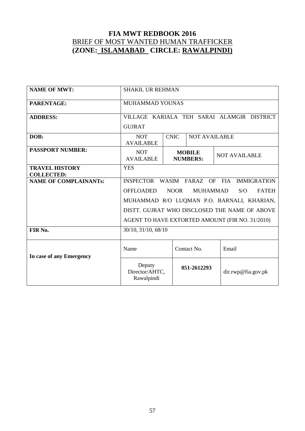| <b>NAME OF MWT:</b>                        | <b>SHAKIL UR REHMAN</b>                                     |             |                                  |                                                 |  |
|--------------------------------------------|-------------------------------------------------------------|-------------|----------------------------------|-------------------------------------------------|--|
| PARENTAGE:                                 | <b>MUHAMMAD YOUNAS</b>                                      |             |                                  |                                                 |  |
| <b>ADDRESS:</b>                            | VILLAGE KARIALA TEH SARAI ALAMGIR DISTRICT<br><b>GUJRAT</b> |             |                                  |                                                 |  |
| DOB:                                       | <b>NOT</b><br><b>AVAILABLE</b>                              | <b>CNIC</b> | <b>NOT AVAILABLE</b>             |                                                 |  |
| <b>PASSPORT NUMBER:</b>                    | <b>NOT</b><br><b>AVAILABLE</b>                              |             | <b>MOBILE</b><br><b>NUMBERS:</b> | <b>NOT AVAILABLE</b>                            |  |
| <b>TRAVEL HISTORY</b><br><b>COLLECTED:</b> | <b>YES</b>                                                  |             |                                  |                                                 |  |
| <b>NAME OF COMPLAINANTS:</b>               | INSPECTOR WASIM FARAZ OF FIA                                |             |                                  | <b>IMMIGRATION</b>                              |  |
|                                            | <b>OFFLOADED</b>                                            | <b>NOOR</b> | <b>MUHAMMAD</b>                  | S/O<br><b>FATEH</b>                             |  |
|                                            |                                                             |             |                                  | MUHAMMAD R/O LUQMAN P.O. BARNALI, KHARIAN,      |  |
|                                            |                                                             |             |                                  | DISTT. GUJRAT WHO DISCLOSED THE NAME OF ABOVE   |  |
|                                            |                                                             |             |                                  | AGENT TO HAVE EXTORTED AMOUNT (FIR NO. 31/2010) |  |
| FIR No.                                    | 30/10, 31/10, 68/10                                         |             |                                  |                                                 |  |
| In case of any Emergency                   | Name<br>Contact No.<br>Email                                |             |                                  |                                                 |  |
|                                            | Deputy<br>Director/AHTC,<br>Rawalpindi                      |             | 051-2612293                      | dir.rwp@fia.gov.pk                              |  |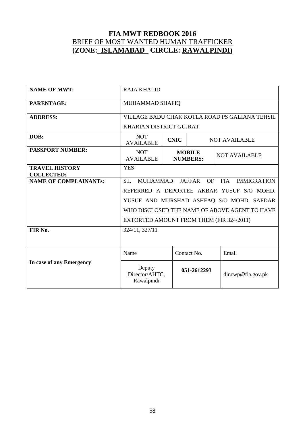| <b>NAME OF MWT:</b>                        | <b>RAJA KHALID</b>                                                                        |                                                          |             |                                               |  |  |
|--------------------------------------------|-------------------------------------------------------------------------------------------|----------------------------------------------------------|-------------|-----------------------------------------------|--|--|
| PARENTAGE:                                 | MUHAMMAD SHAFIQ                                                                           |                                                          |             |                                               |  |  |
| <b>ADDRESS:</b>                            | VILLAGE BADU CHAK KOTLA ROAD PS GALIANA TEHSIL                                            |                                                          |             |                                               |  |  |
|                                            | <b>KHARIAN DISTRICT GUJRAT</b>                                                            |                                                          |             |                                               |  |  |
| DOB:                                       | <b>NOT</b><br><b>AVAILABLE</b>                                                            | <b>CNIC</b>                                              |             | <b>NOT AVAILABLE</b>                          |  |  |
| <b>PASSPORT NUMBER:</b>                    | <b>NOT</b><br><b>AVAILABLE</b>                                                            | <b>MOBILE</b><br><b>NOT AVAILABLE</b><br><b>NUMBERS:</b> |             |                                               |  |  |
| <b>TRAVEL HISTORY</b><br><b>COLLECTED:</b> | <b>YES</b>                                                                                |                                                          |             |                                               |  |  |
| <b>NAME OF COMPLAINANTs:</b>               | <b>MUHAMMAD</b><br><b>JAFFAR</b><br><b>IMMIGRATION</b><br>S.I.<br><b>OF</b><br><b>FIA</b> |                                                          |             |                                               |  |  |
|                                            | REFERRED A DEPORTEE AKBAR YUSUF S/O MOHD.                                                 |                                                          |             |                                               |  |  |
|                                            |                                                                                           |                                                          |             | YUSUF AND MURSHAD ASHFAQ S/O MOHD. SAFDAR     |  |  |
|                                            |                                                                                           |                                                          |             | WHO DISCLOSED THE NAME OF ABOVE AGENT TO HAVE |  |  |
|                                            | EXTORTED AMOUNT FROM THEM (FIR 324/2011)                                                  |                                                          |             |                                               |  |  |
| FIR No.                                    | 324/11, 327/11                                                                            |                                                          |             |                                               |  |  |
|                                            | Name<br>Contact No.<br>Email                                                              |                                                          |             |                                               |  |  |
| In case of any Emergency                   | Deputy<br>Director/AHTC,<br>Rawalpindi                                                    |                                                          | 051-2612293 | dir.rwp@fia.gov.pk                            |  |  |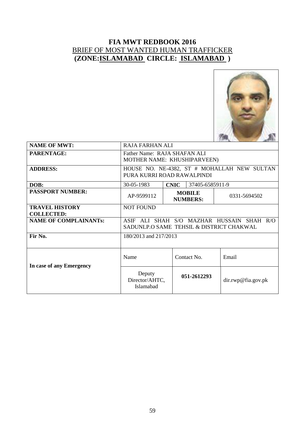

| <b>NAME OF MWT:</b>                        | <b>RAJA FARHAN ALI</b>                                                                              |             |                 |                    |  |
|--------------------------------------------|-----------------------------------------------------------------------------------------------------|-------------|-----------------|--------------------|--|
| <b>PARENTAGE:</b>                          | Father Name: RAJA SHAFAN ALI<br>MOTHER NAME: KHUSHIPARVEEN)                                         |             |                 |                    |  |
| <b>ADDRESS:</b>                            | HOUSE NO. NE-4382, ST # MOHALLAH NEW SULTAN<br>PURA KURRI ROAD RAWALPINDI                           |             |                 |                    |  |
| DOB:                                       | 30-05-1983                                                                                          | <b>CNIC</b> | 37405-6585911-9 |                    |  |
| <b>PASSPORT NUMBER:</b>                    | <b>MOBILE</b><br>AP-9599112<br>0331-5694502<br><b>NUMBERS:</b>                                      |             |                 |                    |  |
| <b>TRAVEL HISTORY</b><br><b>COLLECTED:</b> | <b>NOT FOUND</b>                                                                                    |             |                 |                    |  |
| <b>NAME OF COMPLAINANTs:</b>               | SHAH S/O MAZHAR HUSSAIN SHAH R/O<br><b>ASIF</b><br>AL I<br>SADUNLP.O SAME TEHSIL & DISTRICT CHAKWAL |             |                 |                    |  |
| Fir No.                                    | 180/2013 and 217/2013                                                                               |             |                 |                    |  |
| In case of any Emergency                   | Name                                                                                                |             | Contact No.     | Email              |  |
|                                            | Deputy<br>Director/AHTC,<br>Islamabad                                                               |             | 051-2612293     | dir.rwp@fia.gov.pk |  |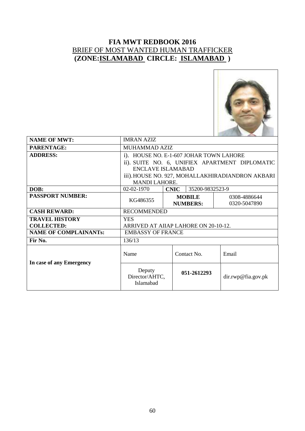

| <b>NAME OF MWT:</b>          | <b>IMRAN AZIZ</b>                     |                                         |                                                  |  |  |
|------------------------------|---------------------------------------|-----------------------------------------|--------------------------------------------------|--|--|
| PARENTAGE:                   | <b>MUHAMMAD AZIZ</b>                  |                                         |                                                  |  |  |
| <b>ADDRESS:</b>              |                                       | i). HOUSE NO. E-1-607 JOHAR TOWN LAHORE |                                                  |  |  |
|                              |                                       |                                         | ii). SUITE NO. 6, UNIFIEX APARTMENT DIPLOMATIC   |  |  |
|                              | <b>ENCLAVE ISLAMABAD</b>              |                                         |                                                  |  |  |
|                              |                                       |                                         | iii). HOUSE NO. 927, MOHALLAKHIRADIANDRON AKBARI |  |  |
|                              | <b>MANDI LAHORE.</b>                  |                                         |                                                  |  |  |
| DOB:                         | 02-02-1970                            | 35200-9832523-9<br><b>CNIC</b>          |                                                  |  |  |
| <b>PASSPORT NUMBER:</b>      | KG486355                              | <b>MOBILE</b>                           | 0308-4886644                                     |  |  |
|                              |                                       | <b>NUMBERS:</b>                         | 0320-5047890                                     |  |  |
| <b>CASH REWARD:</b>          | <b>RECOMMENDED</b>                    |                                         |                                                  |  |  |
| <b>TRAVEL HISTORY</b>        | <b>YES</b>                            |                                         |                                                  |  |  |
| <b>COLLECTED:</b>            | ARRIVED AT AIIAP LAHORE ON 20-10-12.  |                                         |                                                  |  |  |
| <b>NAME OF COMPLAINANTs:</b> | <b>EMBASSY OF FRANCE</b>              |                                         |                                                  |  |  |
| Fir No.                      | 136/13                                |                                         |                                                  |  |  |
| In case of any Emergency     | Name                                  | Contact No.                             | Email                                            |  |  |
|                              | Deputy<br>Director/AHTC,<br>Islamabad | 051-2612293                             | dir.rwp@fia.gov.pk                               |  |  |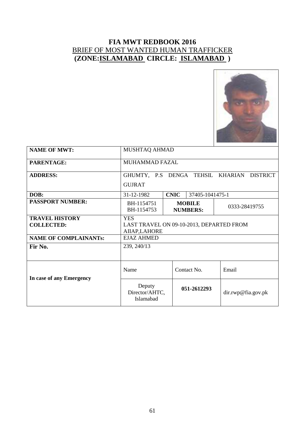

| <b>NAME OF MWT:</b>          | MUSHTAQ AHMAD                                  |                                  |                    |  |  |
|------------------------------|------------------------------------------------|----------------------------------|--------------------|--|--|
|                              |                                                |                                  |                    |  |  |
| <b>PARENTAGE:</b>            | <b>MUHAMMAD FAZAL</b>                          |                                  |                    |  |  |
|                              |                                                |                                  |                    |  |  |
| <b>ADDRESS:</b>              |                                                | GHUMTY, P.S DENGA TEHSIL KHARIAN | <b>DISTRICT</b>    |  |  |
|                              | <b>GUJRAT</b>                                  |                                  |                    |  |  |
| DOB:                         | 31-12-1982                                     | <b>CNIC</b><br>37405-1041475-1   |                    |  |  |
| <b>PASSPORT NUMBER:</b>      | BH-1154751                                     | <b>MOBILE</b>                    |                    |  |  |
|                              | 0333-28419755<br>BH-1154753<br><b>NUMBERS:</b> |                                  |                    |  |  |
| <b>TRAVEL HISTORY</b>        | <b>YES</b>                                     |                                  |                    |  |  |
| <b>COLLECTED:</b>            | LAST TRAVEL ON 09-10-2013, DEPARTED FROM       |                                  |                    |  |  |
|                              | AIIAP, LAHORE                                  |                                  |                    |  |  |
| <b>NAME OF COMPLAINANTs:</b> | <b>EJAZ AHMED</b>                              |                                  |                    |  |  |
| Fir No.                      | 239, 240/13                                    |                                  |                    |  |  |
|                              |                                                |                                  |                    |  |  |
|                              |                                                |                                  |                    |  |  |
|                              | Name<br>Contact No.<br>Email                   |                                  |                    |  |  |
| In case of any Emergency     | Deputy<br>Director/AHTC,<br>Islamabad          | 051-2612293                      | dir.rwp@fia.gov.pk |  |  |
|                              |                                                |                                  |                    |  |  |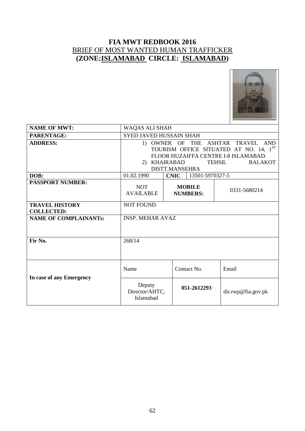#### **FIA MWT REDBOOK 2016** BRIEF OF MOST WANTED HUMAN TRAFFICKER **(ZONE:ISLAMABAD CIRCLE: ISLAMABAD)**



| <b>NAME OF MWT:</b>                        | <b>WAQAS ALI SHAH</b>                                                                                                                                                                           |             |                                  |                    |  |
|--------------------------------------------|-------------------------------------------------------------------------------------------------------------------------------------------------------------------------------------------------|-------------|----------------------------------|--------------------|--|
| PARENTAGE:                                 | <b>SYED JAVED HUSSAIN SHAH</b>                                                                                                                                                                  |             |                                  |                    |  |
| <b>ADDRESS:</b>                            | 1) OWNER OF THE ASHTAR TRAVEL AND<br>TOURISM OFFICE SITUATED AT NO. 14, 1ST<br>FLOOR HUZAIFFA CENTRE I-8 ISLAMABAD.<br>2) KHAIRABAD<br><b>TEHSIL</b><br><b>BALAKOT</b><br><b>DISTT.MANSEHRA</b> |             |                                  |                    |  |
| DOB:                                       | 01.02.1990                                                                                                                                                                                      | <b>CNIC</b> | 13501-5970327-5                  |                    |  |
| <b>PASSPORT NUMBER:</b>                    | <b>NOT</b><br><b>AVAILABLE</b>                                                                                                                                                                  |             | <b>MOBILE</b><br><b>NUMBERS:</b> | 0331-5680214       |  |
| <b>TRAVEL HISTORY</b><br><b>COLLECTED:</b> | <b>NOT FOUND</b>                                                                                                                                                                                |             |                                  |                    |  |
| <b>NAME OF COMPLAINANTs:</b>               | <b>INSP. MEHAR AYAZ</b>                                                                                                                                                                         |             |                                  |                    |  |
| Fir No.                                    | 268/14                                                                                                                                                                                          |             |                                  |                    |  |
| In case of any Emergency                   | Name                                                                                                                                                                                            |             | Contact No.                      | Email              |  |
|                                            | Deputy<br>Director/AHTC,<br>Islamabad                                                                                                                                                           |             | 051-2612293                      | dir.rwp@fia.gov.pk |  |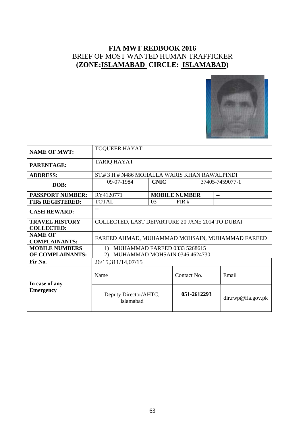#### **FIA MWT REDBOOK 2016** BRIEF OF MOST WANTED HUMAN TRAFFICKER **(ZONE:ISLAMABAD CIRCLE: ISLAMABAD)**



| <b>NAME OF MWT:</b>                        | <b>TOQUEER HAYAT</b>                                                         |                                |                               |                    |  |  |
|--------------------------------------------|------------------------------------------------------------------------------|--------------------------------|-------------------------------|--------------------|--|--|
| PARENTAGE:                                 | <b>TARIQ HAYAT</b>                                                           |                                |                               |                    |  |  |
| <b>ADDRESS:</b>                            | ST.#3 H # N486 MOHALLA WARIS KHAN RAWALPINDI                                 |                                |                               |                    |  |  |
| DOB:                                       | 09-07-1984                                                                   | <b>CNIC</b><br>37405-7459077-1 |                               |                    |  |  |
| <b>PASSPORT NUMBER:</b>                    | RY4120771                                                                    |                                | <b>MOBILE NUMBER</b>          | $-$                |  |  |
| <b>FIRS REGISTERED:</b>                    | <b>TOTAL</b>                                                                 | 03                             | FIR#                          |                    |  |  |
| <b>CASH REWARD:</b>                        |                                                                              |                                |                               |                    |  |  |
| <b>TRAVEL HISTORY</b><br><b>COLLECTED:</b> | COLLECTED, LAST DEPARTURE 20 JANE 2014 TO DUBAI                              |                                |                               |                    |  |  |
| <b>NAME OF</b><br><b>COMPLAINANTS:</b>     | FAREED AHMAD, MUHAMMAD MOHSAIN, MUHAMMAD FAREED                              |                                |                               |                    |  |  |
| <b>MOBILE NUMBERS</b><br>OF COMPLAINANTS:  | MUHAMMAD FAREED 0333 5268615<br>$\left( \frac{1}{2} \right)$<br>$\mathbf{2}$ |                                | MUHAMMAD MOHSAIN 0346 4624730 |                    |  |  |
| Fir No.                                    | 26/15,311/14,07/15                                                           |                                |                               |                    |  |  |
| In case of any                             | Name                                                                         | Contact No.                    |                               | Email              |  |  |
| <b>Emergency</b>                           | Deputy Director/AHTC,<br>Islamabad                                           |                                | 051-2612293                   | dir.rwp@fia.gov.pk |  |  |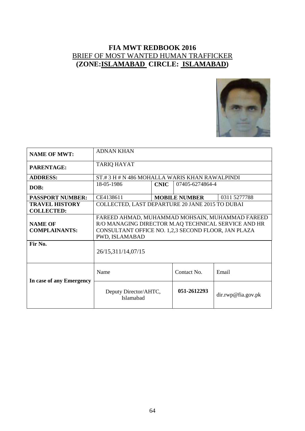#### **FIA MWT REDBOOK 2016** BRIEF OF MOST WANTED HUMAN TRAFFICKER **(ZONE:ISLAMABAD CIRCLE: ISLAMABAD)**



| <b>NAME OF MWT:</b>                        | <b>ADNAN KHAN</b>                                                                                                                                                               |             |                      |                    |  |
|--------------------------------------------|---------------------------------------------------------------------------------------------------------------------------------------------------------------------------------|-------------|----------------------|--------------------|--|
| PARENTAGE:                                 | <b>TARIQ HAYAT</b>                                                                                                                                                              |             |                      |                    |  |
| <b>ADDRESS:</b>                            | ST#3 H # N 486 MOHALLA WARIS KHAN RAWALPINDI                                                                                                                                    |             |                      |                    |  |
| DOB:                                       | 18-05-1986                                                                                                                                                                      | <b>CNIC</b> | 07405-6274864-4      |                    |  |
| <b>PASSPORT NUMBER:</b>                    | CE4138611                                                                                                                                                                       |             | <b>MOBILE NUMBER</b> | 0311 5277788       |  |
| <b>TRAVEL HISTORY</b><br><b>COLLECTED:</b> | COLLECTED, LAST DEPARTURE 20 JANE 2015 TO DUBAI                                                                                                                                 |             |                      |                    |  |
| <b>NAME OF</b><br><b>COMPLAINANTS:</b>     | FAREED AHMAD, MUHAMMAD MOHSAIN, MUHAMMAD FAREED<br>R/O MANAGING DIRECTOR M.AQ TECHNICAL SERVICE AND HR<br>CONSULTANT OFFICE NO. 1,2,3 SECOND FLOOR, JAN PLAZA<br>PWD, ISLAMABAD |             |                      |                    |  |
| Fir No.                                    | 26/15,311/14,07/15                                                                                                                                                              |             |                      |                    |  |
| In case of any Emergency                   | Contact No.<br>Email<br>Name                                                                                                                                                    |             |                      |                    |  |
|                                            | Deputy Director/AHTC,<br>Islamabad                                                                                                                                              |             | 051-2612293          | dir.rwp@fia.gov.pk |  |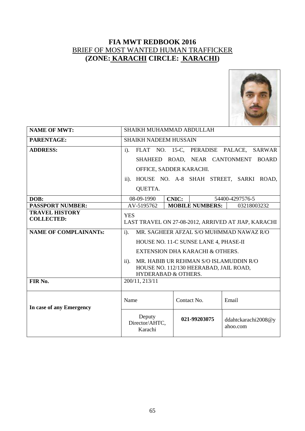

| <b>NAME OF MWT:</b>                        | SHAIKH MUHAMMAD ABDULLAH                                          |                                                  |                                        |  |  |  |  |
|--------------------------------------------|-------------------------------------------------------------------|--------------------------------------------------|----------------------------------------|--|--|--|--|
| <b>PARENTAGE:</b>                          | <b>SHAIKH NADEEM HUSSAIN</b>                                      |                                                  |                                        |  |  |  |  |
| <b>ADDRESS:</b>                            | $i$ ).                                                            | FLAT NO. 15-C, PERADISE PALACE,<br><b>SARWAR</b> |                                        |  |  |  |  |
|                                            |                                                                   |                                                  | SHAHEED ROAD, NEAR CANTONMENT BOARD    |  |  |  |  |
|                                            | OFFICE, SADDER KARACHI.                                           |                                                  |                                        |  |  |  |  |
|                                            | $\ddot{\mathbf{i}}$ .                                             |                                                  | HOUSE NO. A-8 SHAH STREET, SARKI ROAD, |  |  |  |  |
|                                            | <b>QUETTA.</b>                                                    |                                                  |                                        |  |  |  |  |
| DOB:                                       | 08-09-1990                                                        | <b>CNIC:</b>                                     | 54400-4297576-5                        |  |  |  |  |
| <b>PASSPORT NUMBER:</b>                    | AV-5195762                                                        | <b>MOBILE NUMBERS:</b>                           | 03218003232                            |  |  |  |  |
| <b>TRAVEL HISTORY</b><br><b>COLLECTED:</b> | <b>YES</b><br>LAST TRAVEL ON 27-08-2012, ARRIVED AT JIAP, KARACHI |                                                  |                                        |  |  |  |  |
| <b>NAME OF COMPLAINANTS:</b>               | MR. SAGHEER AFZAL S/O MUHMMAD NAWAZ R/O<br>$i$ ).                 |                                                  |                                        |  |  |  |  |
|                                            |                                                                   | HOUSE NO. 11-C SUNSE LANE 4, PHASE-II            |                                        |  |  |  |  |
|                                            | EXTENSION DHA KARACHI & OTHERS.                                   |                                                  |                                        |  |  |  |  |
|                                            | MR. HABIB UR REHMAN S/O ISLAMUDDIN R/O<br>$\ddot{\mathbf{i}}$ .   |                                                  |                                        |  |  |  |  |
|                                            | HOUSE NO. 112/130 HEERABAD, JAIL ROAD,                            |                                                  |                                        |  |  |  |  |
|                                            | <b>HYDERABAD &amp; OTHERS.</b>                                    |                                                  |                                        |  |  |  |  |
| FIR No.                                    | 200/11, 213/11                                                    |                                                  |                                        |  |  |  |  |
| In case of any Emergency                   | Name                                                              | Contact No.                                      | Email                                  |  |  |  |  |
|                                            | Deputy<br>Director/AHTC.<br>Karachi                               | 021-99203075                                     | ddahtckarachi2008@y<br>ahoo.com        |  |  |  |  |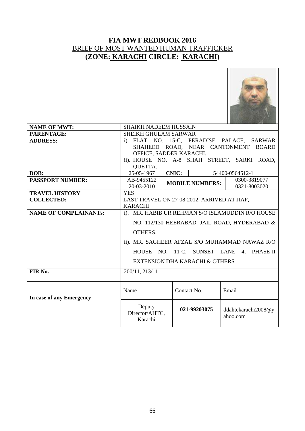

| <b>NAME OF MWT:</b>          | SHAIKH NADEEM HUSSAIN                            |                                             |                                               |  |  |  |
|------------------------------|--------------------------------------------------|---------------------------------------------|-----------------------------------------------|--|--|--|
| PARENTAGE:                   | SHEIKH GHULAM SARWAR                             |                                             |                                               |  |  |  |
| <b>ADDRESS:</b>              |                                                  |                                             | i). FLAT NO. 15-C, PERADISE PALACE, SARWAR    |  |  |  |
|                              |                                                  | SHAHEED ROAD, NEAR CANTONMENT               | <b>BOARD</b>                                  |  |  |  |
|                              |                                                  | OFFICE, SADDER KARACHI.                     |                                               |  |  |  |
|                              |                                                  |                                             | ii). HOUSE NO. A-8 SHAH STREET, SARKI ROAD,   |  |  |  |
|                              | <b>QUETTA.</b>                                   |                                             |                                               |  |  |  |
| DOB:                         | 25-05-1967                                       | <b>CNIC:</b>                                | 54400-0564512-1                               |  |  |  |
| <b>PASSPORT NUMBER:</b>      | AB-9455122                                       | <b>MOBILE NUMBERS:</b>                      | 0300-3819077                                  |  |  |  |
|                              | 20-03-2010                                       |                                             | 0321-8003020                                  |  |  |  |
| <b>TRAVEL HISTORY</b>        | <b>YES</b>                                       |                                             |                                               |  |  |  |
| <b>COLLECTED:</b>            |                                                  | LAST TRAVEL ON 27-08-2012, ARRIVED AT JIAP, |                                               |  |  |  |
|                              | <b>KARACHI</b>                                   |                                             |                                               |  |  |  |
| <b>NAME OF COMPLAINANTs:</b> | i). MR. HABIB UR REHMAN S/O ISLAMUDDIN R/O HOUSE |                                             |                                               |  |  |  |
|                              | NO. 112/130 HEERABAD, JAIL ROAD, HYDERABAD &     |                                             |                                               |  |  |  |
|                              |                                                  |                                             |                                               |  |  |  |
|                              | OTHERS.                                          |                                             |                                               |  |  |  |
|                              |                                                  |                                             | ii). MR. SAGHEER AFZAL S/O MUHAMMAD NAWAZ R/O |  |  |  |
|                              |                                                  | HOUSE NO. 11-C, SUNSET LANE                 | 4. PHASE-II                                   |  |  |  |
|                              |                                                  | <b>EXTENSION DHA KARACHI &amp; OTHERS</b>   |                                               |  |  |  |
| FIR No.                      | 200/11, 213/11                                   |                                             |                                               |  |  |  |
|                              |                                                  |                                             |                                               |  |  |  |
|                              |                                                  |                                             |                                               |  |  |  |
|                              | Name                                             | Contact No.                                 | Email                                         |  |  |  |
| In case of any Emergency     |                                                  |                                             |                                               |  |  |  |
|                              | Deputy<br>Director/AHTC,<br>Karachi              | 021-99203075                                | ddahtckarachi2008@y<br>ahoo.com               |  |  |  |
|                              |                                                  |                                             |                                               |  |  |  |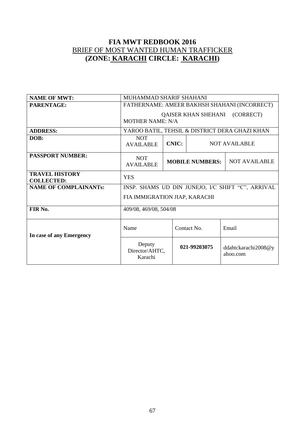| <b>NAME OF MWT:</b>                        | MUHAMMAD SHARIF SHAHANI                                                |                        |                      |                                 |  |
|--------------------------------------------|------------------------------------------------------------------------|------------------------|----------------------|---------------------------------|--|
| <b>PARENTAGE:</b>                          | FATHERNAME: AMEER BAKHSH SHAHANI (INCORRECT)                           |                        |                      |                                 |  |
|                                            | <b>QAISER KHAN SHEHANI (CORRECT)</b><br><b>MOTHER NAME: N/A</b>        |                        |                      |                                 |  |
| <b>ADDRESS:</b>                            | YAROO BATIL, TEHSIL & DISTRICT DERA GHAZI KHAN                         |                        |                      |                                 |  |
| DOB:                                       | <b>NOT</b><br><b>CNIC:</b><br><b>NOT AVAILABLE</b><br><b>AVAILABLE</b> |                        |                      |                                 |  |
| <b>PASSPORT NUMBER:</b>                    | <b>NOT</b><br><b>AVAILABLE</b>                                         | <b>MOBILE NUMBERS:</b> | <b>NOT AVAILABLE</b> |                                 |  |
| <b>TRAVEL HISTORY</b><br><b>COLLECTED:</b> | <b>YES</b>                                                             |                        |                      |                                 |  |
| <b>NAME OF COMPLAINANTs:</b>               | INSP. SHAMS UD DIN JUNEJO, I/C SHIFT "C", ARRIVAL                      |                        |                      |                                 |  |
|                                            | FIA IMMIGRATION JIAP, KARACHI                                          |                        |                      |                                 |  |
| FIR No.                                    | 409/08, 469/08, 504/08                                                 |                        |                      |                                 |  |
| In case of any Emergency                   | Name<br>Contact No.<br>Email                                           |                        |                      |                                 |  |
|                                            | Deputy<br>Director/AHTC,<br>Karachi                                    | 021-99203075           |                      | ddahtckarachi2008@y<br>ahoo.com |  |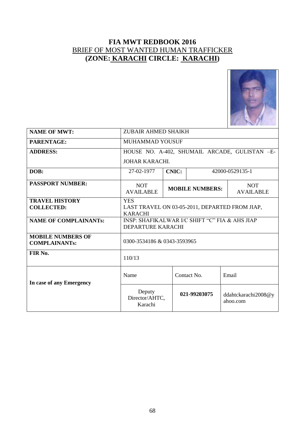

| <b>NAME OF MWT:</b>                              | ZUBAIR AHMED SHAIKH                                                            |              |                        |                                 |  |  |
|--------------------------------------------------|--------------------------------------------------------------------------------|--------------|------------------------|---------------------------------|--|--|
| PARENTAGE:                                       | MUHAMMAD YOUSUF                                                                |              |                        |                                 |  |  |
| <b>ADDRESS:</b>                                  | HOUSE NO. A-402, SHUMAIL ARCADE, GULISTAN -E-                                  |              |                        |                                 |  |  |
|                                                  | <b>JOHAR KARACHI.</b>                                                          |              |                        |                                 |  |  |
| DOB:                                             | 27-02-1977                                                                     | <b>CNIC:</b> |                        | 42000-0529135-1                 |  |  |
| <b>PASSPORT NUMBER:</b>                          | <b>NOT</b><br><b>AVAILABLE</b>                                                 |              | <b>MOBILE NUMBERS:</b> | <b>NOT</b><br><b>AVAILABLE</b>  |  |  |
| <b>TRAVEL HISTORY</b><br><b>COLLECTED:</b>       | <b>YES</b><br>LAST TRAVEL ON 03-05-2011, DEPARTED FROM JIAP,<br><b>KARACHI</b> |              |                        |                                 |  |  |
| <b>NAME OF COMPLAINANTS:</b>                     | INSP: SHAFIKALWAR I/C SHIFT "C" FIA & AHS JIAP<br><b>DEPARTURE KARACHI</b>     |              |                        |                                 |  |  |
| <b>MOBILE NUMBERS OF</b><br><b>COMPLAINANTs:</b> | 0300-3534186 & 0343-3593965                                                    |              |                        |                                 |  |  |
| FIR No.                                          | 110/13                                                                         |              |                        |                                 |  |  |
| In case of any Emergency                         | Name<br>Email<br>Contact No.                                                   |              |                        |                                 |  |  |
|                                                  | Deputy<br>Director/AHTC,<br>Karachi                                            |              | 021-99203075           | ddahtckarachi2008@y<br>ahoo.com |  |  |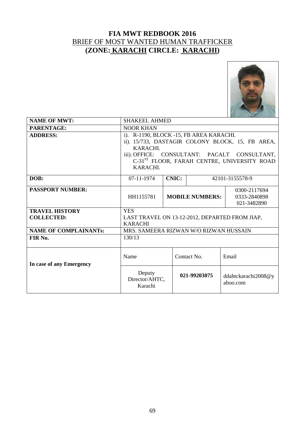

| <b>NAME OF MWT:</b>                        | <b>SHAKEEL AHMED</b>                                                                                                                                                                                                           |  |                        |                                             |  |
|--------------------------------------------|--------------------------------------------------------------------------------------------------------------------------------------------------------------------------------------------------------------------------------|--|------------------------|---------------------------------------------|--|
| PARENTAGE:                                 | <b>NOOR KHAN</b>                                                                                                                                                                                                               |  |                        |                                             |  |
| <b>ADDRESS:</b>                            | i). R-1190, BLOCK -15, FB AREA KARACHI.<br>ii). 15/733, DASTAGIR COLONY BLOCK, 15, FB AREA,<br>KARACHI.<br>iii). OFFICE: CONSULTANT: PACALT CONSULTANT,<br>C-31 <sup>ST</sup> FLOOR, FARAH CENTRE, UNIVERSITY ROAD<br>KARACHI. |  |                        |                                             |  |
| DOB:                                       | 07-11-1974<br><b>CNIC:</b><br>42101-3155578-9                                                                                                                                                                                  |  |                        |                                             |  |
| <b>PASSPORT NUMBER:</b>                    | HH1155781                                                                                                                                                                                                                      |  | <b>MOBILE NUMBERS:</b> | 0300-2117694<br>0333-2840898<br>021-3482890 |  |
| <b>TRAVEL HISTORY</b><br><b>COLLECTED:</b> | <b>YES</b><br>LAST TRAVEL ON 13-12-2012, DEPARTED FROM JIAP,<br><b>KARACHI</b>                                                                                                                                                 |  |                        |                                             |  |
| <b>NAME OF COMPLAINANTs:</b>               | MRS. SAMEERA RIZWAN W/O RIZWAN HUSSAIN                                                                                                                                                                                         |  |                        |                                             |  |
| FIR No.                                    | 130/13                                                                                                                                                                                                                         |  |                        |                                             |  |
| In case of any Emergency                   | Name                                                                                                                                                                                                                           |  | Contact No.            | Email                                       |  |
|                                            | Deputy<br>Director/AHTC,<br>Karachi                                                                                                                                                                                            |  | 021-99203075           | ddahtckarachi2008@y<br>ahoo.com             |  |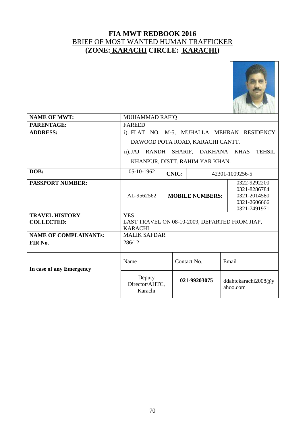

| <b>NAME OF MWT:</b>                        | MUHAMMAD RAFIQ                                                                 |              |                        |                                                                              |  |
|--------------------------------------------|--------------------------------------------------------------------------------|--------------|------------------------|------------------------------------------------------------------------------|--|
| PARENTAGE:                                 | <b>FAREED</b>                                                                  |              |                        |                                                                              |  |
| <b>ADDRESS:</b>                            |                                                                                |              |                        | i). FLAT NO. M-5, MUHALLA MEHRAN RESIDENCY                                   |  |
|                                            | DAWOOD POTA ROAD, KARACHI CANTT.                                               |              |                        |                                                                              |  |
|                                            | <b>TEHSIL</b><br>RANDH SHARIF, DAKHANA KHAS<br>$ii)$ . J $AJ$                  |              |                        |                                                                              |  |
|                                            | KHANPUR, DISTT. RAHIM YAR KHAN.                                                |              |                        |                                                                              |  |
| DOB:                                       | 05-10-1962                                                                     | <b>CNIC:</b> |                        | 42301-1009256-5                                                              |  |
| <b>PASSPORT NUMBER:</b>                    | AL-9562562                                                                     |              | <b>MOBILE NUMBERS:</b> | 0322-9292200<br>0321-8286784<br>0321-2014580<br>0321-2606666<br>0321-7491971 |  |
| <b>TRAVEL HISTORY</b><br><b>COLLECTED:</b> | <b>YES</b><br>LAST TRAVEL ON 08-10-2009, DEPARTED FROM JIAP,<br><b>KARACHI</b> |              |                        |                                                                              |  |
| <b>NAME OF COMPLAINANTs:</b>               | <b>MALIK SAFDAR</b>                                                            |              |                        |                                                                              |  |
| FIR No.                                    | 286/12                                                                         |              |                        |                                                                              |  |
| In case of any Emergency                   | Name                                                                           |              | Contact No.            | Email                                                                        |  |
|                                            | Deputy<br>Director/AHTC,<br>Karachi                                            |              | 021-99203075           | ddahtckarachi2008@y<br>ahoo.com                                              |  |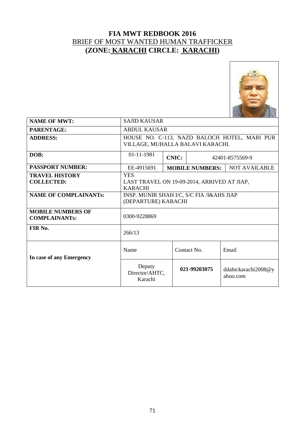

| <b>NAME OF MWT:</b>                              | <b>SAJID KAUSAR</b>                                                              |  |                        |                                    |  |  |
|--------------------------------------------------|----------------------------------------------------------------------------------|--|------------------------|------------------------------------|--|--|
| <b>PARENTAGE:</b>                                | <b>ABDUL KAUSAR</b>                                                              |  |                        |                                    |  |  |
| <b>ADDRESS:</b>                                  | HOUSE NO. C-113, NAZD BALOCH HOTEL, MARI PUR<br>VILLAGE, MUHALLA BALAVI KARACHI. |  |                        |                                    |  |  |
| DOB:                                             | 01-11-1981<br><b>CNIC:</b><br>42401-8575569-9                                    |  |                        |                                    |  |  |
| <b>PASSPORT NUMBER:</b>                          | EE-4915691                                                                       |  | <b>MOBILE NUMBERS:</b> | <b>NOT AVAILABLE</b>               |  |  |
| <b>TRAVEL HISTORY</b><br><b>COLLECTED:</b>       | <b>YES</b><br>LAST TRAVEL ON 19-09-2014, ARRIVED AT JIAP,<br><b>KARACHI</b>      |  |                        |                                    |  |  |
| <b>NAME OF COMPLAINANTS:</b>                     | INSP. MUNIR SHAH I/C, S/C FIA /I&AHS JIAP<br>(DEPARTURE) KARACHI                 |  |                        |                                    |  |  |
| <b>MOBILE NUMBERS OF</b><br><b>COMPLAINANTs:</b> | 0300-9228869                                                                     |  |                        |                                    |  |  |
| FIR No.                                          | 266/13                                                                           |  |                        |                                    |  |  |
| In case of any Emergency                         | Email<br>Name<br>Contact No.                                                     |  |                        |                                    |  |  |
|                                                  | Deputy<br>Director/AHTC,<br>Karachi                                              |  | 021-99203075           | ddahtckarachi2008 $@y$<br>ahoo.com |  |  |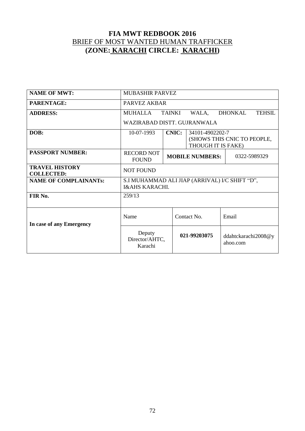| <b>NAME OF MWT:</b>                        | <b>MUBASHIR PARVEZ</b>                                                      |                                                                                      |              |                                    |  |  |
|--------------------------------------------|-----------------------------------------------------------------------------|--------------------------------------------------------------------------------------|--------------|------------------------------------|--|--|
| PARENTAGE:                                 | PARVEZ AKBAR                                                                |                                                                                      |              |                                    |  |  |
| <b>ADDRESS:</b>                            | <b>TAINKI</b><br><b>DHONKAL</b><br><b>MUHALLA</b><br>WALA,<br><b>TEHSIL</b> |                                                                                      |              |                                    |  |  |
|                                            | WAZIRABAD DISTT. GUJRANWALA                                                 |                                                                                      |              |                                    |  |  |
| DOB:                                       | 10-07-1993                                                                  | <b>CNIC:</b><br>34101-4902202-7<br>(SHOWS THIS CNIC TO PEOPLE,<br>THOUGH IT IS FAKE) |              |                                    |  |  |
| <b>PASSPORT NUMBER:</b>                    | <b>RECORD NOT</b><br><b>FOUND</b>                                           | <b>MOBILE NUMBERS:</b>                                                               | 0322-5989329 |                                    |  |  |
| <b>TRAVEL HISTORY</b><br><b>COLLECTED:</b> | <b>NOT FOUND</b>                                                            |                                                                                      |              |                                    |  |  |
| <b>NAME OF COMPLAINANTs:</b>               | S.I MUHAMMAD ALI JIAP (ARRIVAL) I/C SHIFT "D",<br><b>I&amp;AHS KARACHI.</b> |                                                                                      |              |                                    |  |  |
| FIR No.                                    | 259/13                                                                      |                                                                                      |              |                                    |  |  |
| In case of any Emergency                   | Name                                                                        |                                                                                      | Contact No.  | Email                              |  |  |
|                                            | Deputy<br>Director/AHTC,<br>Karachi                                         |                                                                                      | 021-99203075 | ddahtckarachi2008 $@y$<br>ahoo.com |  |  |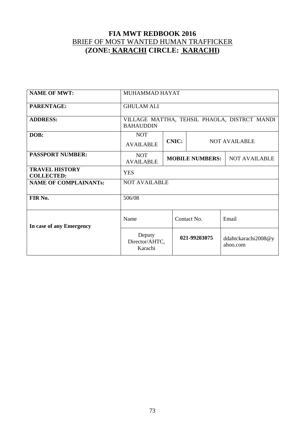| <b>NAME OF MWT:</b>                        | MUHAMMAD HAYAT                                                         |                        |  |              |                                 |
|--------------------------------------------|------------------------------------------------------------------------|------------------------|--|--------------|---------------------------------|
| <b>PARENTAGE:</b>                          | <b>GHULAM ALI</b>                                                      |                        |  |              |                                 |
| <b>ADDRESS:</b>                            | VILLAGE MATTHA, TEHSIL PHAOLA, DISTRCT MANDI<br><b>BAHAUDDIN</b>       |                        |  |              |                                 |
| DOB:                                       | <b>NOT</b><br><b>CNIC:</b><br><b>NOT AVAILABLE</b><br><b>AVAILABLE</b> |                        |  |              |                                 |
| <b>PASSPORT NUMBER:</b>                    | <b>NOT</b><br><b>AVAILABLE</b>                                         | <b>MOBILE NUMBERS:</b> |  |              | <b>NOT AVAILABLE</b>            |
| <b>TRAVEL HISTORY</b><br><b>COLLECTED:</b> | <b>YES</b>                                                             |                        |  |              |                                 |
| <b>NAME OF COMPLAINANTs:</b>               | <b>NOT AVAILABLE</b>                                                   |                        |  |              |                                 |
| FIR No.                                    | 506/08                                                                 |                        |  |              |                                 |
| In case of any Emergency                   | Name                                                                   | Contact No.<br>Email   |  |              |                                 |
| Deputy<br>Director/AHTC,<br>Karachi        |                                                                        |                        |  | 021-99203075 | ddahtckarachi2008@y<br>ahoo.com |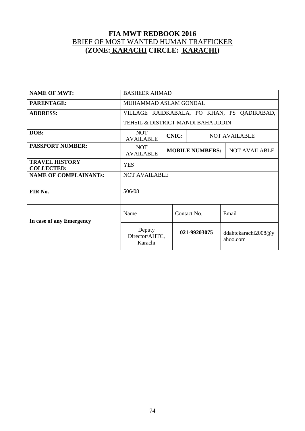| <b>NAME OF MWT:</b>                        | <b>BASHEER AHMAD</b>                                                   |                                                |              |                                            |  |
|--------------------------------------------|------------------------------------------------------------------------|------------------------------------------------|--------------|--------------------------------------------|--|
| PARENTAGE:                                 | MUHAMMAD ASLAM GONDAL                                                  |                                                |              |                                            |  |
| <b>ADDRESS:</b>                            |                                                                        |                                                |              | VILLAGE RAIDKABALA, PO KHAN, PS QADIRABAD, |  |
|                                            | TEHSIL & DISTRICT MANDI BAHAUDDIN                                      |                                                |              |                                            |  |
| DOB:                                       | <b>NOT</b><br><b>CNIC:</b><br><b>NOT AVAILABLE</b><br><b>AVAILABLE</b> |                                                |              |                                            |  |
| <b>PASSPORT NUMBER:</b>                    | <b>NOT</b><br><b>AVAILABLE</b>                                         | <b>MOBILE NUMBERS:</b><br><b>NOT AVAILABLE</b> |              |                                            |  |
| <b>TRAVEL HISTORY</b><br><b>COLLECTED:</b> | <b>YES</b>                                                             |                                                |              |                                            |  |
| <b>NAME OF COMPLAINANTS:</b>               | <b>NOT AVAILABLE</b>                                                   |                                                |              |                                            |  |
| FIR No.                                    | 506/08                                                                 |                                                |              |                                            |  |
| In case of any Emergency                   | Name<br>Contact No.<br>Email                                           |                                                |              |                                            |  |
|                                            | Deputy<br>Director/AHTC,<br>Karachi                                    |                                                | 021-99203075 | ddahtckarachi2008 $@y$<br>ahoo.com         |  |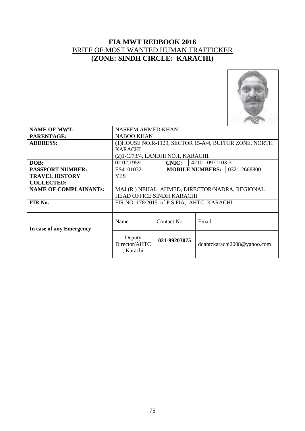

| <b>NAME OF MWT:</b>          | <b>NASEEM AHMED KHAN</b>                      |  |              |                                                        |  |
|------------------------------|-----------------------------------------------|--|--------------|--------------------------------------------------------|--|
| PARENTAGE:                   | <b>NABOO KHAN</b>                             |  |              |                                                        |  |
| <b>ADDRESS:</b>              |                                               |  |              | (1) HOUSE NO.R-1129, SECTOR 15-A/4, BUFFER ZONE, NORTH |  |
|                              | <b>KARACHI</b>                                |  |              |                                                        |  |
|                              | (2)1-C/73/4, LANDHI NO.1, KARACHI.            |  |              |                                                        |  |
| DOB:                         | 02.02.1959<br><b>CNIC:</b><br>42101-0971103-3 |  |              |                                                        |  |
| <b>PASSPORT NUMBER:</b>      | ES4101032                                     |  |              | 0321-2668800<br><b>MOBILE NUMBERS:</b>                 |  |
| <b>TRAVEL HISTORY</b>        | YES.                                          |  |              |                                                        |  |
| <b>COLLECTED:</b>            |                                               |  |              |                                                        |  |
| <b>NAME OF COMPLAINANTs:</b> | MAJ (R) NEHAL AHMED, DIRECTOR/NADRA, REGIONAL |  |              |                                                        |  |
|                              | <b>HEAD OFFICE SINDH KARACHI</b>              |  |              |                                                        |  |
| FIR No.                      |                                               |  |              | FIR NO. 178/2015 of P.S FIA, AHTC, KARACHI             |  |
|                              |                                               |  |              |                                                        |  |
|                              |                                               |  |              |                                                        |  |
|                              | Name                                          |  | Contact No.  | Email                                                  |  |
| In case of any Emergency     |                                               |  |              |                                                        |  |
|                              | Deputy                                        |  |              |                                                        |  |
|                              | Director/AHTC                                 |  | 021-99203075 | ddahtckarachi2008@yahoo.com                            |  |
|                              | , Karachi                                     |  |              |                                                        |  |
|                              |                                               |  |              |                                                        |  |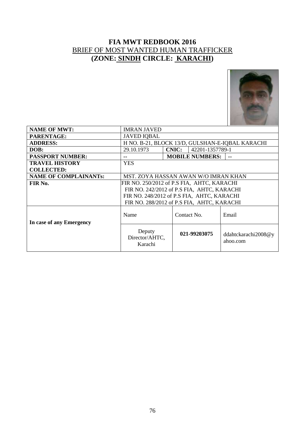

| <b>NAME OF MWT:</b>          | <b>IMRAN JAVED</b>                            |                                                 |                                    |  |  |
|------------------------------|-----------------------------------------------|-------------------------------------------------|------------------------------------|--|--|
| <b>PARENTAGE:</b>            | <b>JAVED IQBAL</b>                            |                                                 |                                    |  |  |
| <b>ADDRESS:</b>              |                                               | H NO. B-21, BLOCK 13/D, GULSHAN-E-IQBAL KARACHI |                                    |  |  |
| DOB:                         | 29.10.1973<br>42201-1357789-1<br><b>CNIC:</b> |                                                 |                                    |  |  |
| <b>PASSPORT NUMBER:</b>      | --                                            | <b>MOBILE NUMBERS:</b>                          | --                                 |  |  |
| <b>TRAVEL HISTORY</b>        | <b>YES</b>                                    |                                                 |                                    |  |  |
| <b>COLLECTED:</b>            |                                               |                                                 |                                    |  |  |
| <b>NAME OF COMPLAINANTs:</b> | MST. ZOYA HASSAN AWAN W/O IMRAN KHAN          |                                                 |                                    |  |  |
| FIR No.                      | FIR NO. 250/2012 of P.S FIA,AHTC, KARACHI     |                                                 |                                    |  |  |
|                              | FIR NO. 242/2012 of P.S FIA, AHTC, KARACHI    |                                                 |                                    |  |  |
|                              |                                               | FIR NO. 248/2012 of P.S FIA, AHTC, KARACHI      |                                    |  |  |
|                              |                                               | FIR NO. 288/2012 of P.S FIA, AHTC, KARACHI      |                                    |  |  |
| In case of any Emergency     | Name                                          | Contact No.                                     | Email                              |  |  |
|                              | Deputy<br>Director/AHTC,<br>Karachi           | 021-99203075                                    | ddahtckarachi2008 $@y$<br>ahoo.com |  |  |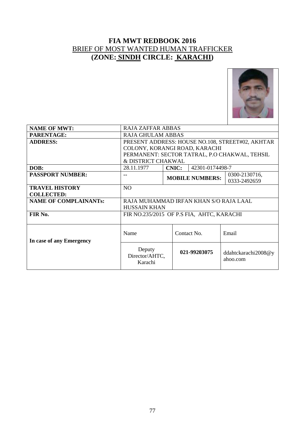

| <b>NAME OF MWT:</b>          | RAJA ZAFFAR ABBAS                                |              |                        |                                               |  |  |
|------------------------------|--------------------------------------------------|--------------|------------------------|-----------------------------------------------|--|--|
| PARENTAGE:                   | <b>RAJA GHULAM ABBAS</b>                         |              |                        |                                               |  |  |
| <b>ADDRESS:</b>              | PRESENT ADDRESS: HOUSE NO.108, STREET#02, AKHTAR |              |                        |                                               |  |  |
|                              | COLONY, KORANGI ROAD, KARACHI                    |              |                        |                                               |  |  |
|                              |                                                  |              |                        | PERMANENT: SECTOR TATRAL, P.O CHAKWAL, TEHSIL |  |  |
|                              | & DISTRICT CHAKWAL                               |              |                        |                                               |  |  |
| DOB:                         | 28.11.1977                                       | <b>CNIC:</b> | 42301-0174498-7        |                                               |  |  |
| <b>PASSPORT NUMBER:</b>      |                                                  |              | <b>MOBILE NUMBERS:</b> | 0300-2130716,                                 |  |  |
|                              |                                                  |              |                        | 0333-2492659                                  |  |  |
| <b>TRAVEL HISTORY</b>        | N <sub>O</sub>                                   |              |                        |                                               |  |  |
| <b>COLLECTED:</b>            |                                                  |              |                        |                                               |  |  |
| <b>NAME OF COMPLAINANTs:</b> | RAJA MUHAMMAD IRFAN KHAN S/O RAJA LAAL           |              |                        |                                               |  |  |
|                              | <b>HUSSAIN KHAN</b>                              |              |                        |                                               |  |  |
| FIR No.                      | FIR NO.235/2015 OF P.S FIA, AHTC, KARACHI        |              |                        |                                               |  |  |
|                              |                                                  |              |                        |                                               |  |  |
|                              |                                                  |              |                        |                                               |  |  |
|                              | Name                                             |              | Contact No.            | Email                                         |  |  |
| In case of any Emergency     |                                                  |              |                        |                                               |  |  |
|                              | Deputy                                           |              |                        |                                               |  |  |
|                              | Director/AHTC,                                   |              | 021-99203075           | ddahtckarachi2008 $@y$                        |  |  |
|                              | Karachi                                          |              |                        | ahoo.com                                      |  |  |
|                              |                                                  |              |                        |                                               |  |  |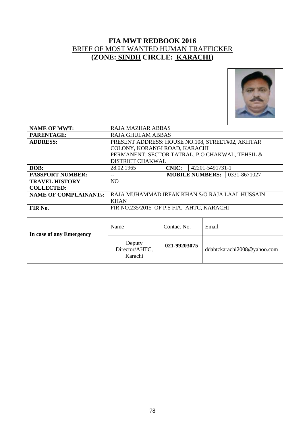

| <b>NAME OF MWT:</b>          | <b>RAJA MAZHAR ABBAS</b>                         |              |                 |                             |  |
|------------------------------|--------------------------------------------------|--------------|-----------------|-----------------------------|--|
| <b>PARENTAGE:</b>            | <b>RAJA GHULAM ABBAS</b>                         |              |                 |                             |  |
| <b>ADDRESS:</b>              | PRESENT ADDRESS: HOUSE NO.108, STREET#02, AKHTAR |              |                 |                             |  |
|                              | COLONY, KORANGI ROAD, KARACHI                    |              |                 |                             |  |
|                              | PERMANENT: SECTOR TATRAL, P.O CHAKWAL, TEHSIL &  |              |                 |                             |  |
|                              | <b>DISTRICT CHAKWAL</b>                          |              |                 |                             |  |
| DOB:                         | 28.02.1965                                       | <b>CNIC:</b> | 42201-5491731-1 |                             |  |
| <b>PASSPORT NUMBER:</b>      | <b>MOBILE NUMBERS:</b><br>0331-8671027<br>--     |              |                 |                             |  |
| <b>TRAVEL HISTORY</b>        | NO.                                              |              |                 |                             |  |
| <b>COLLECTED:</b>            |                                                  |              |                 |                             |  |
| <b>NAME OF COMPLAINANTS:</b> | RAJA MUHAMMAD IRFAN KHAN S/O RAJA LAAL HUSSAIN   |              |                 |                             |  |
|                              | <b>KHAN</b>                                      |              |                 |                             |  |
| FIR No.                      | FIR NO.235/2015 OF P.S FIA, AHTC, KARACHI        |              |                 |                             |  |
|                              |                                                  |              |                 |                             |  |
|                              |                                                  |              |                 |                             |  |
|                              | Name                                             | Contact No.  | Email           |                             |  |
| In case of any Emergency     |                                                  |              |                 |                             |  |
|                              | Deputy                                           |              |                 |                             |  |
|                              | Director/AHTC,                                   | 021-99203075 |                 | ddahtckarachi2008@yahoo.com |  |
|                              | Karachi                                          |              |                 |                             |  |
|                              |                                                  |              |                 |                             |  |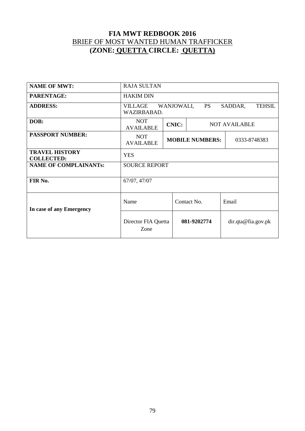#### **FIA MWT REDBOOK 2016** BRIEF OF MOST WANTED HUMAN TRAFFICKER **(ZONE: QUETTA CIRCLE: QUETTA)**

| <b>NAME OF MWT:</b>                        | <b>RAJA SULTAN</b>                                                     |                                        |             |                      |  |
|--------------------------------------------|------------------------------------------------------------------------|----------------------------------------|-------------|----------------------|--|
| <b>PARENTAGE:</b>                          | <b>HAKIM DIN</b>                                                       |                                        |             |                      |  |
| <b>ADDRESS:</b>                            | WANJOWALI,<br>PS<br>VILLAGE<br>SADDAR,<br><b>TEHSIL</b><br>WAZIRBABAD. |                                        |             |                      |  |
| DOB:                                       | <b>NOT</b><br><b>AVAILABLE</b>                                         | <b>CNIC:</b>                           |             | <b>NOT AVAILABLE</b> |  |
| <b>PASSPORT NUMBER:</b>                    | <b>NOT</b><br><b>AVAILABLE</b>                                         | <b>MOBILE NUMBERS:</b><br>0333-8748383 |             |                      |  |
| <b>TRAVEL HISTORY</b><br><b>COLLECTED:</b> | <b>YES</b>                                                             |                                        |             |                      |  |
| <b>NAME OF COMPLAINANTs:</b>               | <b>SOURCE REPORT</b>                                                   |                                        |             |                      |  |
| FIR No.                                    | 67/07, 47/07                                                           |                                        |             |                      |  |
| In case of any Emergency                   | Name                                                                   |                                        | Contact No. | Email                |  |
|                                            | Director FIA Quetta<br>Zone                                            |                                        | 081-9202774 | dir.qta@fia.gov.pk   |  |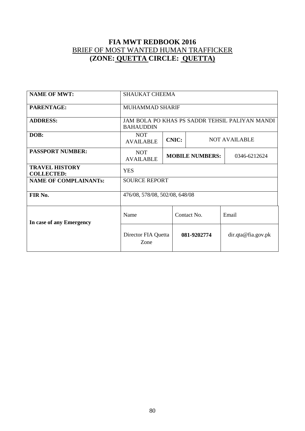#### **FIA MWT REDBOOK 2016** BRIEF OF MOST WANTED HUMAN TRAFFICKER **(ZONE: QUETTA CIRCLE: QUETTA)**

| <b>NAME OF MWT:</b>                        | <b>SHAUKAT CHEEMA</b>          |              |                        |                                                |  |
|--------------------------------------------|--------------------------------|--------------|------------------------|------------------------------------------------|--|
| PARENTAGE:                                 | <b>MUHAMMAD SHARIF</b>         |              |                        |                                                |  |
| <b>ADDRESS:</b>                            | <b>BAHAUDDIN</b>               |              |                        | JAM BOLA PO KHAS PS SADDR TEHSIL PALIYAN MANDI |  |
| DOB:                                       | <b>NOT</b><br><b>AVAILABLE</b> | <b>CNIC:</b> |                        | <b>NOT AVAILABLE</b>                           |  |
| <b>PASSPORT NUMBER:</b>                    | <b>NOT</b><br><b>AVAILABLE</b> |              | <b>MOBILE NUMBERS:</b> | 0346-6212624                                   |  |
| <b>TRAVEL HISTORY</b><br><b>COLLECTED:</b> | <b>YES</b>                     |              |                        |                                                |  |
| <b>NAME OF COMPLAINANTs:</b>               | <b>SOURCE REPORT</b>           |              |                        |                                                |  |
| FIR No.                                    | 476/08, 578/08, 502/08, 648/08 |              |                        |                                                |  |
| In case of any Emergency                   | Name                           | Contact No.  |                        | Email                                          |  |
|                                            | Director FIA Quetta<br>Zone    | 081-9202774  |                        | dir. qta@fia.gov. pk                           |  |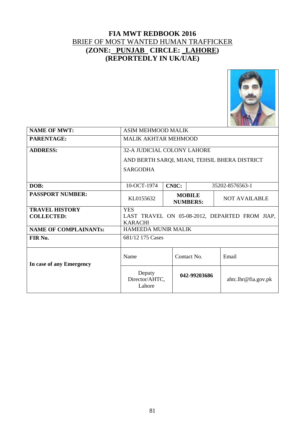#### **FIA MWT REDBOOK 2016** BRIEF OF MOST WANTED HUMAN TRAFFICKER **(ZONE: PUNJAB CIRCLE: \_LAHORE) (REPORTEDLY IN UK/UAE)**



| <b>NAME OF MWT:</b>          | <b>ASIM MEHMOOD MALIK</b>          |              |                                  |                                                |  |
|------------------------------|------------------------------------|--------------|----------------------------------|------------------------------------------------|--|
| <b>PARENTAGE:</b>            | <b>MALIK AKHTAR MEHMOOD</b>        |              |                                  |                                                |  |
| <b>ADDRESS:</b>              | <b>32-A JUDICIAL COLONY LAHORE</b> |              |                                  |                                                |  |
|                              |                                    |              |                                  | AND BERTH SARQI, MIANI, TEHSIL BHERA DISTRICT  |  |
|                              | <b>SARGODHA</b>                    |              |                                  |                                                |  |
|                              |                                    |              |                                  |                                                |  |
| DOB:                         | 10-OCT-1974                        | <b>CNIC:</b> |                                  | 35202-8576563-1                                |  |
| <b>PASSPORT NUMBER:</b>      | KL0155632                          |              | <b>MOBILE</b><br><b>NUMBERS:</b> | <b>NOT AVAILABLE</b>                           |  |
| <b>TRAVEL HISTORY</b>        | <b>YES</b>                         |              |                                  |                                                |  |
| <b>COLLECTED:</b>            | <b>KARACHI</b>                     |              |                                  | LAST TRAVEL ON 05-08-2012, DEPARTED FROM JIAP, |  |
| <b>NAME OF COMPLAINANTs:</b> | <b>HAMEEDA MUNIR MALIK</b>         |              |                                  |                                                |  |
| FIR No.                      | 681/12 175 Cases                   |              |                                  |                                                |  |
| In case of any Emergency     | Name                               |              | Contact No.                      | Email                                          |  |
|                              | Deputy<br>Director/AHTC,<br>Lahore |              | 042-99203686                     | ahtc.lhr@fia.gov.pk                            |  |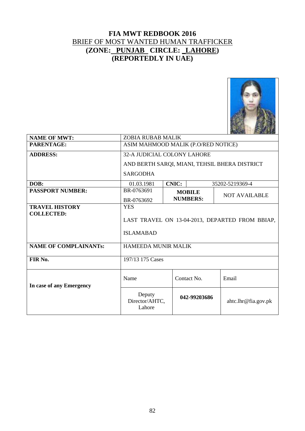#### **FIA MWT REDBOOK 2016** BRIEF OF MOST WANTED HUMAN TRAFFICKER **(ZONE: PUNJAB CIRCLE: \_LAHORE) (REPORTEDLY IN UAE)**



|                              | <b>ZOBIA RUBAB MALIK</b>                        |              |                 |                      |  |  |
|------------------------------|-------------------------------------------------|--------------|-----------------|----------------------|--|--|
| <b>NAME OF MWT:</b>          |                                                 |              |                 |                      |  |  |
| PARENTAGE:                   | ASIM MAHMOOD MALIK (P.O/RED NOTICE)             |              |                 |                      |  |  |
| <b>ADDRESS:</b>              | 32-A JUDICIAL COLONY LAHORE                     |              |                 |                      |  |  |
|                              | AND BERTH SARQI, MIANI, TEHSIL BHERA DISTRICT   |              |                 |                      |  |  |
|                              | <b>SARGODHA</b>                                 |              |                 |                      |  |  |
| DOB:                         | 01.03.1981                                      | <b>CNIC:</b> |                 | 35202-5219369-4      |  |  |
| <b>PASSPORT NUMBER:</b>      | BR-0763691                                      |              | <b>MOBILE</b>   | <b>NOT AVAILABLE</b> |  |  |
|                              | BR-0763692                                      |              | <b>NUMBERS:</b> |                      |  |  |
| <b>TRAVEL HISTORY</b>        | <b>YES</b>                                      |              |                 |                      |  |  |
| <b>COLLECTED:</b>            |                                                 |              |                 |                      |  |  |
|                              | LAST TRAVEL ON 13-04-2013, DEPARTED FROM BBIAP, |              |                 |                      |  |  |
|                              | <b>ISLAMABAD</b>                                |              |                 |                      |  |  |
|                              |                                                 |              |                 |                      |  |  |
| <b>NAME OF COMPLAINANTs:</b> | <b>HAMEEDA MUNIR MALIK</b>                      |              |                 |                      |  |  |
|                              |                                                 |              |                 |                      |  |  |
| FIR No.                      | 197/13 175 Cases                                |              |                 |                      |  |  |
|                              |                                                 |              |                 |                      |  |  |
|                              | Name                                            |              | Contact No.     | Email                |  |  |
| In case of any Emergency     |                                                 |              |                 |                      |  |  |
|                              | Deputy<br>Director/AHTC,<br>Lahore              |              | 042-99203686    | ahtc.lhr@fia.gov.pk  |  |  |
|                              |                                                 |              |                 |                      |  |  |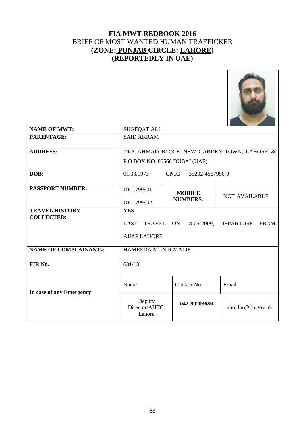#### **FIA MWT REDBOOK 2016** BRIEF OF MOST WANTED HUMAN TRAFFICKER **(ZONE: PUNJAB CIRCLE: LAHORE) (REPORTEDLY IN UAE)**



| <b>NAME OF MWT:</b>          | <b>SHAFQAT ALI</b>            |             |                 |                                            |  |  |
|------------------------------|-------------------------------|-------------|-----------------|--------------------------------------------|--|--|
| PARENTAGE:                   | <b>SAID AKRAM</b>             |             |                 |                                            |  |  |
|                              |                               |             |                 |                                            |  |  |
| <b>ADDRESS:</b>              |                               |             |                 | 19-A AHMAD BLOCK NEW GARDEN TOWN, LAHORE & |  |  |
|                              | P.O BOX NO. 80566 DUBAI (UAE) |             |                 |                                            |  |  |
| DOB:                         | 01.03.1973                    | <b>CNIC</b> | 35202-4567990-9 |                                            |  |  |
|                              |                               |             |                 |                                            |  |  |
| <b>PASSPORT NUMBER:</b>      | DP-1799901                    |             | <b>MOBILE</b>   |                                            |  |  |
|                              |                               |             | <b>NUMBERS:</b> | <b>NOT AVAILABLE</b>                       |  |  |
|                              | DP-1799902                    |             |                 |                                            |  |  |
| <b>TRAVEL HISTORY</b>        | <b>YES</b>                    |             |                 |                                            |  |  |
| <b>COLLECTED:</b>            |                               |             |                 |                                            |  |  |
|                              | LAST                          |             |                 | TRAVEL ON 18-05-2009, DEPARTURE FROM       |  |  |
|                              | AIIAP, LAHORE                 |             |                 |                                            |  |  |
|                              |                               |             |                 |                                            |  |  |
| <b>NAME OF COMPLAINANTs:</b> | <b>HAMEEDA MUNIR MALIK</b>    |             |                 |                                            |  |  |
|                              |                               |             |                 |                                            |  |  |
| FIR No.                      | 681/13                        |             |                 |                                            |  |  |
|                              |                               |             |                 |                                            |  |  |
|                              |                               |             |                 |                                            |  |  |
|                              | Name                          |             | Contact No.     | Email                                      |  |  |
| In case of any Emergency     |                               |             |                 |                                            |  |  |
|                              | Deputy                        |             | 042-99203686    |                                            |  |  |
|                              | Director/AHTC,                |             |                 | ahtc.lhr@fia.gov.pk                        |  |  |
|                              | Lahore                        |             |                 |                                            |  |  |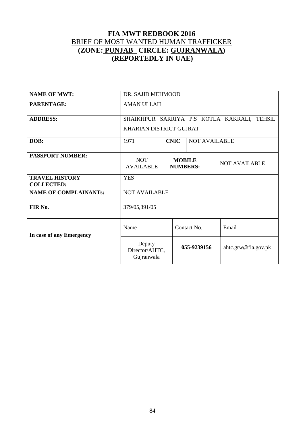#### **FIA MWT REDBOOK 2016** BRIEF OF MOST WANTED HUMAN TRAFFICKER **(ZONE: PUNJAB CIRCLE: GUJRANWALA) (REPORTEDLY IN UAE)**

| <b>NAME OF MWT:</b>                        | DR. SAJID MEHMOOD                           |                                                          |                      |                     |  |
|--------------------------------------------|---------------------------------------------|----------------------------------------------------------|----------------------|---------------------|--|
| PARENTAGE:                                 | <b>AMAN ULLAH</b>                           |                                                          |                      |                     |  |
| <b>ADDRESS:</b>                            | SHAIKHPUR SARRIYA P.S KOTLA KAKRALI, TEHSIL |                                                          |                      |                     |  |
|                                            | KHARIAN DISTRICT GUJRAT                     |                                                          |                      |                     |  |
| DOB:                                       | 1971                                        | <b>CNIC</b>                                              | <b>NOT AVAILABLE</b> |                     |  |
| <b>PASSPORT NUMBER:</b>                    | <b>NOT</b><br><b>AVAILABLE</b>              | <b>MOBILE</b><br><b>NOT AVAILABLE</b><br><b>NUMBERS:</b> |                      |                     |  |
| <b>TRAVEL HISTORY</b><br><b>COLLECTED:</b> | <b>YES</b>                                  |                                                          |                      |                     |  |
| <b>NAME OF COMPLAINANTs:</b>               | <b>NOT AVAILABLE</b>                        |                                                          |                      |                     |  |
| FIR No.                                    | 379/05,391/05                               |                                                          |                      |                     |  |
| In case of any Emergency                   | Name                                        | Contact No.<br>Email                                     |                      |                     |  |
|                                            | Deputy<br>Director/AHTC,<br>Gujranwala      |                                                          | 055-9239156          | ahtc.grw@fia.gov.pk |  |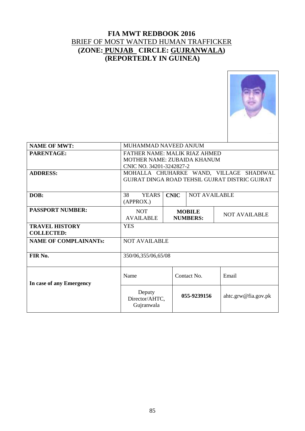#### **FIA MWT REDBOOK 2016** BRIEF OF MOST WANTED HUMAN TRAFFICKER **(ZONE: PUNJAB CIRCLE: GUJRANWALA) (REPORTEDLY IN GUINEA)**



| <b>NAME OF MWT:</b>                        | MUHAMMAD NAVEED ANJUM                                                                     |                                                          |             |                     |  |
|--------------------------------------------|-------------------------------------------------------------------------------------------|----------------------------------------------------------|-------------|---------------------|--|
| PARENTAGE:                                 | <b>FATHER NAME: MALIK RIAZ AHMED</b><br><b>MOTHER NAME: ZUBAIDA KHANUM</b>                |                                                          |             |                     |  |
|                                            | CNIC NO. 34201-3242827-2                                                                  |                                                          |             |                     |  |
| <b>ADDRESS:</b>                            | MOHALLA CHUHARKE WAND, VILLAGE SHADIWAL<br>GUJRAT DINGA ROAD TEHSIL GUJRAT DISTRIC GUJRAT |                                                          |             |                     |  |
| DOB:                                       | <b>CNIC</b><br>38<br><b>YEARS</b><br><b>NOT AVAILABLE</b><br>(APPROX.)                    |                                                          |             |                     |  |
| <b>PASSPORT NUMBER:</b>                    | <b>NOT</b><br><b>AVAILABLE</b>                                                            | <b>MOBILE</b><br><b>NOT AVAILABLE</b><br><b>NUMBERS:</b> |             |                     |  |
| <b>TRAVEL HISTORY</b><br><b>COLLECTED:</b> | <b>YES</b>                                                                                |                                                          |             |                     |  |
| <b>NAME OF COMPLAINANTs:</b>               | <b>NOT AVAILABLE</b>                                                                      |                                                          |             |                     |  |
| FIR No.                                    | 350/06,355/06,65/08                                                                       |                                                          |             |                     |  |
| In case of any Emergency                   | Name                                                                                      | Contact No.                                              | Email       |                     |  |
|                                            | Deputy<br>Director/AHTC,<br>Gujranwala                                                    |                                                          | 055-9239156 | ahtc.grw@fia.gov.pk |  |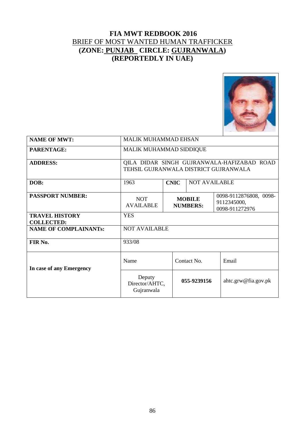#### **FIA MWT REDBOOK 2016** BRIEF OF MOST WANTED HUMAN TRAFFICKER **(ZONE: PUNJAB CIRCLE: GUJRANWALA) (REPORTEDLY IN UAE)**



| <b>NAME OF MWT:</b>                        | <b>MALIK MUHAMMAD EHSAN</b>                                                                                                   |             |             |                     |  |  |
|--------------------------------------------|-------------------------------------------------------------------------------------------------------------------------------|-------------|-------------|---------------------|--|--|
| PARENTAGE:                                 | MALIK MUHAMMAD SIDDIQUE                                                                                                       |             |             |                     |  |  |
| <b>ADDRESS:</b>                            | QILA DIDAR SINGH GUJRANWALA-HAFIZABAD ROAD<br>TEHSIL GUJRANWALA DISTRICT GUJRANWALA                                           |             |             |                     |  |  |
| DOB:                                       | <b>CNIC</b><br>1963<br><b>NOT AVAILABLE</b>                                                                                   |             |             |                     |  |  |
| <b>PASSPORT NUMBER:</b>                    | 0098-9112876808, 0098-<br><b>MOBILE</b><br><b>NOT</b><br>9112345000,<br><b>AVAILABLE</b><br><b>NUMBERS:</b><br>0098-911272976 |             |             |                     |  |  |
| <b>TRAVEL HISTORY</b><br><b>COLLECTED:</b> | <b>YES</b>                                                                                                                    |             |             |                     |  |  |
| <b>NAME OF COMPLAINANTs:</b>               | <b>NOT AVAILABLE</b>                                                                                                          |             |             |                     |  |  |
| FIR No.                                    | 933/08                                                                                                                        |             |             |                     |  |  |
| In case of any Emergency                   | Name                                                                                                                          |             | Contact No. | Email               |  |  |
|                                            | Deputy<br>Director/AHTC,<br>Gujranwala                                                                                        | 055-9239156 |             | ahtc.grw@fia.gov.pk |  |  |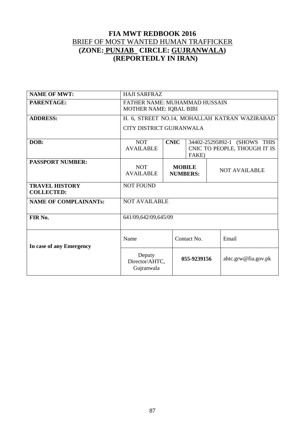#### **FIA MWT REDBOOK 2016** BRIEF OF MOST WANTED HUMAN TRAFFICKER **(ZONE: PUNJAB CIRCLE: GUJRANWALA) (REPORTEDLY IN IRAN)**

| <b>NAME OF MWT:</b>                        | <b>HAJI SARFRAZ</b>                                             |                                       |             |  |                      |                                               |
|--------------------------------------------|-----------------------------------------------------------------|---------------------------------------|-------------|--|----------------------|-----------------------------------------------|
| PARENTAGE:                                 | FATHER NAME: MUHAMMAD HUSSAIN<br><b>MOTHER NAME: IQBAL BIBI</b> |                                       |             |  |                      |                                               |
| <b>ADDRESS:</b>                            |                                                                 |                                       |             |  |                      | H. 6, STREET NO.14, MOHALLAH KATRAN WAZIRABAD |
|                                            | <b>CITY DISTRICT GUJRANWALA</b>                                 |                                       |             |  |                      |                                               |
| DOB:                                       | <b>NOT</b><br><b>CNIC</b><br>34402-25295892-1 (SHOWS THIS       |                                       |             |  |                      |                                               |
|                                            | <b>AVAILABLE</b>                                                | CNIC TO PEOPLE, THOUGH IT IS<br>FAKE) |             |  |                      |                                               |
| <b>PASSPORT NUMBER:</b>                    |                                                                 |                                       |             |  |                      |                                               |
|                                            | <b>NOT</b><br><b>AVAILABLE</b>                                  | <b>MOBILE</b><br><b>NUMBERS:</b>      |             |  | <b>NOT AVAILABLE</b> |                                               |
| <b>TRAVEL HISTORY</b><br><b>COLLECTED:</b> | <b>NOT FOUND</b>                                                |                                       |             |  |                      |                                               |
| <b>NAME OF COMPLAINANTs:</b>               | <b>NOT AVAILABLE</b>                                            |                                       |             |  |                      |                                               |
| FIR No.                                    | 641/09,642/09,645/09                                            |                                       |             |  |                      |                                               |
| In case of any Emergency                   | Name                                                            | Contact No.<br>Email                  |             |  |                      |                                               |
|                                            | Deputy<br>Director/AHTC,<br>Gujranwala                          |                                       | 055-9239156 |  |                      | ahtc.grw@fia.gov.pk                           |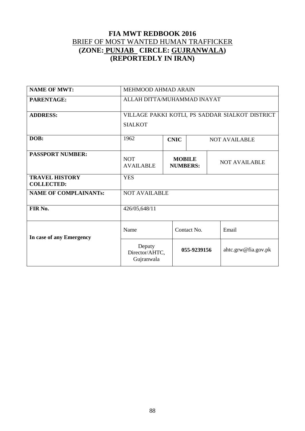#### **FIA MWT REDBOOK 2016** BRIEF OF MOST WANTED HUMAN TRAFFICKER **(ZONE: PUNJAB CIRCLE: GUJRANWALA) (REPORTEDLY IN IRAN)**

| <b>NAME OF MWT:</b>                        | MEHMOOD AHMAD ARAIN                                                                        |  |             |                     |  |  |
|--------------------------------------------|--------------------------------------------------------------------------------------------|--|-------------|---------------------|--|--|
| <b>PARENTAGE:</b>                          | ALLAH DITTA/MUHAMMAD INAYAT                                                                |  |             |                     |  |  |
| <b>ADDRESS:</b>                            | VILLAGE PAKKI KOTLI, PS SADDAR SIALKOT DISTRICT<br><b>SIALKOT</b>                          |  |             |                     |  |  |
| DOB:                                       | 1962<br><b>CNIC</b><br><b>NOT AVAILABLE</b>                                                |  |             |                     |  |  |
| <b>PASSPORT NUMBER:</b>                    | <b>NOT</b><br><b>MOBILE</b><br><b>NOT AVAILABLE</b><br><b>AVAILABLE</b><br><b>NUMBERS:</b> |  |             |                     |  |  |
| <b>TRAVEL HISTORY</b><br><b>COLLECTED:</b> | <b>YES</b>                                                                                 |  |             |                     |  |  |
| <b>NAME OF COMPLAINANTs:</b>               | <b>NOT AVAILABLE</b>                                                                       |  |             |                     |  |  |
| FIR No.                                    | 426/05,648/11                                                                              |  |             |                     |  |  |
| In case of any Emergency                   | Contact No.<br>Name<br>Email                                                               |  |             |                     |  |  |
|                                            | Deputy<br>Director/AHTC,<br>Gujranwala                                                     |  | 055-9239156 | ahtc.grw@fia.gov.pk |  |  |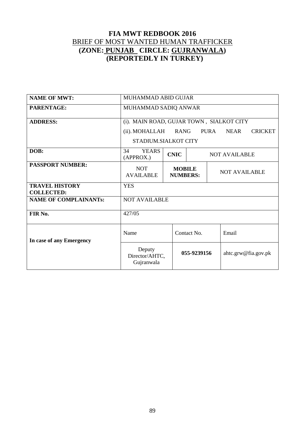#### **FIA MWT REDBOOK 2016** BRIEF OF MOST WANTED HUMAN TRAFFICKER **(ZONE: PUNJAB CIRCLE: GUJRANWALA) (REPORTEDLY IN TURKEY)**

| <b>NAME OF MWT:</b>                        | MUHAMMAD ABID GUJAR                                                                                                                               |                                     |                                                          |  |                     |  |
|--------------------------------------------|---------------------------------------------------------------------------------------------------------------------------------------------------|-------------------------------------|----------------------------------------------------------|--|---------------------|--|
| PARENTAGE:                                 | MUHAMMAD SADIQ ANWAR                                                                                                                              |                                     |                                                          |  |                     |  |
| <b>ADDRESS:</b>                            | (i). MAIN ROAD, GUJAR TOWN, SIALKOT CITY<br><b>NEAR</b><br><b>CRICKET</b><br>(ii). MOHALLAH<br><b>RANG</b><br><b>PURA</b><br>STADIUM.SIALKOT CITY |                                     |                                                          |  |                     |  |
| DOB:                                       | 34<br><b>YEARS</b><br>(APPROX.)                                                                                                                   | <b>CNIC</b><br><b>NOT AVAILABLE</b> |                                                          |  |                     |  |
| <b>PASSPORT NUMBER:</b>                    | <b>NOT</b><br><b>AVAILABLE</b>                                                                                                                    |                                     | <b>MOBILE</b><br><b>NOT AVAILABLE</b><br><b>NUMBERS:</b> |  |                     |  |
| <b>TRAVEL HISTORY</b><br><b>COLLECTED:</b> | <b>YES</b>                                                                                                                                        |                                     |                                                          |  |                     |  |
| <b>NAME OF COMPLAINANTs:</b>               | <b>NOT AVAILABLE</b>                                                                                                                              |                                     |                                                          |  |                     |  |
| FIR No.                                    | 427/05                                                                                                                                            |                                     |                                                          |  |                     |  |
| In case of any Emergency                   | Name<br>Contact No.<br>Email                                                                                                                      |                                     |                                                          |  |                     |  |
|                                            | Deputy<br>055-9239156<br>Director/AHTC,<br>Gujranwala                                                                                             |                                     |                                                          |  | ahtc.grw@fia.gov.pk |  |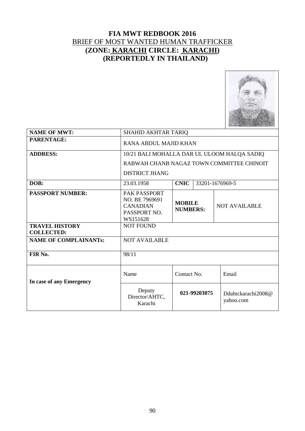#### **FIA MWT REDBOOK 2016** BRIEF OF MOST WANTED HUMAN TRAFFICKER **(ZONE: KARACHI CIRCLE: KARACHI) (REPORTEDLY IN THAILAND)**



| <b>NAME OF MWT:</b>                        | <b>SHAHID AKHTAR TARIQ</b>                                                           |                                  |  |                                           |  |  |
|--------------------------------------------|--------------------------------------------------------------------------------------|----------------------------------|--|-------------------------------------------|--|--|
| <b>PARENTAGE:</b>                          | RANA ABDUL MAJID KHAN                                                                |                                  |  |                                           |  |  |
| <b>ADDRESS:</b>                            | 10/21 BALI MOHALLA DAR UL ULOOM HALQA SADIQ                                          |                                  |  |                                           |  |  |
|                                            |                                                                                      |                                  |  | RABWAH CHANB NAGAZ TOWN COMMITTEE CHINOIT |  |  |
|                                            | <b>DISTRICT JHANG</b>                                                                |                                  |  |                                           |  |  |
| DOB:                                       | <b>CNIC</b><br>33201-1676969-5<br>23.03.1958                                         |                                  |  |                                           |  |  |
| <b>PASSPORT NUMBER:</b>                    | <b>PAK PASSPORT</b><br>NO. BE 7969691<br><b>CANADIAN</b><br>PASSPORT NO.<br>WS151628 | <b>MOBILE</b><br><b>NUMBERS:</b> |  | <b>NOT AVAILABLE</b>                      |  |  |
| <b>TRAVEL HISTORY</b><br><b>COLLECTED:</b> | <b>NOT FOUND</b>                                                                     |                                  |  |                                           |  |  |
| <b>NAME OF COMPLAINANTs:</b>               | <b>NOT AVAILABLE</b>                                                                 |                                  |  |                                           |  |  |
| FIR No.                                    | 98/11                                                                                |                                  |  |                                           |  |  |
| In case of any Emergency                   | Name<br>Contact No.<br>Email                                                         |                                  |  |                                           |  |  |
|                                            | Deputy<br>Director/AHTC,<br>Karachi                                                  | 021-99203075                     |  | Ddahtckarachi2008@<br>yahoo.com           |  |  |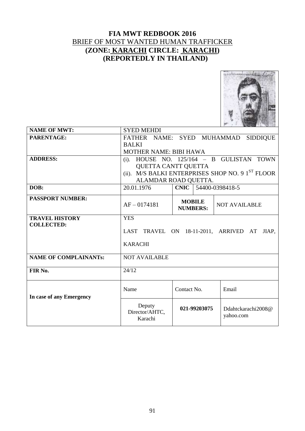#### **FIA MWT REDBOOK 2016** BRIEF OF MOST WANTED HUMAN TRAFFICKER **(ZONE: KARACHI CIRCLE: KARACHI) (REPORTEDLY IN THAILAND)**



| <b>NAME OF MWT:</b>                                      | <b>SYED MEHDI</b>                                                          |                                  |                                                              |  |  |  |
|----------------------------------------------------------|----------------------------------------------------------------------------|----------------------------------|--------------------------------------------------------------|--|--|--|
| PARENTAGE:                                               | FATHER NAME:<br>SYED MUHAMMAD<br><b>SIDDIQUE</b>                           |                                  |                                                              |  |  |  |
|                                                          | <b>BALKI</b>                                                               |                                  |                                                              |  |  |  |
|                                                          | <b>MOTHER NAME: BIBI HAWA</b>                                              |                                  |                                                              |  |  |  |
| <b>ADDRESS:</b>                                          | $(i)$ .                                                                    | HOUSE NO. $125/164$ - B GULISTAN | <b>TOWN</b>                                                  |  |  |  |
|                                                          |                                                                            | QUETTA CANTT QUETTA              |                                                              |  |  |  |
|                                                          |                                                                            |                                  | (ii). M/S BALKI ENTERPRISES SHOP NO. 9 1 <sup>ST</sup> FLOOR |  |  |  |
|                                                          |                                                                            | ALAMDAR ROAD QUETTA.             |                                                              |  |  |  |
| DOB:                                                     | 20.01.1976                                                                 | CNIC   54400-0398418-5           |                                                              |  |  |  |
| <b>PASSPORT NUMBER:</b>                                  | <b>MOBILE</b><br>$AF - 0174181$<br><b>NOT AVAILABLE</b><br><b>NUMBERS:</b> |                                  |                                                              |  |  |  |
| <b>TRAVEL HISTORY</b>                                    | <b>YES</b>                                                                 |                                  |                                                              |  |  |  |
| <b>COLLECTED:</b>                                        | LAST TRAVEL ON 18-11-2011, ARRIVED AT<br>JIAP.<br><b>KARACHI</b>           |                                  |                                                              |  |  |  |
| <b>NAME OF COMPLAINANTs:</b>                             | <b>NOT AVAILABLE</b>                                                       |                                  |                                                              |  |  |  |
| FIR No.                                                  | 24/12                                                                      |                                  |                                                              |  |  |  |
| Name<br>Contact No.<br>Email<br>In case of any Emergency |                                                                            |                                  |                                                              |  |  |  |
|                                                          | Deputy<br>Director/AHTC,<br>Karachi                                        | 021-99203075                     | Ddahtckarachi2008@<br>yahoo.com                              |  |  |  |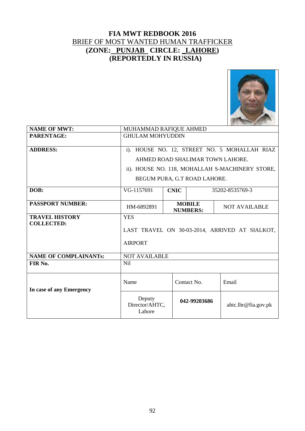#### **FIA MWT REDBOOK 2016** BRIEF OF MOST WANTED HUMAN TRAFFICKER **(ZONE: PUNJAB CIRCLE: \_LAHORE) (REPORTEDLY IN RUSSIA)**



| <b>NAME OF MWT:</b>          | MUHAMMAD RAFIQUE AHMED                         |                                                          |  |                                                 |  |
|------------------------------|------------------------------------------------|----------------------------------------------------------|--|-------------------------------------------------|--|
| PARENTAGE:                   | <b>GHULAM MOHYUDDIN</b>                        |                                                          |  |                                                 |  |
| <b>ADDRESS:</b>              |                                                |                                                          |  | i). HOUSE NO. 12, STREET NO. 5 MOHALLAH RIAZ    |  |
|                              | AHMED ROAD SHALIMAR TOWN LAHORE.               |                                                          |  |                                                 |  |
|                              |                                                |                                                          |  | ii). HOUSE NO. 118, MOHALLAH S-MACHINERY STORE, |  |
|                              | BEGUM PURA, G.T ROAD LAHORE.                   |                                                          |  |                                                 |  |
| DOB:                         | VG-1157691<br><b>CNIC</b><br>35202-8535769-3   |                                                          |  |                                                 |  |
| <b>PASSPORT NUMBER:</b>      | HM-6892891                                     | <b>MOBILE</b><br><b>NOT AVAILABLE</b><br><b>NUMBERS:</b> |  |                                                 |  |
| <b>TRAVEL HISTORY</b>        | <b>YES</b>                                     |                                                          |  |                                                 |  |
| <b>COLLECTED:</b>            |                                                |                                                          |  |                                                 |  |
|                              | LAST TRAVEL ON 30-03-2014, ARRIVED AT SIALKOT, |                                                          |  |                                                 |  |
|                              | <b>AIRPORT</b>                                 |                                                          |  |                                                 |  |
| <b>NAME OF COMPLAINANTs:</b> | <b>NOT AVAILABLE</b>                           |                                                          |  |                                                 |  |
| FIR No.                      | Nil                                            |                                                          |  |                                                 |  |
| In case of any Emergency     | Name                                           | Contact No.                                              |  | Email                                           |  |
|                              | Deputy<br>Director/AHTC.<br>Lahore             | 042-99203686                                             |  | ahtc.lhr@fia.gov.pk                             |  |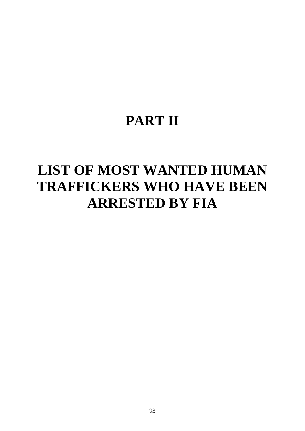## **PART II**

# **LIST OF MOST WANTED HUMAN TRAFFICKERS WHO HAVE BEEN ARRESTED BY FIA**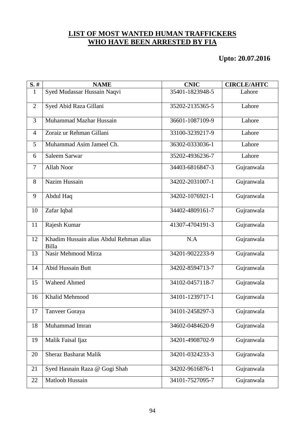#### **LIST OF MOST WANTED HUMAN TRAFFICKERS WHO HAVE BEEN ARRESTED BY FIA**

**Upto: 20.07.2016**

| $S.$ #         | <b>NAME</b>                                      | <b>CNIC</b>     | <b>CIRCLE/AHTC</b> |
|----------------|--------------------------------------------------|-----------------|--------------------|
| $\mathbf{1}$   | Syed Mudassar Hussain Naqvi                      | 35401-1823948-5 | Lahore             |
| 2              | Syed Abid Raza Gillani                           | 35202-2135365-5 | Lahore             |
| 3              | Muhammad Mazhar Hussain                          | 36601-1087109-9 | Lahore             |
| $\overline{4}$ | Zoraiz ur Rehman Gillani                         | 33100-3239217-9 | Lahore             |
| 5              | Muhammad Asim Jameel Ch.                         | 36302-0333036-1 | Lahore             |
| 6              | Saleem Sarwar                                    | 35202-4936236-7 | Lahore             |
| 7              | <b>Allah Noor</b>                                | 34403-6816847-3 | Gujranwala         |
| 8              | Nazim Hussain                                    | 34202-2031007-1 | Gujranwala         |
| 9              | Abdul Haq                                        | 34202-1076921-1 | Gujranwala         |
| 10             | Zafar Iqbal                                      | 34402-4809161-7 | Gujranwala         |
| 11             | Rajesh Kumar                                     | 41307-4704191-3 | Gujranwala         |
| 12             | Khadim Hussain alias Abdul Rehman alias<br>Billa | N.A             | Gujranwala         |
| 13             | Nasir Mehmood Mirza                              | 34201-9022233-9 | Gujranwala         |
| 14             | <b>Abid Hussain Butt</b>                         | 34202-8594713-7 | Gujranwala         |
| 15             | <b>Waheed Ahmed</b>                              | 34102-0457118-7 | Gujranwala         |
| 16             | Khalid Mehmood                                   | 34101-1239717-1 | Gujranwala         |
| 17             | Tanveer Goraya                                   | 34101-2458297-3 | Gujranwala         |
| 18             | Muhammad Imran                                   | 34602-0484620-9 | Gujranwala         |
| 19             | Malik Faisal Ijaz                                | 34201-4908702-9 | Gujranwala         |
| 20             | <b>Sheraz Basharat Malik</b>                     | 34201-0324233-3 | Gujranwala         |
| 21             | Syed Hasnain Raza @ Gogi Shah                    | 34202-9616876-1 | Gujranwala         |
| 22             | Matloob Hussain                                  | 34101-7527095-7 | Gujranwala         |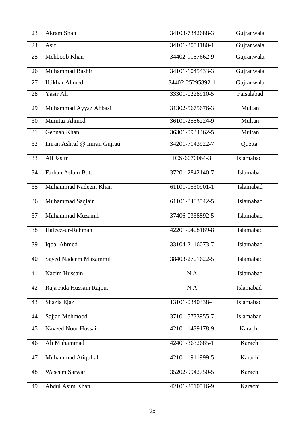| 23 | Akram Shah                   | 34103-7342688-3  | Gujranwala |
|----|------------------------------|------------------|------------|
| 24 | Asif                         | 34101-3054180-1  | Gujranwala |
| 25 | Mehboob Khan                 | 34402-9157662-9  | Gujranwala |
| 26 | Muhammad Bashir              | 34101-1045433-3  | Gujranwala |
| 27 | <b>Iftikhar Ahmed</b>        | 34402-25295892-1 | Gujranwala |
| 28 | Yasir Ali                    | 33301-0228910-5  | Faisalabad |
| 29 | Muhammad Ayyaz Abbasi        | 31302-5675676-3  | Multan     |
| 30 | Mumtaz Ahmed                 | 36101-2556224-9  | Multan     |
| 31 | Gehnah Khan                  | 36301-0934462-5  | Multan     |
| 32 | Imran Ashraf @ Imran Gujrati | 34201-7143922-7  | Quetta     |
| 33 | Ali Jasim                    | ICS-6070064-3    | Islamabad  |
| 34 | Farhan Aslam Butt            | 37201-2842140-7  | Islamabad  |
| 35 | Muhammad Nadeem Khan         | 61101-1530901-1  | Islamabad  |
| 36 | Muhammad Saqlain             | 61101-8483542-5  | Islamabad  |
| 37 | Muhammad Muzamil             | 37406-0338892-5  | Islamabad  |
| 38 | Hafeez-ur-Rehman             | 42201-0408189-8  | Islamabad  |
| 39 | Iqbal Ahmed                  | 33104-2116073-7  | Islamabad  |
| 40 | Sayed Nadeem Muzammil        | 38403-2701622-5  | Islamabad  |
| 41 | Nazim Hussain                | N.A              | Islamabad  |
| 42 | Raja Fida Hussain Rajput     | N.A              | Islamabad  |
| 43 | Shazia Ejaz                  | 13101-0340338-4  | Islamabad  |
| 44 | Sajjad Mehmood               | 37101-5773955-7  | Islamabad  |
| 45 | Naveed Noor Hussain          | 42101-1439178-9  | Karachi    |
| 46 | Ali Muhammad                 | 42401-3632685-1  | Karachi    |
| 47 | Muhammad Atiqullah           | 42101-1911999-5  | Karachi    |
| 48 | <b>Waseem Sarwar</b>         | 35202-9942750-5  | Karachi    |
| 49 | Abdul Asim Khan              | 42101-2510516-9  | Karachi    |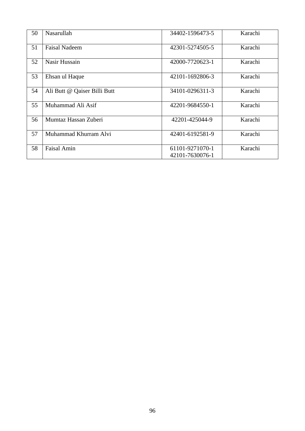| 50 | Nasarullah                   | 34402-1596473-5                    | Karachi |
|----|------------------------------|------------------------------------|---------|
| 51 | <b>Faisal Nadeem</b>         | 42301-5274505-5                    | Karachi |
| 52 | Nasir Hussain                | 42000-7720623-1                    | Karachi |
| 53 | Ehsan ul Haque               | 42101-1692806-3                    | Karachi |
| 54 | Ali Butt @ Qaiser Billi Butt | 34101-0296311-3                    | Karachi |
| 55 | Muhammad Ali Asif            | 42201-9684550-1                    | Karachi |
| 56 | Mumtaz Hassan Zuberi         | 42201-425044-9                     | Karachi |
| 57 | Muhammad Khurram Alvi        | 42401-6192581-9                    | Karachi |
| 58 | <b>Faisal Amin</b>           | 61101-9271070-1<br>42101-7630076-1 | Karachi |